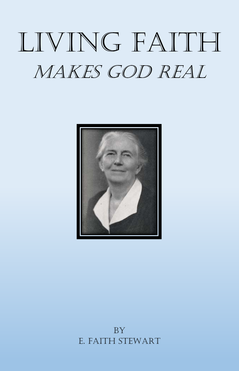# LIVING FAITH MAKES GOD REAL



**BY** E. Faith Stewart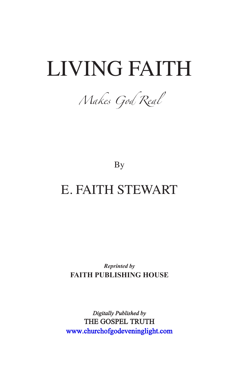# **LIVING FAITH**

Makes God Real

By

# **E. FAITH STEWART**

**Reprinted by FAITH PUBLISHING HOUSE** 

Digitally Published by THE GOSPEL TRUTH www.churchofgodeveninglight.com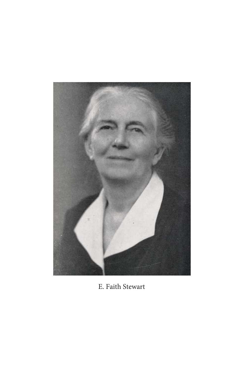

E. Faith Stewart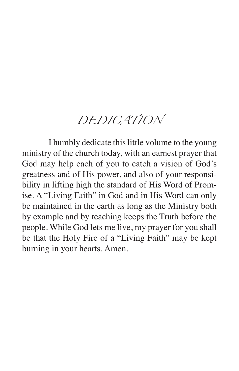# DEDICATION

I humbly dedicate this little volume to the young ministry of the church today, with an earnest prayer that God may help each of you to catch a vision of God's greatness and of His power, and also of your responsibility in lifting high the standard of His Word of Promise. A "Living Faith" in God and in His Word can only be maintained in the earth as long as the Ministry both by example and by teaching keeps the Truth before the people. While God lets me live, my prayer for you shall be that the Holy Fire of a "Living Faith" may be kept burning in your hearts. Amen.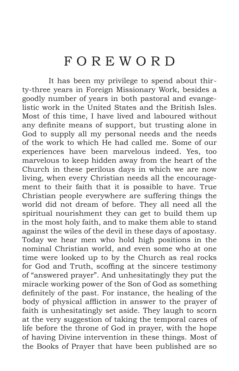# F O R E W O R D

It has been my privilege to spend about thirty-three years in Foreign Missionary Work, besides a goodly number of years in both pastoral and evangelistic work in the United States and the British Isles. Most of this time, I have lived and laboured without any definite means of support, but trusting alone in God to supply all my personal needs and the needs of the work to which He had called me. Some of our experiences have been marvelous indeed. Yes, too marvelous to keep hidden away from the heart of the Church in these perilous days in which we are now living, when every Christian needs all the encouragement to their faith that it is possible to have. True Christian people everywhere are suffering things the world did not dream of before. They all need all the spiritual nourishment they can get to build them up in the most holy faith, and to make them able to stand against the wiles of the devil in these days of apostasy. Today we hear men who hold high positions in the nominal Christian world, and even some who at one time were looked up to by the Church as real rocks for God and Truth, scoffing at the sincere testimony of "answered prayer". And unhesitatingly they put the miracle working power of the Son of God as something definitely of the past. For instance, the healing of the body of physical affliction in answer to the prayer of faith is unhesitatingly set aside. They laugh to scorn at the very suggestion of taking the temporal cares of life before the throne of God in prayer, with the hope of having Divine intervention in these things. Most of the Books of Prayer that have been published are so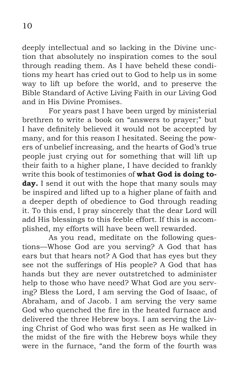deeply intellectual and so lacking in the Divine unction that absolutely no inspiration comes to the soul through reading them. As I have beheld these conditions my heart has cried out to God to help us in some way to lift up before the world, and to preserve the Bible Standard of Active Living Faith in our Living God and in His Divine Promises.

 For years past I have been urged by ministerial brethren to write a book on "answers to prayer;" but I have definitely believed it would not be accepted by many, and for this reason I hesitated. Seeing the powers of unbelief increasing, and the hearts of God's true people just crying out for something that will lift up their faith to a higher plane, I have decided to frankly write this book of testimonies of **what God is doing today.** I send it out with the hope that many souls may be inspired and lifted up to a higher plane of faith and a deeper depth of obedience to God through reading it. To this end, I pray sincerely that the dear Lord will add His blessings to this feeble effort. If this is accomplished, my efforts will have been well rewarded.

 As you read, meditate on the following questions—Whose God are you serving? A God that has ears but that hears not? A God that has eyes but they see not the sufferings of His people? A God that has hands but they are never outstretched to administer help to those who have need? What God are you serving? Bless the Lord, I am serving the God of Isaac, of Abraham, and of Jacob. I am serving the very same God who quenched the fire in the heated furnace and delivered the three Hebrew boys. I am serving the Living Christ of God who was first seen as He walked in the midst of the fire with the Hebrew boys while they were in the furnace, "and the form of the fourth was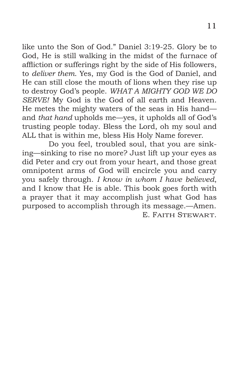like unto the Son of God." Daniel 3:19-25. Glory be to God, He is still walking in the midst of the furnace of affliction or sufferings right by the side of His followers, to *deliver them*. Yes, my God is the God of Daniel, and He can still close the mouth of lions when they rise up to destroy God's people. *WHAT A MIGHTY GOD WE DO SERVE!* My God is the God of all earth and Heaven. He metes the mighty waters of the seas in His hand and *that hand* upholds me—yes, it upholds all of God's trusting people today. Bless the Lord, oh my soul and ALL that is within me, bless His Holy Name forever.

 Do you feel, troubled soul, that you are sinking—sinking to rise no more? Just lift up your eyes as did Peter and cry out from your heart, and those great omnipotent arms of God will encircle you and carry you safely through. *I know in whom I have believed*, and I know that He is able. This book goes forth with a prayer that it may accomplish just what God has purposed to accomplish through its message.—Amen. E. FAITH STEWART.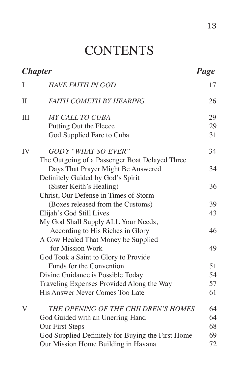# **CONTENTS**

| <b>Chapter</b> |                                                   | Page |
|----------------|---------------------------------------------------|------|
| T              | <b>HAVE FAITH IN GOD</b>                          | 17   |
| H              | <b>FAITH COMETH BY HEARING</b>                    | 26   |
| III            | <b>MY CALL TO CUBA</b>                            | 29   |
|                | Putting Out the Fleece                            | 29   |
|                | God Supplied Fare to Cuba                         | 31   |
| IV             | GOD's "WHAT-SO-EVER"                              | 34   |
|                | The Outgoing of a Passenger Boat Delayed Three    |      |
|                | Days That Prayer Might Be Answered                | 34   |
|                | Definitely Guided by God's Spirit                 |      |
|                | (Sister Keith's Healing)                          | 36   |
|                | Christ, Our Defense in Times of Storm             |      |
|                | (Boxes released from the Customs)                 | 39   |
|                | Elijah's God Still Lives                          | 43   |
|                | My God Shall Supply ALL Your Needs,               |      |
|                | According to His Riches in Glory                  | 46   |
|                | A Cow Healed That Money be Supplied               |      |
|                | for Mission Work                                  | 49   |
|                | God Took a Saint to Glory to Provide              |      |
|                | Funds for the Convention                          | 51   |
|                | Divine Guidance is Possible Today                 | 54   |
|                | Traveling Expenses Provided Along the Way         | 57   |
|                | His Answer Never Comes Too Late                   | 61   |
| V              | THE OPENING OF THE CHILDREN'S HOMES               | 64   |
|                | God Guided with an Unerring Hand                  | 64   |
|                | Our First Steps                                   | 68   |
|                | God Supplied Definitely for Buying the First Home | 69   |
|                | Our Mission Home Building in Havana               | 72   |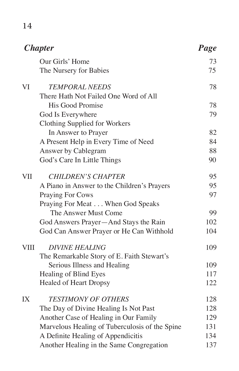| <b>Chapter</b> |                                                | Page |
|----------------|------------------------------------------------|------|
|                | Our Girls' Home                                | 73   |
|                | The Nursery for Babies                         | 75   |
| VI             | <b>TEMPORAL NEEDS</b>                          | 78   |
|                | There Hath Not Failed One Word of All          |      |
|                | His Good Promise                               | 78   |
|                | God Is Everywhere                              | 79   |
|                | Clothing Supplied for Workers                  |      |
|                | In Answer to Prayer                            | 82   |
|                | A Present Help in Every Time of Need           | 84   |
|                | Answer by Cablegram                            | 88   |
|                | God's Care In Little Things                    | 90   |
| VII            | <b>CHILDREN'S CHAPTER</b>                      | 95   |
|                | A Piano in Answer to the Children's Prayers    | 95   |
|                | Praying For Cows                               | 97   |
|                | Praying For Meat When God Speaks               |      |
|                | The Answer Must Come                           | 99   |
|                | God Answers Prayer-And Stays the Rain          | 102  |
|                | God Can Answer Prayer or He Can Withhold       | 104  |
| VIII           | <b>DIVINE HEALING</b>                          | 109  |
|                | The Remarkable Story of E. Faith Stewart's     |      |
|                | Serious Illness and Healing                    | 109  |
|                | Healing of Blind Eyes                          | 117  |
|                | Healed of Heart Dropsy                         | 122  |
| IX             | <b>TESTIMONY OF OTHERS</b>                     | 128  |
|                | The Day of Divine Healing Is Not Past          | 128  |
|                | Another Case of Healing in Our Family          | 129  |
|                | Marvelous Healing of Tuberculosis of the Spine | 131  |
|                | A Definite Healing of Appendicitis             | 134  |
|                | Another Healing in the Same Congregation       | 137  |

## 14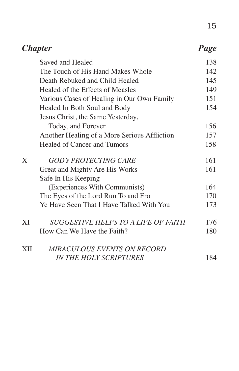| <i>Chapter</i> |                                              | Page |
|----------------|----------------------------------------------|------|
|                | Saved and Healed                             | 138  |
|                | The Touch of His Hand Makes Whole            | 142  |
|                | Death Rebuked and Child Healed               | 145  |
|                | Healed of the Effects of Measles             | 149  |
|                | Various Cases of Healing in Our Own Family   | 151  |
|                | Healed In Both Soul and Body                 | 154  |
|                | Jesus Christ, the Same Yesterday,            |      |
|                | Today, and Forever                           | 156  |
|                | Another Healing of a More Serious Affliction | 157  |
|                | Healed of Cancer and Tumors                  | 158  |
| X              | <b>GOD's PROTECTING CARE</b>                 | 161  |
|                | Great and Mighty Are His Works               | 161  |
|                | Safe In His Keeping                          |      |
|                | (Experiences With Communists)                | 164  |
|                | The Eyes of the Lord Run To and Fro          | 170  |
|                | Ye Have Seen That I Have Talked With You     | 173  |
| XI             | SUGGESTIVE HELPS TO A LIFE OF FAITH          | 176  |
|                | How Can We Have the Faith?                   | 180  |
| XII            | <b>MIRACULOUS EVENTS ON RECORD</b>           |      |
|                | <i>IN THE HOLY SCRIPTURES</i>                | 184  |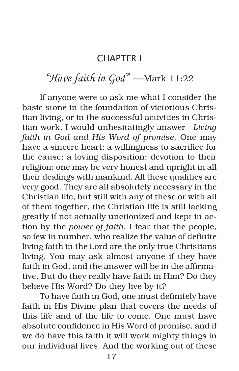## CHAPTER I

## <span id="page-16-0"></span>"Have faith in  $God$ " —Mark 11:22

If anyone were to ask me what I consider the basic stone in the foundation of victorious Christian living, or in the successful activities in Christian work, I would unhesitatingly answer—*Living faith in God and His Word of promise.* One may have a sincere heart; a willingness to sacrifice for the cause; a loving disposition; devotion to their religion; one may be very honest and upright in all their dealings with mankind. All these qualities are very good. They are all absolutely necessary in the Christian life, but still with any of these or with all of them together, the Christian life is still lacking greatly if not actually unctionized and kept in action by the *power of faith.* I fear that the people, so few in number, who realize the value of definite living faith in the Lord are the only true Christians living. You may ask almost anyone if they have faith in God, and the answer will be in the affirmative. But do they really have faith in Him? Do they believe His Word? Do they live by it?

To have faith in God, one must definitely have faith in His Divine plan that covers the needs of this life and of the life to come. One must have absolute confidence in His Word of promise, and if we do have this faith it will work mighty things in our individual lives. And the working out of these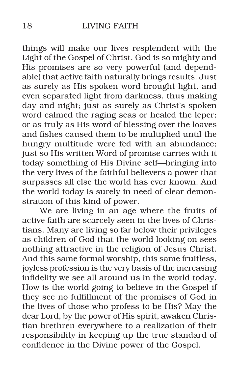things will make our lives resplendent with the Light of the Gospel of Christ. God is so mighty and His promises are so very powerful (and dependable) that active faith naturally brings results. Just as surely as His spoken word brought light, and even separated light from darkness, thus making day and night; just as surely as Christ's spoken word calmed the raging seas or healed the leper; or as truly as His word of blessing over the loaves and fishes caused them to be multiplied until the hungry multitude were fed with an abundance; just so His written Word of promise carries with it today something of His Divine self—bringing into the very lives of the faithful believers a power that surpasses all else the world has ever known. And the world today is surely in need of clear demonstration of this kind of power.

We are living in an age where the fruits of active faith are scarcely seen in the lives of Christians. Many are living so far below their privileges as children of God that the world looking on sees nothing attractive in the religion of Jesus Christ. And this same formal worship, this same fruitless, joyless profession is the very basis of the increasing infidelity we see all around us in the world today. How is the world going to believe in the Gospel if they see no fulfillment of the promises of God in the lives of those who profess to be His? May the dear Lord, by the power of His spirit, awaken Christian brethren everywhere to a realization of their responsibility in keeping up the true standard of confidence in the Divine power of the Gospel.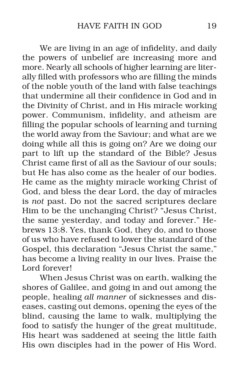<span id="page-18-0"></span>We are living in an age of infidelity, and daily the powers of unbelief are increasing more and more. Nearly all schools of higher learning are literally filled with professors who are filling the minds of the noble youth of the land with false teachings that undermine all their confidence in God and in the Divinity of Christ, and in His miracle working power. Communism, infidelity, and atheism are filling the popular schools of learning and turning the world away from the Saviour; and what are we doing while all this is going on? Are we doing our part to lift up the standard of the Bible? Jesus Christ came first of all as the Saviour of our souls; but He has also come as the healer of our bodies. He came as the mighty miracle working Christ of God, and bless the dear Lord, the day of miracles is *not* past. Do not the sacred scriptures declare Him to be the unchanging Christ? "Jesus Christ, the same yesterday, and today and forever." Hebrews 13:8. Yes, thank God, they do, and to those of us who have refused to lower the standard of the Gospel, this declaration "Jesus Christ the same," has become a living reality in our lives. Praise the Lord forever!

When Jesus Christ was on earth, walking the shores of Galilee, and going in and out among the people, healing *all manner* of sicknesses and diseases, casting out demons, opening the eyes of the blind, causing the lame to walk, multiplying the food to satisfy the hunger of the great multitude, His heart was saddened at seeing the little faith His own disciples had in the power of His Word.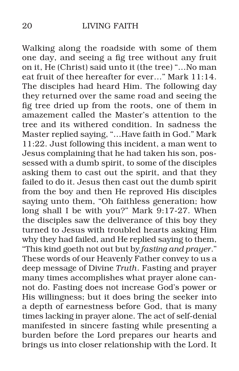Walking along the roadside with some of them one day, and seeing a fig tree without any fruit on it, He (Christ) said unto it (the tree) "…No man eat fruit of thee hereafter for ever…" Mark 11:14. The disciples had heard Him. The following day they returned over the same road and seeing the fig tree dried up from the roots, one of them in amazement called the Master's attention to the tree and its withered condition. In sadness the Master replied saying, "…Have faith in God." Mark 11:22. Just following this incident, a man went to Jesus complaining that he had taken his son, possessed with a dumb spirit, to some of the disciples asking them to cast out the spirit, and that they failed to do it. Jesus then cast out the dumb spirit from the boy and then He reproved His disciples saying unto them, "Oh faithless generation; how long shall I be with you?" Mark 9:17-27. When the disciples saw the deliverance of this boy they turned to Jesus with troubled hearts asking Him why they had failed, and He replied saying to them, "This kind goeth not out but by *fasting and prayer*." These words of our Heavenly Father convey to us a deep message of Divine *Truth*. Fasting and prayer many times accomplishes what prayer alone cannot do. Fasting does not increase God's power or His willingness; but it does bring the seeker into a depth of earnestness before God, that is many times lacking in prayer alone. The act of self-denial manifested in sincere fasting while presenting a burden before the Lord prepares our hearts and brings us into closer relationship with the Lord. It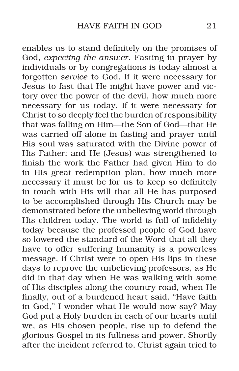<span id="page-20-0"></span>enables us to stand definitely on the promises of God, *expecting the answer*. Fasting in prayer by individuals or by congregations is today almost a forgotten *service* to God. If it were necessary for Jesus to fast that He might have power and victory over the power of the devil, how much more necessary for us today. If it were necessary for Christ to so deeply feel the burden of responsibility that was falling on Him—the Son of God—that He was carried off alone in fasting and prayer until His soul was saturated with the Divine power of His Father; and He (Jesus) was strengthened to finish the work the Father had given Him to do in His great redemption plan, how much more necessary it must be for us to keep so definitely in touch with His will that all He has purposed to be accomplished through His Church may be demonstrated before the unbelieving world through His children today. The world is full of infidelity today because the professed people of God have so lowered the standard of the Word that all they have to offer suffering humanity is a powerless message. If Christ were to open His lips in these days to reprove the unbelieving professors, as He did in that day when He was walking with some of His disciples along the country road, when He finally, out of a burdened heart said, "Have faith in God," I wonder what He would now say? May God put a Holy burden in each of our hearts until we, as His chosen people, rise up to defend the glorious Gospel in its fullness and power. Shortly after the incident referred to, Christ again tried to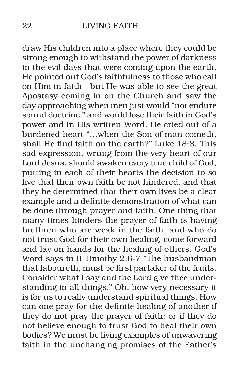draw His children into a place where they could be strong enough to withstand the power of darkness in the evil days that were coming upon the earth. He pointed out God's faithfulness to those who call on Him in faith—but He was able to see the great Apostasy coming in on the Church and saw the day approaching when men just would "not endure sound doctrine," and would lose their faith in God's power and in His written Word. He cried out of a burdened heart "…when the Son of man cometh, shall He find faith on the earth?" Luke 18:8. This sad expression, wrung from the very heart of our Lord Jesus, should awaken every true child of God, putting in each of their hearts the decision to so live that their own faith be not hindered, and that they be determined that their own lives be a clear example and a definite demonstration of what can be done through prayer and faith. One thing that many times hinders the prayer of faith is having brethren who are weak in the faith, and who do not trust God for their own healing, come forward and lay on hands for the healing of others. God's Word says in II Timothy 2:6-7 "The husbandman that laboureth, must be first partaker of the fruits. Consider what I say and the Lord give thee understanding in all things." Oh, how very necessary it is for us to really understand spiritual things. How can one pray for the definite healing of another if they do not pray the prayer of faith; or if they do not believe enough to trust God to heal their own bodies? We must be living examples of unwavering faith in the unchanging promises of the Father's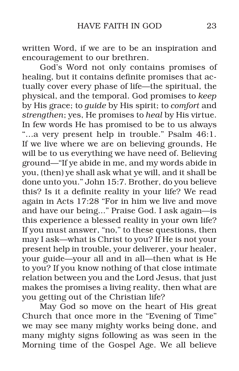<span id="page-22-0"></span>written Word, if we are to be an inspiration and encouragement to our brethren.

God's Word not only contains promises of healing, but it contains definite promises that actually cover every phase of life—the spiritual, the physical, and the temporal. God promises to *keep* by His grace; to *guide* by His spirit; to *comfort* and *strengthen*; yes, He promises to *heal* by His virtue. In few words He has promised to be to us always "…a very present help in trouble." Psalm 46:1. If we live where we are on believing grounds, He will be to us everything we have need of. Believing ground—"If ye abide in me, and my words abide in you, (then) ye shall ask what ye will, and it shall be done unto you." John 15:7. Brother, do you believe this? Is it a definite reality in your life? We read again in Acts 17:28 "For in him we live and move and have our being..." Praise God. I ask again—is this experience a blessed reality in your own life? If you must answer, "no," to these questions, then may I ask—what is Christ to you? If He is not your present help in trouble, your deliverer, your healer, your guide—your all and in all—then what is He to you? If you know nothing of that close intimate relation between you and the Lord Jesus, that just makes the promises a living reality, then what are you getting out of the Christian life?

May God so move on the heart of His great Church that once more in the "Evening of Time" we may see many mighty works being done, and many mighty signs following as was seen in the Morning time of the Gospel Age. We all believe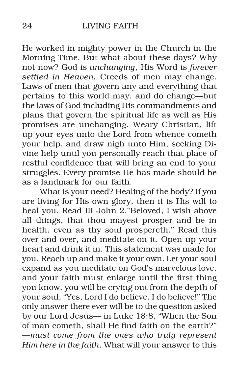He worked in mighty power in the Church in the Morning Time. But what about these days? Why not now? God is *unchanging*, His Word is *forever settled in Heaven.* Creeds of men may change. Laws of men that govern any and everything that pertains to this world may, and do change—but the laws of God including His commandments and plans that govern the spiritual life as well as His promises are unchanging. Weary Christian, lift up your eyes unto the Lord from whence cometh your help, and draw nigh unto Him, seeking Divine help until you personally reach that place of restful confidence that will bring an end to your struggles. Every promise He has made should be as a landmark for our faith.

What is your need? Healing of the body? If you are living for His own glory, then it is His will to heal you. Read III John 2,"Beloved, I wish above all things, that thou mayest prosper and be in health, even as thy soul prospereth." Read this over and over, and meditate on it. Open up your heart and drink it in. This statement was made for you. Reach up and make it your own. Let your soul expand as you meditate on God's marvelous love, and your faith must enlarge until the first thing you know, you will be crying out from the depth of your soul, "Yes, Lord I do believe, I do believe!" The only answer there ever will be to the question asked by our Lord Jesus— in Luke 18:8, "When the Son of man cometh, shall He find faith on the earth?" —*must come from the ones who truly represent Him here in the faith*. What will your answer to this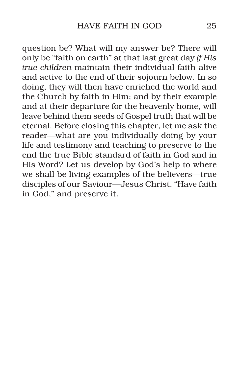<span id="page-24-0"></span>question be? What will my answer be? There will only be "faith on earth" at that last great day *if His true children* maintain their individual faith alive and active to the end of their sojourn below. In so doing, they will then have enriched the world and the Church by faith in Him; and by their example and at their departure for the heavenly home, will leave behind them seeds of Gospel truth that will be eternal. Before closing this chapter, let me ask the reader—what are you individually doing by your life and testimony and teaching to preserve to the end the true Bible standard of faith in God and in His Word? Let us develop by God's help to where we shall be living examples of the believers—true disciples of our Saviour—Jesus Christ. "Have faith in God," and preserve it.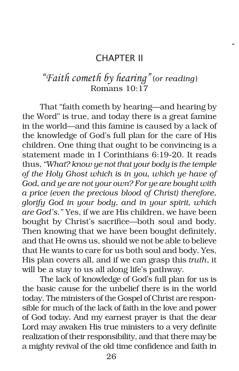### CHAPTER II

## <span id="page-25-0"></span>"Faith cometh by hearing" (*or reading*) Romans 10:17

That "faith cometh by hearing—and hearing by the Word" is true, and today there is a great famine in the world—and this famine is caused by a lack of the knowledge of God's full plan for the care of His children. One thing that ought to be convincing is a statement made in I Corinthians 6:19-20. It reads thus, *"What? know ye not that your body is the temple of the Holy Ghost which is in you, which ye have of God, and ye are not your own? For ye are bought with a price (even the precious blood of Christ) therefore, glorify God in your body, and in your spirit, which are God's."* Yes, if we are His children, we have been bought by Christ's sacrifice—both soul and body. Then knowing that we have been bought definitely, and that He owns us, should we not be able to believe that He wants to care for us both soul and body. Yes, His plan covers all, and if we can grasp this *truth*, it will be a stay to us all along life's pathway.

The lack of knowledge of God's full plan for us is the basic cause for the unbelief there is in the world today. The ministers of the Gospel of Christ are responsible for much of the lack of faith in the love and power of God today. And my earnest prayer is that the dear Lord may awaken His true ministers to a very definite realization of their responsibility, and that there may be a mighty revival of the old time confidence and faith in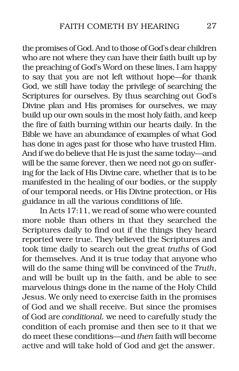<span id="page-26-0"></span>the promises of God. And to those of God's dear children who are not where they can have their faith built up by the preaching of God's Word on these lines, I am happy to say that you are not left without hope—for thank God, we still have today the privilege of searching the Scriptures for ourselves. By thus searching out God's Divine plan and His promises for ourselves, we may build up our own souls in the most holy faith, and keep the fire of faith burning within our hearts daily. In the Bible we have an abundance of examples of what God has done in ages past for those who have trusted Him. And if we do believe that He is just the same today—and will be the same forever, then we need not go on suffering for the lack of His Divine care, whether that is to be manifested in the healing of our bodies, or the supply of our temporal needs, or His Divine protection, or His guidance in all the various conditions of life.

In Acts 17:11, we read of some who were counted more noble than others in that they searched the Scriptures daily to find out if the things they heard reported were true. They believed the Scriptures and took time daily to search out the great *truths* of God for themselves. And it is true today that anyone who will do the same thing will be convinced of the *Truth*, and will be built up in the faith, and be able to see marvelous things done in the name of the Holy Child Jesus. We only need to exercise faith in the promises of God and we shall receive. But since the promises of God are *conditional.* we need to carefully study the condition of each promise and then see to it that we do meet these conditions—and *then* faith will become active and will take hold of God and get the answer.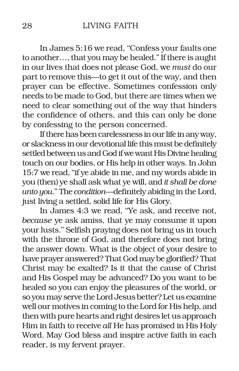In James 5:16 we read, "Confess your faults one to another…, that you may be healed." If there is aught in our lives that does not please God, we *must* do our part to remove this—to get it out of the way, and then prayer can be effective. Sometimes confession only needs to be made to God, but there are times when we need to clear something out of the way that hinders the confidence of others, and this can only be done by confessing to the person concerned.

If there has been carelessness in our life in any way, or slackness in our devotional life this must be definitely settled between us and God if we want His Divine healing touch on our bodies, or His help in other ways. In John 15:7 we read, "if ye abide in me, and my words abide in you (then) ye shall ask what ye will, and *it shall be done unto you.*" The *condition*—definitely abiding in the Lord, just living a settled, solid life for His Glory.

In James 4:3 we read, "Ye ask, and receive not, *because* ye ask amiss, that ye may consume it upon your lusts." Selfish praying does not bring us in touch with the throne of God, and therefore does not bring the answer down. What is the object of your desire to have prayer answered? That God may be glorified? That Christ may be exalted? Is it that the cause of Christ and His Gospel may be advanced? Do you want to be healed so you can enjoy the pleasures of the world, or so you may serve the Lord Jesus better? Let us examine well our motives in coming to the Lord for His help, and then with pure hearts and right desires let us approach Him in faith to receive *all* He has promised in His Holy Word. May God bless and inspire active faith in each reader, is my fervent prayer.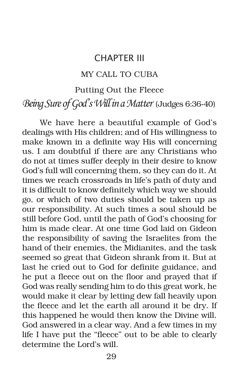#### CHAPTER III

#### MY CALL TO CUBA

# <span id="page-28-0"></span>Putting Out the Fleece Being Sure of God's Will in a Matter (Judges 6:36-40)

We have here a beautiful example of God's dealings with His children; and of His willingness to make known in a definite way His will concerning us. I am doubtful if there are any Christians who do not at times suffer deeply in their desire to know God's full will concerning them, so they can do it. At times we reach crossroads in life's path of duty and it is difficult to know definitely which way we should go, or which of two duties should be taken up as our responsibility. At such times a soul should be still before God, until the path of God's choosing for him is made clear. At one time God laid on Gideon the responsibility of saving the Israelites from the hand of their enemies, the Midianites, and the task seemed so great that Gideon shrank from it. But at last he cried out to God for definite guidance, and he put a fleece out on the floor and prayed that if God was really sending him to do this great work, he would make it clear by letting dew fall heavily upon the fleece and let the earth all around it be dry. If this happened he would then know the Divine will. God answered in a clear way. And a few times in my life I have put the "fleece" out to be able to clearly determine the Lord's will.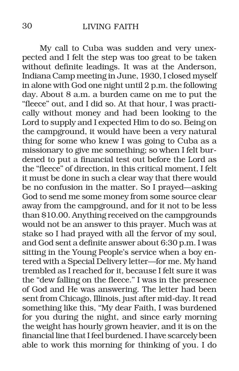My call to Cuba was sudden and very unexpected and I felt the step was too great to be taken without definite leadings. It was at the Anderson, Indiana Camp meeting in June, 1930, I closed myself in alone with God one night until 2 p.m. the following day. About 8 a.m. a burden came on me to put the "fleece" out, and I did so. At that hour, I was practically without money and had been looking to the Lord to supply and I expected Him to do so. Being on the campground, it would have been a very natural thing for some who knew I was going to Cuba as a missionary to give me something; so when I felt burdened to put a financial test out before the Lord as the "fleece" of direction, in this critical moment, I felt it must be done in such a clear way that there would be no confusion in the matter. So I prayed—asking God to send me some money from some source clear away from the campground, and for it not to be less than \$10.00. Anything received on the campgrounds would not be an answer to this prayer. Much was at stake so I had prayed with all the fervor of my soul, and God sent a definite answer about 6:30 p.m. I was sitting in the Young People's service when a boy entered with a Special Delivery letter—for me. My hand trembled as I reached for it, because I felt sure it was the "dew falling on the fleece." I was in the presence of God and He was answering. The letter had been sent from Chicago, Illinois, just after mid-day. It read something like this, "My dear Faith, I was burdened for you during the night, and since early morning the weight has hourly grown heavier, and it is on the financial line that I feel burdened. I have scarcely been able to work this morning for thinking of you. I do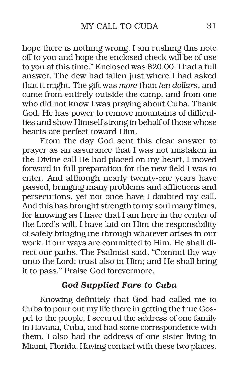<span id="page-30-1"></span><span id="page-30-0"></span>hope there is nothing wrong. I am rushing this note off to you and hope the enclosed check will be of use to you at this time." Enclosed was \$20.00. I had a full answer. The dew had fallen just where I had asked that it might. The gift was *more* than *ten dollars*, and came from entirely outside the camp, and from one who did not know I was praying about Cuba. Thank God, He has power to remove mountains of difficulties and show Himself strong in behalf of those whose hearts are perfect toward Him.

From the day God sent this clear answer to prayer as an assurance that I was not mistaken in the Divine call He had placed on my heart, I moved forward in full preparation for the new field I was to enter. And although nearly twenty-one years have passed, bringing many problems and afflictions and persecutions, yet not once have I doubted my call. And this has brought strength to my soul many times, for knowing as I have that I am here in the center of the Lord's will, I have laid on Him the responsibility of safely bringing me through whatever arises in our work. If our ways are committed to Him, He shall direct our paths. The Psalmist said, "Commit thy way unto the Lord; trust also in Him; and He shall bring it to pass." Praise God forevermore.

#### *God Supplied Fare to Cuba*

Knowing definitely that God had called me to Cuba to pour out my life there in getting the true Gospel to the people, I secured the address of one family in Havana, Cuba, and had some correspondence with them. I also had the address of one sister living in Miami, Florida. Having contact with these two places,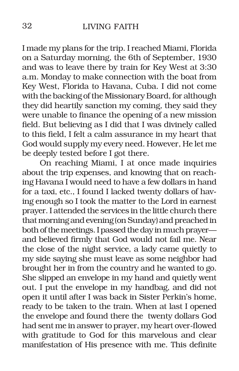I made my plans for the trip. I reached Miami, Florida on a Saturday morning, the 6th of September, 1930 and was to leave there by train for Key West at 3:30 a.m. Monday to make connection with the boat from Key West, Florida to Havana, Cuba. I did not come with the backing of the Missionary Board, for although they did heartily sanction my coming, they said they were unable to finance the opening of a new mission field. But believing as I did that I was divinely called to this field, I felt a calm assurance in my heart that God would supply my every need. However, He let me be deeply tested before I got there.

On reaching Miami, I at once made inquiries about the trip expenses, and knowing that on reaching Havana I would need to have a few dollars in hand for a taxi, etc., I found I lacked twenty dollars of having enough so I took the matter to the Lord in earnest prayer. I attended the services in the little church there that morning and evening (on Sunday) and preached in both of the meetings. I passed the day in much prayer and believed firmly that God would not fail me. Near the close of the night service, a lady came quietly to my side saying she must leave as some neighbor had brought her in from the country and he wanted to go. She slipped an envelope in my hand and quietly went out. I put the envelope in my handbag, and did not open it until after I was back in Sister Perkin's home, ready to be taken to the train. When at last I opened the envelope and found there the twenty dollars God had sent me in answer to prayer, my heart over-flowed with gratitude to God for this marvelous and clear manifestation of His presence with me. This definite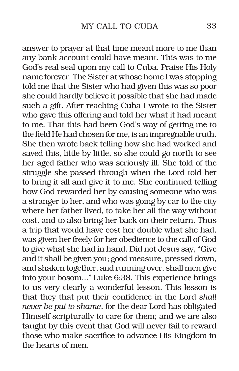<span id="page-32-0"></span>answer to prayer at that time meant more to me than any bank account could have meant. This was to me God's real seal upon my call to Cuba. Praise His Holy name forever. The Sister at whose home I was stopping told me that the Sister who had given this was so poor she could hardly believe it possible that she had made such a gift. After reaching Cuba I wrote to the Sister who gave this offering and told her what it had meant to me. That this had been God's way of getting me to the field He had chosen for me, is an impregnable truth. She then wrote back telling how she had worked and saved this, little by little, so she could go north to see her aged father who was seriously ill. She told of the struggle she passed through when the Lord told her to bring it all and give it to me. She continued telling how God rewarded her by causing someone who was a stranger to her, and who was going by car to the city where her father lived, to take her all the way without cost, and to also bring her back on their return. Thus a trip that would have cost her double what she had, was given her freely for her obedience to the call of God to give what she had in hand. Did not Jesus say, "Give and it shall be given you; good measure, pressed down, and shaken together, and running over, shall men give into your bosom..." Luke 6:38. This experience brings to us very clearly a wonderful lesson. This lesson is that they that put their confidence in the Lord *shall never be put to shame*, for the dear Lord has obligated Himself scripturally to care for them; and we are also taught by this event that God will never fail to reward those who make sacrifice to advance His Kingdom in the hearts of men.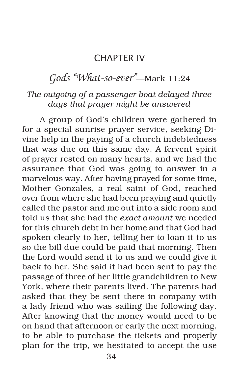### CHAPTER IV

# <span id="page-33-0"></span>Gods "What-so-ever"—Mark 11:24

#### *The outgoing of a passenger boat delayed three days that prayer might be answered*

A group of God's children were gathered in for a special sunrise prayer service, seeking Divine help in the paying of a church indebtedness that was due on this same day. A fervent spirit of prayer rested on many hearts, and we had the assurance that God was going to answer in a marvelous way. After having prayed for some time, Mother Gonzales, a real saint of God, reached over from where she had been praying and quietly called the pastor and me out into a side room and told us that she had the *exact amount* we needed for this church debt in her home and that God had spoken clearly to her, telling her to loan it to us so the bill due could be paid that morning. Then the Lord would send it to us and we could give it back to her. She said it had been sent to pay the passage of three of her little grandchildren to New York, where their parents lived. The parents had asked that they be sent there in company with a lady friend who was sailing the following day. After knowing that the money would need to be on hand that afternoon or early the next morning, to be able to purchase the tickets and properly plan for the trip, we hesitated to accept the use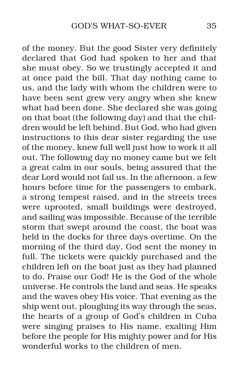<span id="page-34-0"></span>of the money. But the good Sister very definitely declared that God had spoken to her and that she must obey. So we trustingly accepted it and at once paid the bill. That day nothing came to us, and the lady with whom the children were to have been sent grew very angry when she knew what had been done. She declared she was going on that boat (the following day) and that the children would be left behind. But God, who had given instructions to this dear sister regarding the use of the money, knew full well just how to work it all out. The following day no money came but we felt a great calm in our souls, being assured that the dear Lord would not fail us. In the afternoon, a few hours before time for the passengers to embark, a strong tempest raised, and in the streets trees were uprooted, small buildings were destroyed, and sailing was impossible. Because of the terrible storm that swept around the coast, the boat was held in the docks for three days overtime. On the morning of the third day, God sent the money in full. The tickets were quickly purchased and the children left on the boat just as they had planned to do. Praise our God! He is the God of the whole universe. He controls the land and seas. He speaks and the waves obey His voice. That evening as the ship went out, ploughing its way through the seas, the hearts of a group of God's children in Cuba were singing praises to His name, exalting Him before the people for His mighty power and for His wonderful works to the children of men.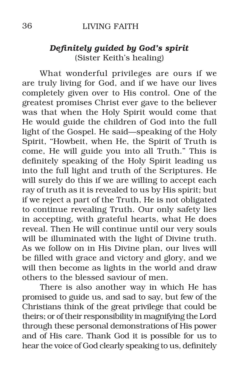#### <span id="page-35-0"></span>36 LIVING FAITH

#### *Definitely guided by God's spirit* (Sister Keith's healing)

What wonderful privileges are ours if we are truly living for God, and if we have our lives completely given over to His control. One of the greatest promises Christ ever gave to the believer was that when the Holy Spirit would come that He would guide the children of God into the full light of the Gospel. He said—speaking of the Holy Spirit, "Howbeit, when He, the Spirit of Truth is come, He will guide you into all Truth." This is definitely speaking of the Holy Spirit leading us into the full light and truth of the Scriptures. He will surely do this if we are willing to accept each ray of truth as it is revealed to us by His spirit; but if we reject a part of the Truth, He is not obligated to continue revealing Truth. Our only safety lies in accepting, with grateful hearts, what He does reveal. Then He will continue until our very souls will be illuminated with the light of Divine truth. As we follow on in His Divine plan, our lives will be filled with grace and victory and glory, and we will then become as lights in the world and draw others to the blessed saviour of men.

There is also another way in which He has promised to guide us, and sad to say, but few of the Christians think of the great privilege that could be theirs; or of their responsibility in magnifying the Lord through these personal demonstrations of His power and of His care. Thank God it is possible for us to hear the voice of God clearly speaking to us, definitely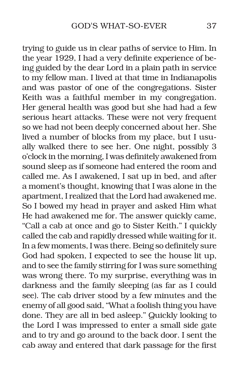<span id="page-36-0"></span>trying to guide us in clear paths of service to Him. In the year 1929, I had a very definite experience of being guided by the dear Lord in a plain path in service to my fellow man. I lived at that time in Indianapolis and was pastor of one of the congregations. Sister Keith was a faithful member in my congregation. Her general health was good but she had had a few serious heart attacks. These were not very frequent so we had not been deeply concerned about her. She lived a number of blocks from my place, but I usually [walked there to see her. One night, possibly 3](#page-2-0) o'clock in the morning, I was definitely awakened from sound sleep as if someone had entered the room and called me. As I awakened, I sat up in bed, and after a moment's thought, knowing that I was alone in the apartment, I realized that the Lord had awakened me. So I bowed my head in prayer and asked Him what He had awakened me for. The answer quickly came, "Call a cab at once and go to Sister Keith." I quickly called the cab and rapidly dressed while waiting for it. In a few moments, I was there. Being so definitely sure God had spoken, I expected to see the house lit up, and to see the family stirring for I was sure something was wrong there. To my surprise, everything was in darkness and the family sleeping (as far as I could see). The cab driver stood by a few minutes and the enemy of all good said, "What a foolish thing you have done. They are all in bed asleep." Quickly looking to the Lord I was impressed to enter a small side gate and to try and go around to the back door. I sent the cab away and entered that dark passage for the first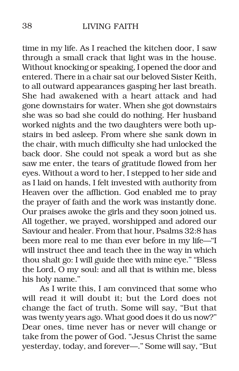time in my life. As I reached the kitchen door, I saw through a small crack that light was in the house. Without knocking or speaking, I opened the door and entered. There in a chair sat our beloved Sister Keith, to all outward appearances gasping her last breath. She had awakened with a heart attack and had gone downstairs for water. When she got downstairs she was so bad she could do nothing. Her husband worked nights and the two daughters were both upstairs in bed asleep. From where she sank down in the chair, with much difficulty she had unlocked the back door. She could not speak a word but as she saw me enter, the tears of gratitude flowed from her eyes. Without a word to her, I stepped to her side and as I laid on hands, I felt invested with authority from Heaven over the affliction. God enabled me to pray the prayer of faith and the work was instantly done. Our praises awoke the girls and they soon joined us. All together, we prayed, worshipped and adored our Saviour and healer. From that hour, Psalms 32:8 has been more real to me than ever before in my life—"I will instruct thee and teach thee in the way in which thou shalt go: I will guide thee with mine eye." "Bless the Lord, O my soul: and all that is within me, bless his holy name."

As I write this, I am convinced that some who will read it will doubt it; but the Lord does not change the fact of truth. Some will say, "But that was twenty years ago. What good does it do us now?" Dear ones, time never has or never will change or take from the power of God. "Jesus Christ the same yesterday, today, and forever—." Some will say, "But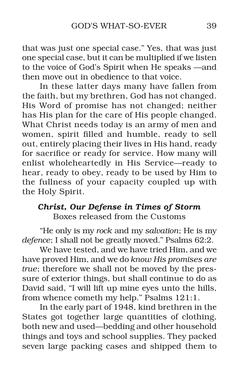<span id="page-38-0"></span>that was just one special case." Yes, that was just one special case, but it can be multiplied if we listen to the voice of God's Spirit when He speaks —and then move out in obedience to that voice.

In these latter days many have fallen from the faith, but my brethren, God has not changed. His Word of promise has not changed; neither has His plan for the care of His people changed. What Christ needs today is an army of men and women, spirit filled and humble, ready to sell out, entirely placing their lives in His hand, ready for sacrifice or ready for service. How many will enlist wholeheartedly in His Service—ready to hear, ready to obey, ready to be used by Him to the fullness of your capacity coupled up with the Holy Spirit.

#### *Christ, Our Defense in Times of Storm* Boxes released from the Customs

"He only is my *rock* and my *salvation*; He is my *defence*; I shall not be greatly moved." Psalms 62:2.

We have tested, and we have tried Him, and we have proved Him, and we do *know His promises are true*; therefore we shall not be moved by the pressure of exterior things, but shall continue to do as David said, "I will lift up mine eyes unto the hills, from whence cometh my help." Psalms 121:1.

In the early part of 1948, kind brethren in the States got together large quantities of clothing, both new and used—bedding and other household things and toys and school supplies. They packed seven large packing cases and shipped them to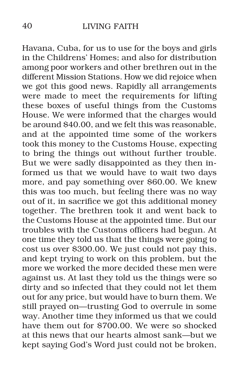Havana, Cuba, for us to use for the boys and girls in the Childrens' Homes; and also for distribution among poor workers and other brethren out in the different Mission Stations. How we did rejoice when we got this good news. Rapidly all arrangements were made to meet the requirements for lifting these boxes of useful things from the Customs House. We were informed that the charges would be around \$40.00, and we felt this was reasonable, and at the appointed time some of the workers took this money to the Customs House, expecting to bring the things out without further trouble. But we were sadly disappointed as they then informed us that we would have to wait two days more, and pay something over \$60.00. We knew this was too much, but feeling there was no way out of it, in sacrifice we got this additional money together. The brethren took it and went back to the Customs House at the appointed time. But our troubles with the Customs officers had begun. At one time they told us that the things were going to cost us over \$300.00. We just could not pay this, and kept trying to work on this problem, but the more we worked the more decided these men were against us. At last they told us the things were so dirty and so infected that they could not let them out for any price, but would have to burn them. We still prayed on—trusting God to overrule in some way. Another time they informed us that we could have them out for \$700.00. We were so shocked at this news that our hearts almost sank—but we kept saying God's Word just could not be broken,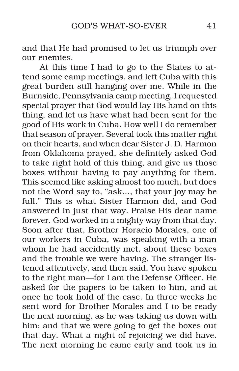<span id="page-40-0"></span>and that He had promised to let us triumph over our enemies.

At this time I had to go to the States to attend some camp meetings, and left Cuba with this great burden still hanging over me. While in the Burnside, Pennsylvania camp meeting, I requested special prayer that God would lay His hand on this thing, and let us have what had been sent for the good of His work in Cuba. How well I do remember that season of prayer. Several took this matter right on their hearts, and when dear Sister J. D. Harmon from Oklahoma prayed, she definitely asked God to take right hold of this thing, and give us those boxes without having to pay anything for them. This seemed like asking almost too much, but does not the Word say to, "ask..., that your joy may be full." This is what Sister Harmon did, and God answered in just that way. Praise His dear name forever. God worked in a mighty way from that day. Soon after that, Brother Horacio Morales, one of our workers in Cuba, was speaking with a man whom he had accidently met, about these boxes and the trouble we were having. The stranger listened attentively, and then said, You have spoken to the right man—for I am the Defense Officer. He asked for the papers to be taken to him, and at once he took hold of the case. In three weeks he sent word for Brother Morales and I to be ready the next morning, as he was taking us down with him; and that we were going to get the boxes out that day. What a night of rejoicing we did have. The next morning he came early and took us in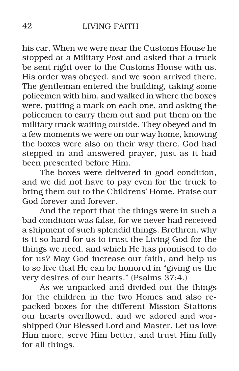his car. When we were near the Customs House he stopped at a Military Post and asked that a truck be sent right over to the Customs House with us. His order was obeyed, and we soon arrived there. The gentleman entered the building, taking some policemen with him, and walked in where the boxes were, putting a mark on each one, and asking the policemen to carry them out and put them on the military truck waiting outside. They obeyed and in a few moments we were on our way home, knowing the boxes were also on their way there. God had stepped in and answered prayer, just as it had been presented before Him.

The boxes were delivered in good condition, and we did not have to pay even for the truck to bring them out to the Childrens' Home. Praise our God forever and forever.

And the report that the things were in such a bad condition was false, for we never had received a shipment of such splendid things. Brethren, why is it so hard for us to trust the Living God for the things we need, and which He has promised to do for us? May God increase our faith, and help us to so live that He can be honored in "giving us the very desires of our hearts." (Psalms 37:4.)

As we unpacked and divided out the things for the children in the two Homes and also repacked boxes for the different Mission Stations our hearts overflowed, and we adored and worshipped Our Blessed Lord and Master. Let us love Him more, serve Him better, and trust Him fully for all things.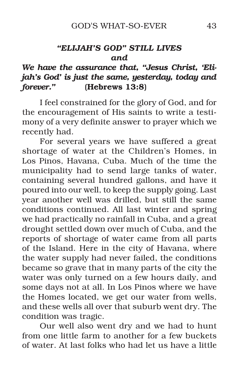# *"ELIJAH'S GOD" STILL LIVES and*

# <span id="page-42-0"></span>*We have the assurance that, "Jesus Christ, 'Elijah's God' is just the same, yesterday, today and forever."* **(Hebrews 13:8)**

I feel constrained for the glory of God, and for the encouragement of His saints to write a testimony of a very definite answer to prayer which we recently had.

For several years we have suffered a great shortage of water at the Children's Homes, in Los Pinos, Havana, Cuba. Much of the time the municipality had to send large tanks of water, containing several hundred gallons, and have it poured into our well, to keep the supply going. Last year another well was drilled, but still the same conditions continued. All last winter and spring we had practically no rainfall in Cuba, and a great drought settled down over much of Cuba, and the reports of shortage of water came from all parts of the Island. Here in the city of Havana, where the water supply had never failed, the conditions became so grave that in many parts of the city the water was only turned on a few hours daily, and some days not at all. In Los Pinos where we have the Homes located, we get our water from wells, and these wells all over that suburb went dry. The condition was tragic.

Our well also went dry and we had to hunt from one little farm to another for a few buckets of water. At last folks who had let us have a little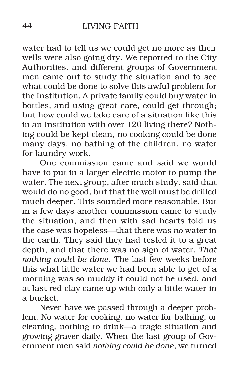water had to tell us we could get no more as their wells were also going dry. We reported to the City Authorities, and different groups of Government men came out to study the situation and to see what could be done to solve this awful problem for the Institution. A private family could buy water in bottles, and using great care, could get through; but how could we take care of a situation like this in an Institution with over 120 living there? Nothing could be kept clean, no cooking could be done many days, no bathing of the children, no water for laundry work.

One commission came and said we would have to put in a larger electric motor to pump the water. The next group, after much study, said that would do no good, but that the well must be drilled much deeper. This sounded more reasonable. But in a few days another commission came to study the situation, and then with sad hearts told us the case was hopeless—that there was *no* water in the earth. They said they had tested it to a great depth, and that there was no sign of water. *That nothing could be done.* The last few weeks before this what little water we had been able to get of a morning was so muddy it could not be used, and at last red clay came up with only a little water in a bucket.

Never have we passed through a deeper problem. No water for cooking, no water for bathing, or cleaning, nothing to drink—a tragic situation and growing graver daily. When the last group of Government men said *nothing could be done*, we turned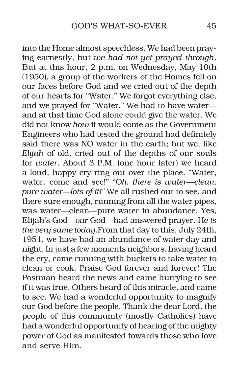<span id="page-44-0"></span>into the Home almost speechless. We had been praying earnestly, but *we had not yet prayed through*. But at this hour, 2 p.m. on Wednesday, May 10th (1950), a group of the workers of the Homes fell on our faces before God and we cried out of the depth of our hearts for "Water." We forgot everything else, and we prayed for "Water." We had to have water and at that time God alone could give the water. We did not know *how* it would come as the Government Engineers who had tested the ground had definitely said there was NO water in the earth; but we, like *Elijah* of old, cried out of the depths of our souls for *water*. About 3 P.M. (one hour later) we heard a loud, happy cry ring out over the place. "Water, water, come and see!" "O*h, there is water—clean, pure water—lots of it!"* We all rushed out to see, and there sure enough, running from all the water pipes, was water—clean—pure water in abundance. Yes, Elijah's God—*our* God—had answered prayer. H*e is the very same today.*From that day to this, July 24th, 1951, we have had an abundance of water day and night. In just a few moments neighbors, having heard the cry, came running with buckets to take water to clean or cook. Praise God forever and forever! The Postman heard the news and came hurrying to see if it was true. Others heard of this miracle, and came to see. We had a wonderful opportunity to magnify our God before the people. Thank the dear Lord, the people of this community (mostly Catholics) have had a wonderful opportunity of hearing of the mighty power of God as manifested towards those who love and serve Him.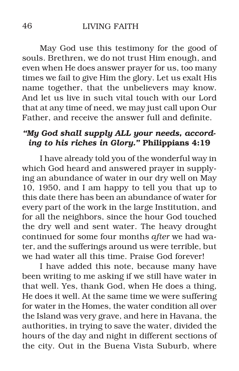May God use this testimony for the good of souls. Brethren, we do not trust Him enough, and even when He does answer prayer for us, too many times we fail to give Him the glory. Let us exalt His name together, that the unbelievers may know. And let us live in such vital touch with our Lord that at any time of need, we may just call upon Our Father, and receive the answer full and definite.

# *"My God shall supply ALL your needs, according to his riches in Glory."* **Philippians 4:19**

I have already told you of the wonderful way in which God heard and answered prayer in supplying an abundance of water in our dry well on May 10, 1950, and I am happy to tell you that up to this date there has been an abundance of water for every part of the work in the large Institution, and for all the neighbors, since the hour God touched the dry well and sent water. The heavy drought continued for some four months *after* we had water, and the sufferings around us were terrible, but we had water all this time. Praise God forever!

I have added this note, because many have been writing to me asking if we still have water in that well. Yes, thank God, when He does a thing, He does it well. At the same time we were suffering for water in the Homes, the water condition all over the Island was very grave, and here in Havana, the authorities, in trying to save the water, divided the hours of the day and night in different sections of the city. Out in the Buena Vista Suburb, where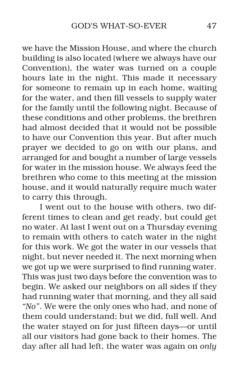<span id="page-46-0"></span>we have the Mission House, and where the church building is also located (where we always have our Convention), the water was turned on a couple hours late in the night. This made it necessary for someone to remain up in each home, waiting for the water, and then fill vessels to supply water for the family until the following night. Because of these conditions and other problems, the brethren had almost decided that it would not be possible to have our Convention this year. But after much prayer we decided to go on with our plans, and arranged for and bought a number of large vessels for water in the mission house. We always feed the brethren who come to this meeting at the mission house, and it would naturally require much water to carry this through.

I went out to the house with others, two different times to clean and get ready, but could get no water. At last I went out on a Thursday evening to remain with others to catch water in the night for this work. We got the water in our vessels that night, but never needed it. The next morning when we got up we were surprised to find running water. This was just two days before the convention was to begin. We asked our neighbors on all sides if they had running water that morning, and they all said *"No"*. We were the only ones who had, and none of them could understand; but we did, full well. And the water stayed on for just fifteen days—or until all our visitors had gone back to their homes. The day after all had left, the water was again on *only*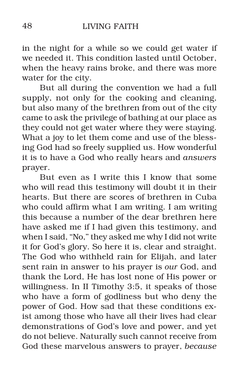in the night for a while so we could get water if we needed it. This condition lasted until October, when the heavy rains broke, and there was more water for the city.

But all during the convention we had a full supply, not only for the cooking and cleaning, but also many of the brethren from out of the city came to ask the privilege of bathing at our place as they could not get water where they were staying. What a joy to let them come and use of the blessing God had so freely supplied us. How wonderful it is to have a God who really hears and *answers*  prayer.

But even as I write this I know that some who will read this testimony will doubt it in their hearts. But there are scores of brethren in Cuba who could affirm what I am writing. I am writing this because a number of the dear brethren here have asked me if I had given this testimony, and when I said, "No," they asked me why I did not write it for God's glory. So here it is, clear and straight. The God who withheld rain for Elijah, and later sent rain in answer to his prayer is *our* God, and thank the Lord, He has lost none of His power or willingness. In II Timothy 3:5, it speaks of those who have a form of godliness but who deny the power of God. How sad that these conditions exist among those who have all their lives had clear demonstrations of God's love and power, and yet do not believe. Naturally such cannot receive from God these marvelous answers to prayer, *because*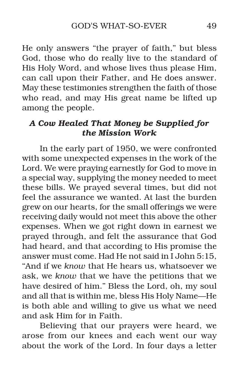<span id="page-48-0"></span>He only answers "the prayer of faith," but bless God, those who do really live to the standard of His Holy Word, and whose lives thus please Him, can call upon their Father, and He does answer. May these testimonies strengthen the faith of those who read, and may His great name be lifted up among the people.

# *A Cow Healed That Money be Supplied for the Mission Work*

In the early part of 1950, we were confronted with some unexpected expenses in the work of the Lord. We were praying earnestly for God to move in a special way, supplying the money needed to meet these bills. We prayed several times, but did not feel the assurance we wanted. At last the burden grew on our hearts, for the small offerings we were receiving daily would not meet this above the other expenses. When we got right down in earnest we prayed through, and felt the assurance that God had heard, and that according to His promise the answer must come. Had He not said in I John 5:15, "And if we *know* that He hears us, whatsoever we ask, we *know* that we have the petitions that we have desired of him." Bless the Lord, oh, my soul and all that is within me, bless His Holy Name—He is both able and willing to give us what we need and ask Him for in Faith.

Believing that our prayers were heard, we arose from our knees and each went our way about the work of the Lord. In four days a letter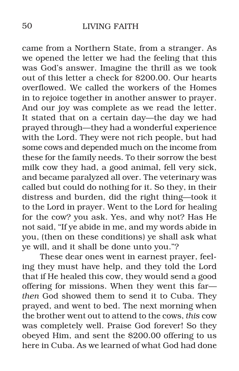came from a Northern State, from a stranger. As we opened the letter we had the feeling that this was God's answer. Imagine the thrill as we took out of this letter a check for \$200.00. Our hearts overflowed. We called the workers of the Homes in to rejoice together in another answer to prayer. And our joy was complete as we read the letter. It stated that on a certain day—the day we had prayed through—they had a wonderful experience with the Lord. They were not rich people, but had some cows and depended much on the income from these for the family needs. To their sorrow the best milk cow they had, a good animal, fell very sick, and became paralyzed all over. The veterinary was called but could do nothing for it. So they, in their distress and burden, did the right thing—took it to the Lord in prayer. Went to the Lord for healing for the cow? you ask. Yes, and why not? Has He not said, "If ye abide in me, and my words abide in you, (then on these conditions) ye shall ask what ye will, and it shall be done unto you."?

These dear ones went in earnest prayer, feeling they must have help, and they told the Lord that if He healed this cow, they would send a good offering for missions. When they went this far *then* God showed them to send it to Cuba. They prayed, and went to bed. The next morning when the brother went out to attend to the cows, *this* cow was completely well. Praise God forever! So they obeyed Him, and sent the \$200.00 offering to us here in Cuba. As we learned of what God had done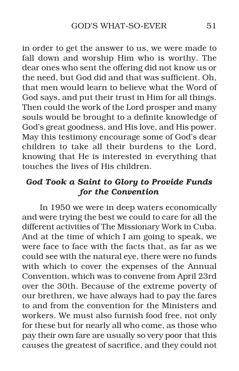<span id="page-50-0"></span>in order to get the answer to us, we were made to fall down and worship Him who is worthy. The dear ones who sent the offering did not know us or the need, but God did and that was sufficient. Oh, that men would learn to believe what the Word of God says, and put their trust in Him for all things. Then could the work of the Lord prosper and many souls would be brought to a definite knowledge of God's great goodness, and His love, and His power. May this testimony encourage some of God's dear children to take all their burdens to the Lord, knowing that He is interested in everything that touches the lives of His children.

# *God Took a Saint to Glory to Provide Funds for the Convention*

In 1950 we were in deep waters economically and were trying the best we could to care for all the different activities of The Missionary Work in Cuba. And at the time of which I am going to speak, we were face to face with the facts that, as far as we could see with the natural eye, there were no funds with which to cover the expenses of the Annual Convention, which was to convene from April 23rd over the 30th. Because of the extreme poverty of our brethren, we have always had to pay the fares to and from the convention for the Ministers and workers. We must also furnish food free, not only for these but for nearly all who come, as those who pay their own fare are usually so very poor that this causes the greatest of sacrifice, and they could not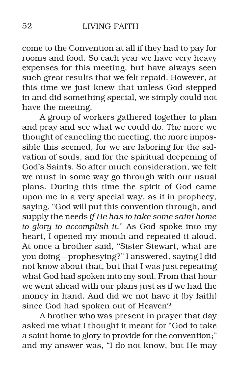come to the Convention at all if they had to pay for rooms and food. So each year we have very heavy expenses for this meeting, but have always seen such great results that we felt repaid. However, at this time we just knew that unless God stepped in and did something special, we simply could not have the meeting.

A group of workers gathered together to plan and pray and see what we could do. The more we thought of canceling the meeting, the more impossible this seemed, for we are laboring for the salvation of souls, and for the spiritual deepening of God's Saints. So after much consideration, we felt we must in some way go through with our usual plans. During this time the spirit of God came upon me in a very special way, as if in prophecy, saying, "God will put this convention through, and supply the needs *if He has to take some saint home to glory to accomplish it.*" As God spoke into my heart, I opened my mouth and repeated it aloud. At once a brother said, "Sister Stewart, what are you doing—prophesying?" I answered, saying I did not know about that, but that I was just repeating what God had spoken into my soul. From that hour we went ahead with our plans just as if we had the money in hand. And did we not have it (by faith) since God had spoken out of Heaven?

A brother who was present in prayer that day asked me what I thought it meant for "God to take a saint home to glory to provide for the convention;" and my answer was, "I do not know, but He may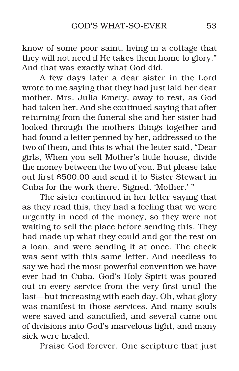<span id="page-52-0"></span>know of some poor saint, living in a cottage that they will not need if He takes them home to glory." And that was exactly what God did.

A few days later a dear sister in the Lord wrote to me saying that they had just laid her dear mother, Mrs. Julia Emery, away to rest, as God had taken her. And she continued saying that after returning from the funeral she and her sister had looked through the mothers things together and had found a letter penned by her, addressed to the two of them, and this is what the letter said, "Dear girls, When you sell Mother's little house, divide the money between the two of you. But please take out first \$500.00 and send it to Sister Stewart in Cuba for the work there. Signed, 'Mother.' "

The sister continued in her letter saying that as they read this, they had a feeling that we were urgently in need of the money, so they were not waiting to sell the place before sending this. They had made up what they could and got the rest on a loan, and were sending it at once. The check was sent with this same letter. And needless to say we had the most powerful convention we have ever had in Cuba. God's Holy Spirit was poured out in every service from the very first until the last—but increasing with each day. Oh, what glory was manifest in those services. And many souls were saved and sanctified, and several came out of divisions into God's marvelous light, and many sick were healed.

Praise God forever. One scripture that just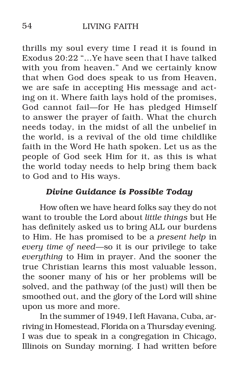thrills my soul every time I read it is found in Exodus 20:22 "…Ye have seen that I have talked with you from heaven." And we certainly know that when God does speak to us from Heaven, we are safe in accepting His message and acting on it. Where faith lays hold of the promises, God cannot fail—for He has pledged Himself to answer the prayer of faith. What the church needs today, in the midst of all the unbelief in the world, is a revival of the old time childlike faith in the Word He hath spoken. Let us as the people of God seek Him for it, as this is what the world today needs to help bring them back to God and to His ways.

# *Divine Guidance is Possible Today*

How often we have heard folks say they do not want to trouble the Lord about *little things* but He has definitely asked us to bring ALL our burdens to Him. He has promised to be a *present help* in *every time of need*—so it is our privilege to take *everything* to Him in prayer. And the sooner the true Christian learns this most valuable lesson, the sooner many of his or her problems will be solved, and the pathway (of the just) will then be smoothed out, and the glory of the Lord will shine upon us more and more.

In the summer of 1949, I left Havana, Cuba, arriving in Homestead, Florida on a Thursday evening. I was due to speak in a congregation in Chicago, Illinois on Sunday morning. I had written before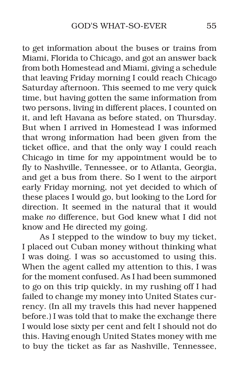<span id="page-54-0"></span>to get information about the buses or trains from Miami, Florida to Chicago, and got an answer back from both Homestead and Miami, giving a schedule that leaving Friday morning I could reach Chicago Saturday afternoon. This seemed to me very quick time, but having gotten the same information from two persons, living in different places, I counted on it, and left Havana as before stated, on Thursday. But when I arrived in Homestead I was informed that wrong information had been given from the ticket office, and that the only way I could reach Chicago in time for my appointment would be to fly to Nashville, Tennessee, or to Atlanta, Georgia, and get a bus from there. So I went to the airport early Friday morning, not yet decided to which of these places I would go, but looking to the Lord for direction. It seemed in the natural that it would make *no* difference, but God knew what I did not know and He directed my going.

As I stepped to the window to buy my ticket, I placed out Cuban money without thinking what I was doing. I was so accustomed to using this. When the agent called my attention to this, I was for the moment confused. As I had been summoned to go on this trip quickly, in my rushing off I had failed to change my money into United States currency. (In all my travels this had never happened before.) I was told that to make the exchange there I would lose sixty per cent and felt I should not do this. Having enough United States money with me to buy the ticket as far as Nashville, Tennessee,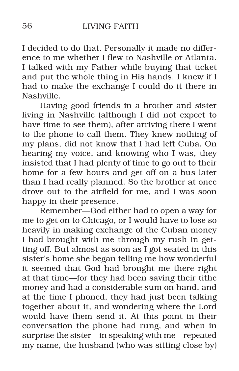I decided to do that. Personally it made no difference to me whether I flew to Nashville or Atlanta. I talked with my Father while buying that ticket and put the whole thing in His hands. I knew if I had to make the exchange I could do it there in Nashville.

Having good friends in a brother and sister living in Nashville (although I did not expect to have time to see them), after arriving there I went to the phone to call them. They knew nothing of my plans, did not know that I had left Cuba. On hearing my voice, and knowing who I was, they insisted that I had plenty of time to go out to their home for a few hours and get off on a bus later than I had really planned. So the brother at once drove out to the airfield for me, and I was soon happy in their presence.

Remember—God either had to open a way for me to get on to Chicago, or I would have to lose so heavily in making exchange of the Cuban money I had brought with me through my rush in getting off. But almost as soon as I got seated in this sister's home she began telling me how wonderful it seemed that God had brought me there right at that time—for they had been saving their tithe money and had a considerable sum on hand, and at the time I phoned, they had just been talking together about it, and wondering where the Lord would have them send it. At this point in their conversation the phone had rung, and when in surprise the sister—in speaking with me—repeated my name, the husband (who was sitting close by)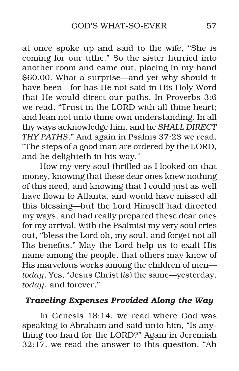<span id="page-56-0"></span>at once spoke up and said to the wife, "She is coming for our tithe." So the sister hurried into another room and came out, placing in my hand \$60.00. What a surprise—and yet why should it have been—for has He not said in His Holy Word that He would direct our paths. In Proverbs 3:6 we read, "Trust in the LORD with all thine heart; and lean not unto thine own understanding. In all thy ways acknowledge him, and he *SHALL DIRECT THY PATHS*." And again in Psalms 37:23 we read, "The steps of a good man are ordered by the LORD, and he delighteth in his way."

How my very soul thrilled as I looked on that money, knowing that these dear ones knew nothing of this need, and knowing that I could just as well have flown to Atlanta, and would have missed all this blessing—but the Lord Himself had directed my ways, and had really prepared these dear ones for my arrival. With the Psalmist my very soul cries out, "bless the Lord oh, my soul, and forget not all His benefits." May the Lord help us to exalt His name among the people, that others may know of His marvelous works among the children of men *today*. Yes, "Jesus Christ (*is*) the same—yesterday, *today*, and forever."

## *Traveling Expenses Provided Along the Way*

In Genesis 18:14, we read where God was speaking to Abraham and said unto him, "Is anything too hard for the LORD?" Again in Jeremiah 32:17, we read the answer to this question, "Ah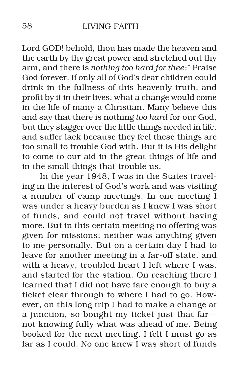Lord GOD! behold, thou has made the heaven and the earth by thy great power and stretched out thy arm, and there is *nothing too hard for thee*:" Praise God forever. If only all of God's dear children could drink in the fullness of this heavenly truth, and profit by it in their lives, what a change would come in the life of many a Christian. Many believe this and say that there is nothing *too hard* for our God, but they stagger over the little things needed in life, and suffer lack because they feel these things are too small to trouble God with. But it is His delight to come to our aid in the great things of life and in the small things that trouble us.

In the year 1948, I was in the States traveling in the interest of God's work and was visiting a number of camp meetings. In one meeting I was under a heavy burden as I knew I was short of funds, and could not travel without having more. But in this certain meeting no offering was given for missions; neither was anything given to me personally. But on a certain day I had to leave for another meeting in a far-off state, and with a heavy, troubled heart I left where I was, and started for the station. On reaching there I learned that I did not have fare enough to buy a ticket clear through to where I had to go. However, on this long trip I had to make a change at a junction, so bought my ticket just that far not knowing fully what was ahead of me. Being booked for the next meeting, I felt I must go as far as I could. No one knew I was short of funds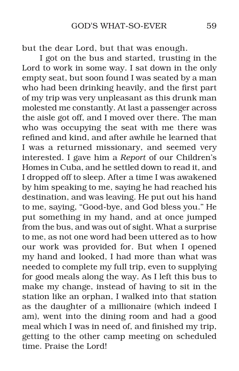<span id="page-58-0"></span>but the dear Lord, but that was enough.

I got on the bus and started, trusting in the Lord to work in some way. I sat down in the only empty seat, but soon found I was seated by a man who had been drinking heavily, and the first part of my trip was very unpleasant as this drunk man molested me constantly. At last a passenger across the aisle got off, and I moved over there. The man who was occupying the seat with me there was refined and kind, and after awhile he learned that I was a returned missionary, and seemed very interested. I gave him a *Report* of our Children's Homes in Cuba, and he settled down to read it, and I dropped off to sleep. After a time I was awakened by him speaking to me, saying he had reached his destination, and was leaving. He put out his hand to me, saying, "Good-bye, and God bless you." He put something in my hand, and at once jumped from the bus, and was out of sight. What a surprise to me, as not one word had been uttered as to how our work was provided for. But when I opened my hand and looked, I had more than what was needed to complete my full trip, even to supplying for good meals along the way. As I left this bus to make my change, instead of having to sit in the station like an orphan, I walked into that station as the daughter of a millionaire (which indeed I am), went into the dining room and had a good meal which I was in need of, and finished my trip, getting to the other camp meeting on scheduled time. Praise the Lord!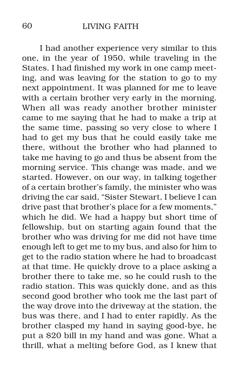I had another experience very similar to this one, in the year of 1950, while traveling in the States. I had finished my work in one camp meeting, and was leaving for the station to go to my next appointment. It was planned for me to leave with a certain brother very early in the morning. When all was ready another brother minister came to me saying that he had to make a trip at the same time, passing so very close to where I had to get my bus that he could easily take me there, without the brother who had planned to take me having to go and thus be absent from the morning service. This change was made, and we started. However, on our way, in talking together of a certain brother's family, the minister who was driving the car said, "Sister Stewart, I believe I can drive past that brother's place for a few moments," which he did. We had a happy but short time of fellowship, but on starting again found that the brother who was driving for me did not have time enough left to get me to my bus, and also for him to get to the radio station where he had to broadcast at that time. He quickly drove to a place asking a brother there to take me, so he could rush to the radio station. This was quickly done, and as this second good brother who took me the last part of the way drove into the driveway at the station, the bus was there, and I had to enter rapidly. As the brother clasped my hand in saying good-bye, he put a \$20 bill in my hand and was gone. What a thrill, what a melting before God, as I knew that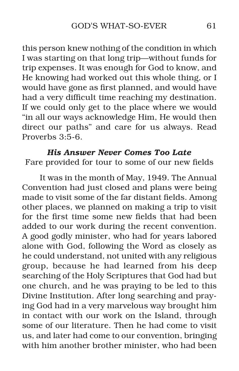<span id="page-60-0"></span>this person knew nothing of the condition in which I was starting on that long trip—without funds for trip expenses. It was enough for God to know, and He knowing had worked out this whole thing, or I would have gone as first planned, and would have had a very difficult time reaching my destination. If we could only get to the place where we would "in all our ways acknowledge Him, He would then direct our paths" and care for us always. Read Proverbs 3:5-6.

#### *His Answer Never Comes Too Late*

Fare provided for tour to some of our new fields

It was in the month of May, 1949. The Annual Convention had just closed and plans were being made to visit some of the far distant fields. Among other places, we planned on making a trip to visit for the first time some new fields that had been added to our work during the recent convention. A good godly minister, who had for years labored alone with God, following the Word as closely as he could understand, not united with any religious group, because he had learned from his deep searching of the Holy Scriptures that God had but one church, and he was praying to be led to this Divine Institution. After long searching and praying God had in a very marvelous way brought him in contact with our work on the Island, through some of our literature. Then he had come to visit us, and later had come to our convention, bringing with him another brother minister, who had been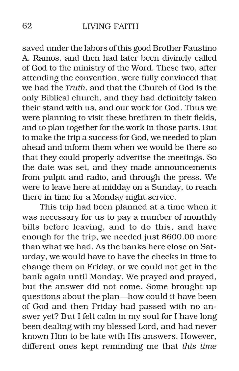#### 62 LIVING FAITH

saved under the labors of this good Brother Faustino A. Ramos, and then had later been divinely called of God to the ministry of the Word. These two, after attending the convention, were fully convinced that we had the *Truth*, and that the Church of God is the only Biblical church, and they had definitely taken their stand with us, and our work for God. Thus we were planning to visit these brethren in their fields, and to plan together for the work in those parts. But to make the trip a success for God, we needed to plan ahead and inform them when we would be there so that they could properly advertise the meetings. So the date was set, and they made announcements from pulpit and radio, and through the press. We were to leave here at midday on a Sunday, to reach there in time for a Monday night service.

This trip had been planned at a time when it was necessary for us to pay a number of monthly bills before leaving, and to do this, and have enough for the trip, we needed just \$600.00 more than what we had. As the banks here close on Saturday, we would have to have the checks in time to change them on Friday, or we could not get in the bank again until Monday. We prayed and prayed, but the answer did not come. Some brought up questions about the plan—how could it have been of God and then Friday had passed with no answer yet? But I felt calm in my soul for I have long been dealing with my blessed Lord, and had never known Him to be late with His answers. However, different ones kept reminding me that *this time*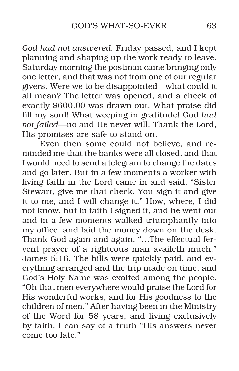<span id="page-62-0"></span>*God had not answered.* Friday passed, and I kept planning and shaping up the work ready to leave. Saturday morning the postman came bringing only one letter, and that was not from one of our regular givers. Were we to be disappointed—what could it all mean? The letter was opened, and a check of exactly \$600.00 was drawn out. What praise did fill my soul! What weeping in gratitude! God *had not failed*—no and He never will. Thank the Lord, His promises are safe to stand on.

Even then some could not believe, and reminded me that the banks were all closed, and that I would need to send a telegram to change the dates and go later. But in a few moments a worker with living faith in the Lord came in and said, "Sister Stewart, give me that check. You sign it and give it to me, and I will change it." How, where, I did not know, but in faith I signed it, and he went out and in a few moments walked triumphantly into my office, and laid the money down on the desk. Thank God again and again. "…The effectual fervent prayer of a righteous man availeth much." James 5:16. The bills were quickly paid, and everything arranged and the trip made on time, and God's Holy Name was exalted among the people. "Oh that men everywhere would praise the Lord for His wonderful works, and for His goodness to the children of men." After having been in the Ministry of the Word for 58 years, and living exclusively by faith, I can say of a truth "His answers never come too late."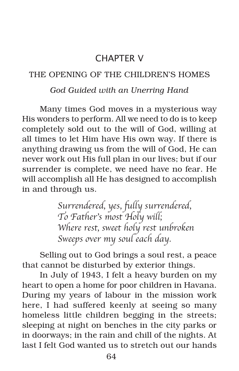# CHAPTER V

# THE OPENING OF THE CHILDREN'S HOMES

## *God Guided with an Unerring Hand*

Many times God moves in a mysterious way His wonders to perform. All we need to do is to keep completely sold out to the will of God, willing at all times to let Him have His own way. If there is anything drawing us from the will of God, He can never work out His full plan in our lives; but if our surrender is complete, we need have no fear. He will accomplish all He has designed to accomplish in and through us.

> Surrendered, yes, fully surrendered, To Father's most Holy will; Where rest, sweet holy rest unbroken Sweeps over my soul each day.

Selling out to God brings a soul rest, a peace that cannot be disturbed by exterior things.

In July of 1943, I felt a heavy burden on my heart to open a home for poor children in Havana. During my years of labour in the mission work here, I had suffered keenly at seeing so many homeless little children begging in the streets; sleeping at night on benches in the city parks or in doorways; in the rain and chill of the nights. At last I felt God wanted us to stretch out our hands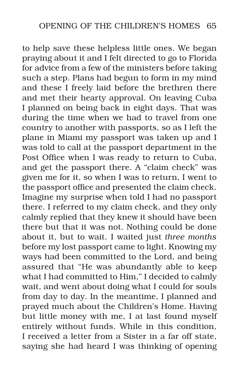<span id="page-64-0"></span>to help save these helpless little ones. We began praying about it and I felt directed to go to Florida for advice from a few of the ministers before taking such a step. Plans had begun to form in my mind and these I freely laid before the brethren there and met their hearty approval. On leaving Cuba I planned on being back in eight days. That was during the time when we had to travel from one country to another with passports, so as I left the plane in Miami my passport was taken up and I was told to call at the passport department in the Post Office when I was ready to return to Cuba, and get the passport there. A "claim check" was given me for it, so when I was to return, I went to the passport office and presented the claim check. Imagine my surprise when told I had no passport there. I referred to my claim check, and they only calmly replied that they knew it should have been there but that it was not. Nothing could be done about it, but to wait. I waited just *three months*  before my lost passport came to light. Knowing my ways had been committed to the Lord, and being assured that "He was abundantly able to keep what I had committed to Him," I decided to calmly wait, and went about doing what I could for souls from day to day. In the meantime, I planned and prayed much about the Children's Home. Having but little money with me, I at last found myself entirely without funds. While in this condition, I received a letter from a Sister in a far off state, saying she had heard I was thinking of opening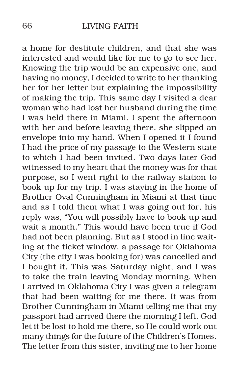a home for destitute children, and that she was interested and would like for me to go to see her. Knowing the trip would be an expensive one, and having no money, I decided to write to her thanking her for her letter but explaining the impossibility of making the trip. This same day I visited a dear woman who had lost her husband during the time I was held there in Miami. I spent the afternoon with her and before leaving there, she slipped an envelope into my hand. When I opened it I found I had the price of my passage to the Western state to which I had been invited. Two days later God witnessed to my heart that the money was for that purpose, so I went right to the railway station to book up for my trip. I was staying in the home of Brother Oval Cunningham in Miami at that time and as I told them what I was going out for, his reply was, "You will possibly have to book up and wait a month." This would have been true if God had not been planning. But as I stood in line waiting at the ticket window, a passage for Oklahoma City (the city I was booking for) was cancelled and I bought it. This was Saturday night, and I was to take the train leaving Monday morning. When I arrived in Oklahoma City I was given a telegram that had been waiting for me there. It was from Brother Cunningham in Miami telling me that my passport had arrived there the morning I left. God let it be lost to hold me there, so He could work out many things for the future of the Children's Homes. The letter from this sister, inviting me to her home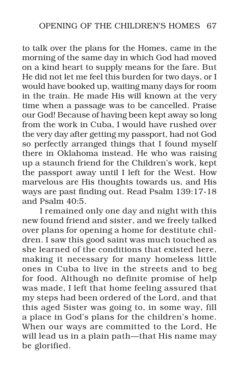<span id="page-66-0"></span>to talk over the plans for the Homes, came in the morning of the same day in which God had moved on a kind heart to supply means for the fare. But He did not let me feel this burden for two days, or I would have booked up, waiting many days for room in the train. He made His will known at the very time when a passage was to be cancelled. Praise our God! Because of having been kept away so long from the work in Cuba, I would have rushed over the very day after getting my passport, had not God so perfectly arranged things that I found myself there in Oklahoma instead. He who was raising up a staunch friend for the Children's work, kept the passport away until I left for the West. How marvelous are His thoughts towards us, and His ways are past finding out. Read Psalm 139:17-18 and Psalm 40:5.

I remained only one day and night with this new found friend and sister, and we freely talked over plans for opening a home for destitute children. I saw this good saint was much touched as she learned of the conditions that existed here, making it necessary for many homeless little ones in Cuba to live in the streets and to beg for food. Although no definite promise of help was made, I left that home feeling assured that my steps had been ordered of the Lord, and that this aged Sister was going to, in some way, fill a place in God's plans for the children's home. When our ways are committed to the Lord, He will lead us in a plain path—that His name may be glorified.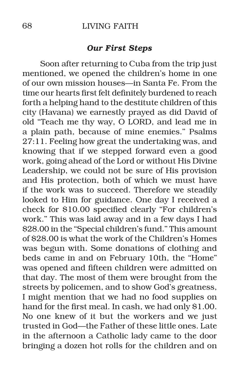### 68 LIVING FAITH

#### *Our First Steps*

Soon after returning to Cuba from the trip just mentioned, we opened the children's home in one of our own mission houses—in Santa Fe. From the time our hearts first felt definitely burdened to reach forth a helping hand to the destitute children of this city (Havana) we earnestly prayed as did David of old "Teach me thy way, O LORD, and lead me in a plain path, because of mine enemies." Psalms 27:11. Feeling how great the undertaking was, and knowing that if we stepped forward even a good work, going ahead of the Lord or without His Divine Leadership, we could not be sure of His provision and His protection, both of which we must have if the work was to succeed. Therefore we steadily looked to Him for guidance. One day I received a check for \$10.00 specified clearly "For children's work." This was laid away and in a few days I had \$28.00 in the "Special children's fund." This amount of \$28.00 is what the work of the Children's Homes was begun with. Some donations of clothing and beds came in and on February 10th, the "Home" was opened and fifteen children were admitted on that day. The most of them were brought from the streets by policemen, and to show God's greatness, I might mention that we had no food supplies on hand for the first meal. In cash, we had only \$1.00. No one knew of it but the workers and we just trusted in God—the Father of these little ones. Late in the afternoon a Catholic lady came to the door bringing a dozen hot rolls for the children and on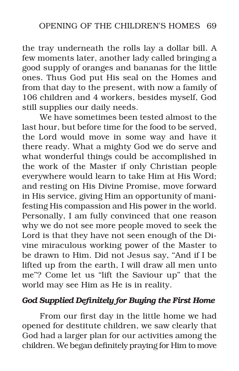<span id="page-68-0"></span>the tray underneath the rolls lay a dollar bill. A few moments later, another lady called bringing a good supply of oranges and bananas for the little ones. Thus God put His seal on the Homes and from that day to the present, with now a family of 106 children and 4 workers, besides myself, God still supplies our daily needs.

We have sometimes been tested almost to the last hour, but before time for the food to be served, the Lord would move in some way and have it there ready. What a mighty God we do serve and what wonderful things could be accomplished in the work of the Master if only Christian people everywhere would learn to take Him at His Word; and resting on His Divine Promise, move forward in His service, giving Him an opportunity of manifesting His compassion and His power in the world. Personally, I am fully convinced that one reason why we do not see more people moved to seek the Lord is that they have not seen enough of the Divine miraculous working power of the Master to be drawn to Him. Did not Jesus say, "And if I be lifted up from the earth, I will draw all men unto me"? Come let us "lift the Saviour up" that the world may see Him as He is in reality.

# *God Supplied Definitely for Buying the First Home*

From our first day in the little home we had opened for destitute children, we saw clearly that God had a larger plan for our activities among the children. We began definitely praying for Him to move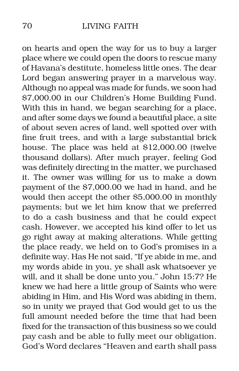on hearts and open the way for us to buy a larger place where we could open the doors to rescue many of Havana's destitute, homeless little ones. The dear Lord began answering prayer in a marvelous way. Although no appeal was made for funds, we soon had \$7,000.00 in our Children's Home Building Fund. With this in hand, we began searching for a place, and after some days we found a beautiful place, a site of about seven acres of land, well spotted over with fine fruit trees, and with a large substantial brick house. The place was held at \$12,000.00 (twelve thousand dollars). After much prayer, feeling God was definitely directing in the matter, we purchased it. The owner was willing for us to make a down payment of the \$7,000.00 we had in hand, and he would then accept the other \$5,000.00 in monthly payments; but we let him know that we preferred to do a cash business and that he could expect cash. However, we accepted his kind offer to let us go right away at making alterations. While getting the place ready, we held on to God's promises in a definite way. Has He not said, "If ye abide in me, and my words abide in you, ye shall ask whatsoever ye will, and it shall be done unto you." John 15:7? He knew we had here a little group of Saints who were abiding in Him, and His Word was abiding in them, so in unity we prayed that God would get to us the full amount needed before the time that had been fixed for the transaction of this business so we could pay cash and be able to fully meet our obligation. God's Word declares "Heaven and earth shall pass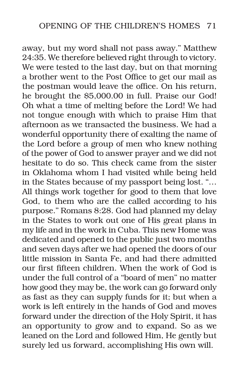<span id="page-70-0"></span>away, but my word shall not pass away." Matthew 24:35. We therefore believed right through to victory. We were tested to the last day, but on that morning a brother went to the Post Office to get our mail as the postman would leave the office. On his return, he brought the \$5,000.00 in full. Praise our God! Oh what a time of melting before the Lord! We had not tongue enough with which to praise Him that afternoon as we transacted the business. We had a wonderful opportunity there of exalting the name of the Lord before a group of men who knew nothing of the power of God to answer prayer and we did not hesitate to do so. This check came from the sister in Oklahoma whom I had visited while being held in the States because of my passport being lost. "… All things work together for good to them that love God, to them who are the called according to his purpose." Romans 8:28. God had planned my delay in the States to work out one of His great plans in my life and in the work in Cuba. This new Home was dedicated and opened to the public just two months and seven days after we had opened the doors of our little mission in Santa Fe, and had there admitted our first fifteen children. When the work of God is under the full control of a "board of men" no matter how good they may be, the work can go forward only as fast as they can supply funds for it; but when a work is left entirely in the hands of God and moves forward under the direction of the Holy Spirit, it has an opportunity to grow and to expand. So as we leaned on the Lord and followed Him, He gently but surely led us forward, accomplishing His own will.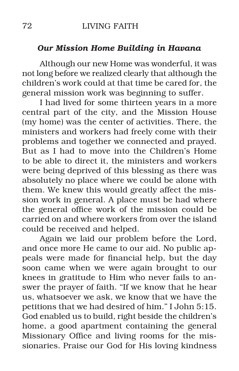# *Our Mission Home Building in Havana*

Although our new Home was wonderful, it was not long before we realized clearly that although the children's work could at that time be cared for, the general mission work was beginning to suffer.

I had lived for some thirteen years in a more central part of the city, and the Mission House (my home) was the center of activities. There, the ministers and workers had freely come with their problems and together we connected and prayed. But as I had to move into the Children's Home to be able to direct it, the ministers and workers were being deprived of this blessing as there was absolutely no place where we could be alone with them. We knew this would greatly affect the mission work in general. A place must be had where the general office work of the mission could be carried on and where workers from over the island could be received and helped.

Again we laid our problem before the Lord, and once more He came to our aid. No public appeals were made for financial help, but the day soon came when we were again brought to our knees in gratitude to Him who never fails to answer the prayer of faith. "If we know that he hear us, whatsoever we ask, we know that we have the petitions that we had desired of him." I John 5:15. God enabled us to build, right beside the children's home, a good apartment containing the general Missionary Office and living rooms for the missionaries. Praise our God for His loving kindness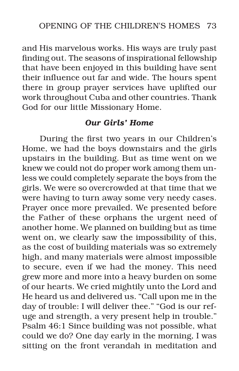<span id="page-72-0"></span>and His marvelous works. His ways are truly past finding out. The seasons of inspirational fellowship that have been enjoyed in this building have sent their influence out far and wide. The hours spent there in group prayer services have uplifted our work throughout Cuba and other countries. Thank God for our little Missionary Home.

# *Our Girls' Home*

During the first two years in our Children's Home, we had the boys downstairs and the girls upstairs in the building. But as time went on we knew we could not do proper work among them unless we could completely separate the boys from the girls. We were so overcrowded at that time that we were having to turn away some very needy cases. Prayer once more prevailed. We presented before the Father of these orphans the urgent need of another home. We planned on building but as time went on, we clearly saw the impossibility of this, as the cost of building materials was so extremely high, and many materials were almost impossible to secure, even if we had the money. This need grew more and more into a heavy burden on some of our hearts. We cried mightily unto the Lord and He heard us and delivered us. "Call upon me in the day of trouble: I will deliver thee." "God is our refuge and strength, a very present help in trouble." Psalm 46:1 Since building was not possible, what could we do? One day early in the morning, I was sitting on the front verandah in meditation and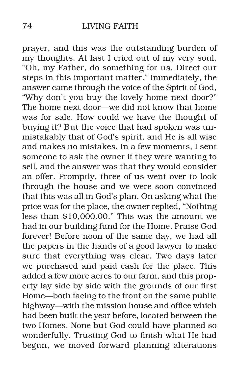prayer, and this was the outstanding burden of my thoughts. At last I cried out of my very soul, "Oh, my Father, do something for us. Direct our steps in this important matter." Immediately, the answer came through the voice of the Spirit of God, "Why don't you buy the lovely home next door?" The home next door—we did not know that home was for sale. How could we have the thought of buying it? But the voice that had spoken was unmistakably that of God's spirit, and He is all wise and makes no mistakes. In a few moments, I sent someone to ask the owner if they were wanting to sell, and the answer was that they would consider an offer. Promptly, three of us went over to look through the house and we were soon convinced that this was all in God's plan. On asking what the price was for the place, the owner replied, "Nothing less than \$10,000.00." This was the amount we had in our building fund for the Home. Praise God forever! Before noon of the same day, we had all the papers in the hands of a good lawyer to make sure that everything was clear. Two days later we purchased and paid cash for the place. This added a few more acres to our farm, and this property lay side by side with the grounds of our first Home—both facing to the front on the same public highway—with the mission house and office which had been built the year before, located between the two Homes. None but God could have planned so wonderfully. Trusting God to finish what He had begun, we moved forward planning alterations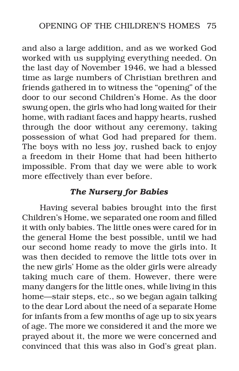<span id="page-74-0"></span>and also a large addition, and as we worked God worked with us supplying everything needed. On the last day of November 1946, we had a blessed time as large numbers of Christian brethren and friends gathered in to witness the "opening" of the door to our second Children's Home. As the door swung open, the girls who had long waited for their home, with radiant faces and happy hearts, rushed through the door without any ceremony, taking possession of what God had prepared for them. The boys with no less joy, rushed back to enjoy a freedom in their Home that had been hitherto impossible. From that day we were able to work more effectively than ever before.

# *The Nursery for Babies*

Having several babies brought into the first Children's Home, we separated one room and filled it with only babies. The little ones were cared for in the general Home the best possible, until we had our second home ready to move the girls into. It was then decided to remove the little tots over in the new girls' Home as the older girls were already taking much care of them. However, there were many dangers for the little ones, while living in this home—stair steps, etc., so we began again talking to the dear Lord about the need of a separate Home for infants from a few months of age up to six years of age. The more we considered it and the more we prayed about it, the more we were concerned and convinced that this was also in God's great plan.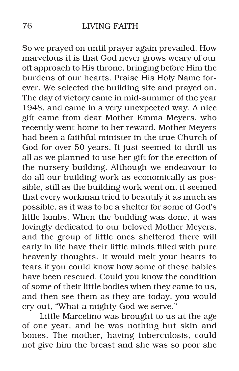So we prayed on until prayer again prevailed. How marvelous it is that God never grows weary of our oft approach to His throne, bringing before Him the burdens of our hearts. Praise His Holy Name forever. We selected the building site and prayed on. The day of victory came in mid-summer of the year 1948, and came in a very unexpected way. A nice gift came from dear Mother Emma Meyers, who recently went home to her reward. Mother Meyers had been a faithful minister in the true Church of God for over 50 years. It just seemed to thrill us all as we planned to use her gift for the erection of the nursery building. Although we endeavour to do all our building work as economically as possible, still as the building work went on, it seemed that every workman tried to beautify it as much as possible, as it was to be a shelter for some of God's little lambs. When the building was done, it was lovingly dedicated to our beloved Mother Meyers, and the group of little ones sheltered there will early in life have their little minds filled with pure heavenly thoughts. It would melt your hearts to tears if you could know how some of these babies have been rescued. Could you know the condition of some of their little bodies when they came to us, and then see them as they are today, you would cry out, "What a mighty God we serve."

Little Marcelino was brought to us at the age of one year, and he was nothing but skin and bones. The mother, having tuberculosis, could not give him the breast and she was so poor she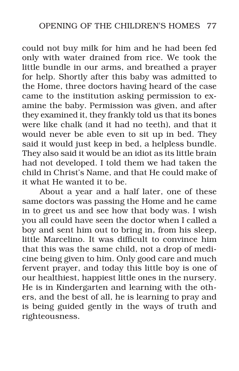<span id="page-76-0"></span>could not buy milk for him and he had been fed only with water drained from rice. We took the little bundle in our arms, and breathed a prayer for help. Shortly after this baby was admitted to the Home, three doctors having heard of the case came to the institution asking permission to examine the baby. Permission was given, and after they examined it, they frankly told us that its bones were like chalk (and it had no teeth), and that it would never be able even to sit up in bed. They said it would just keep in bed, a helpless bundle. They also said it would be an idiot as its little brain had not developed. I told them we had taken the child in Christ's Name, and that He could make of it what He wanted it to be.

About a year and a half later, one of these same doctors was passing the Home and he came in to greet us and see how that body was. I wish you all could have seen the doctor when I called a boy and sent him out to bring in, from his sleep, little Marcelino. It was difficult to convince him that this was the same child, not a drop of medicine being given to him. Only good care and much fervent prayer, and today this little boy is one of our healthiest, happiest little ones in the nursery. He is in Kindergarten and learning with the others, and the best of all, he is learning to pray and is being guided gently in the ways of truth and righteousness.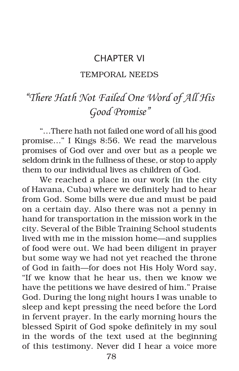# CHAPTER VI

#### TEMPORAL NEEDS

# "There Hath Not Failed One Word of All His Good Promise"

"…There hath not failed one word of all his good promise…" I Kings 8:56. We read the marvelous promises of God over and over but as a people we seldom drink in the fullness of these, or stop to apply them to our individual lives as children of God.

We reached a place in our work (in the city of Havana, Cuba) where we definitely had to hear from God. Some bills were due and must be paid on a certain day. Also there was not a penny in hand for transportation in the mission work in the city. Several of the Bible Training School students lived with me in the mission home—and supplies of food were out. We had been diligent in prayer but some way we had not yet reached the throne of God in faith—for does not His Holy Word say, "If we know that he hear us, then we know we have the petitions we have desired of him." Praise God. During the long night hours I was unable to sleep and kept pressing the need before the Lord in fervent prayer. In the early morning hours the blessed Spirit of God spoke definitely in my soul in the words of the text used at the beginning of this testimony. Never did I hear a voice more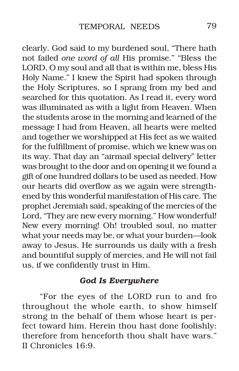<span id="page-78-0"></span>clearly. God said to my burdened soul, "There hath not failed *one word of all* His promise." "Bless the LORD, O my soul and all that is within me, bless His Holy Name." I knew the Spirit had spoken through the Holy Scriptures, so I sprang from my bed and searched for this quotation. As I read it, every word was illuminated as with a light from Heaven. When the students arose in the morning and learned of the message I had from Heaven, all hearts were melted and together we worshipped at His feet as we waited for the fulfillment of promise, which we knew was on its way. That day an "airmail special delivery" letter was brought to the door and on opening it we found a gift of one hundred dollars to be used as needed. How our hearts did overflow as we again were strengthened by this wonderful manifestation of His care. The prophet Jeremiah said, speaking of the mercies of the Lord, "They are new every morning." How wonderful! New every morning! Oh! troubled soul, no matter what your needs may be, or what your burden—look away to Jesus. He surrounds us daily with a fresh and bountiful supply of mercies, and He will not fail us, if we confidently trust in Him.

### *God Is Everywhere*

"For the eyes of the LORD run to and fro throughout the whole earth, to show himself strong in the behalf of them whose heart is perfect toward him. Herein thou hast done foolishly: therefore from henceforth thou shalt have wars." II Chronicles 16:9.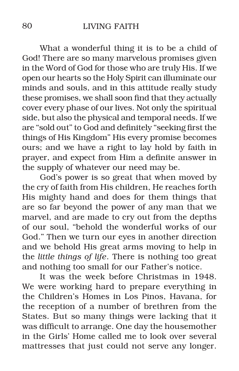What a wonderful thing it is to be a child of God! There are so many marvelous promises given in the Word of God for those who are truly His. If we open our hearts so the Holy Spirit can illuminate our minds and souls, and in this attitude really study these promises, we shall soon find that they actually cover every phase of our lives. Not only the spiritual side, but also the physical and temporal needs. If we are "sold out" to God and definitely "seeking first the things of His Kingdom" His every promise becomes ours; and we have a right to lay hold by faith in prayer, and expect from Him a definite answer in the supply of whatever our need may be.

God's power is so great that when moved by the cry of faith from His children, He reaches forth His mighty hand and does for them things that are so far beyond the power of any man that we marvel, and are made to cry out from the depths of our soul, "behold the wonderful works of our God." Then we turn our eyes in another direction and we behold His great arms moving to help in the *little things of life*. There is nothing too great and nothing too small for our Father's notice.

It was the week before Christmas in 1948. We were working hard to prepare everything in the Children's Homes in Los Pinos, Havana, for the reception of a number of brethren from the States. But so many things were lacking that it was difficult to arrange. One day the housemother in the Girls' Home called me to look over several mattresses that just could not serve any longer.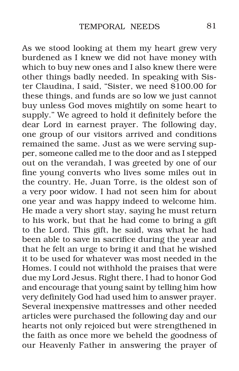<span id="page-80-0"></span>As we stood looking at them my heart grew very burdened as I knew we did not have money with which to buy new ones and I also knew there were other things badly needed. In speaking with Sister Claudina, I said, "Sister, we need \$100.00 for these things, and funds are so low we just cannot buy unless God moves mightily on some heart to supply." We agreed to hold it definitely before the dear Lord in earnest prayer. The following day, one group of our visitors arrived and conditions remained the same. Just as we were serving supper, someone called me to the door and as I stepped out on the verandah, I was greeted by one of our fine young converts who lives some miles out in the country. He, Juan Torre, is the oldest son of a very poor widow. I had not seen him for about one year and was happy indeed to welcome him. He made a very short stay, saying he must return to his work, but that he had come to bring a gift to the Lord. This gift, he said, was what he had been able to save in sacrifice during the year and that he felt an urge to bring it and that he wished it to be used for whatever was most needed in the Homes. I could not withhold the praises that were due my Lord Jesus. Right there, I had to honor God and encourage that young saint by telling him how very definitely God had used him to answer prayer. Several inexpensive mattresses and other needed articles were purchased the following day and our hearts not only rejoiced but were strengthened in the faith as once more we beheld the goodness of our Heavenly Father in answering the prayer of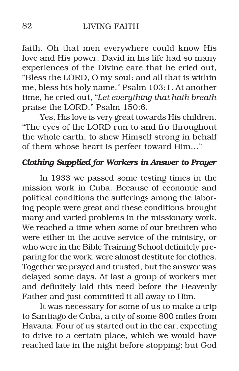faith. Oh that men everywhere could know His love and His power. David in his life had so many experiences of the Divine care that he cried out, "Bless the LORD, O my soul: and all that is within me, bless his holy name." Psalm 103:1. At another time, he cried out, "*Let everything that hath breath*  praise the LORD." Psalm 150:6.

Yes, His love is very great towards His children. "The eyes of the LORD run to and fro throughout the whole earth, to shew Himself strong in behalf of them whose heart is perfect toward Him…"

## *Clothing Supplied for Workers in Answer to Prayer*

In 1933 we passed some testing times in the mission work in Cuba. Because of economic and political conditions the sufferings among the laboring people were great and these conditions brought many and varied problems in the missionary work. We reached a time when some of our brethren who were either in the active service of the ministry, or who were in the Bible Training School definitely preparing for the work, were almost destitute for clothes. Together we prayed and trusted, but the answer was delayed some days. At last a group of workers met and definitely laid this need before the Heavenly Father and just committed it all away to Him.

It was necessary for some of us to make a trip to Santiago de Cuba, a city of some 800 miles from Havana. Four of us started out in the car, expecting to drive to a certain place, which we would have reached late in the night before stopping; but God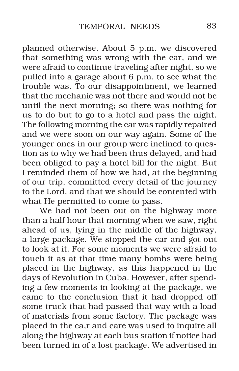<span id="page-82-0"></span>planned otherwise. About 5 p.m. we discovered that something was wrong with the car, and we were afraid to continue traveling after night, so we pulled into a garage about 6 p.m. to see what the trouble was. To our disappointment, we learned that the mechanic was not there and would not be until the next morning; so there was nothing for us to do but to go to a hotel and pass the night. The following morning the car was rapidly repaired and we were soon on our way again. Some of the younger ones in our group were inclined to question as to why we had been thus delayed, and had been obliged to pay a hotel bill for the night. But I reminded them of how we had, at the beginning of our trip, committed every detail of the journey to the Lord, and that we should be contented with what He permitted to come to pass.

We had not been out on the highway more than a half hour that morning when we saw, right ahead of us, lying in the middle of the highway, a large package. We stopped the car and got out to look at it. For some moments we were afraid to touch it as at that time many bombs were being placed in the highway, as this happened in the days of Revolution in Cuba. However, after spending a few moments in looking at the package, we came to the conclusion that it had dropped off some truck that had passed that way with a load of materials from some factory. The package was placed in the ca,r and care was used to inquire all along the highway at each bus station if notice had been turned in of a lost package. We advertised in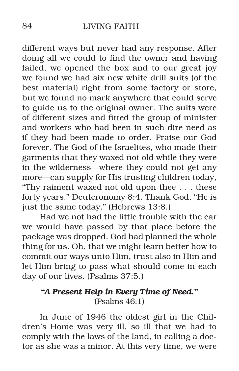different ways but never had any response. After doing all we could to find the owner and having failed, we opened the box and to our great joy we found we had six new white drill suits (of the best material) right from some factory or store, but we found no mark anywhere that could serve to guide us to the original owner. The suits were of different sizes and fitted the group of minister and workers who had been in such dire need as if they had been made to order. Praise our God forever. The God of the Israelites, who made their garments that they waxed not old while they were in the wilderness—where they could not get any more—can supply for His trusting children today, "Thy raiment waxed not old upon thee . . . these forty years." Deuteronomy 8:4. Thank God, "He is just the same today." (Hebrews 13:8.)

Had we not had the little trouble with the car we would have passed by that place before the package was dropped. God had planned the whole thing for us. Oh, that we might learn better how to commit our ways unto Him, trust also in Him and let Him bring to pass what should come in each day of our lives. (Psalms 37:5.)

# *"A Present Help in Every Time of Need."* (Psalms 46:1)

In June of 1946 the oldest girl in the Children's Home was very ill, so ill that we had to comply with the laws of the land, in calling a doctor as she was a minor. At this very time, we were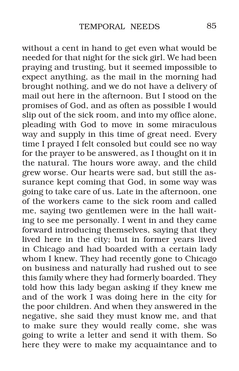<span id="page-84-0"></span>without a cent in hand to get even what would be needed for that night for the sick girl. We had been praying and trusting, but it seemed impossible to expect anything, as the mail in the morning had brought nothing, and we do not have a delivery of mail out here in the afternoon. But I stood on the promises of God, and as often as possible I would slip out of the sick room, and into my office alone, pleading with God to move in some miraculous way and supply in this time of great need. Every time I prayed I felt consoled but could see no way for the prayer to be answered, as I thought on it in the natural. The hours wore away, and the child grew worse. Our hearts were sad, but still the assurance kept coming that God, in some way was going to take care of us. Late in the afternoon, one of the workers came to the sick room and called me, saying two gentlemen were in the hall waiting to see me personally. I went in and they came forward introducing themselves, saying that they lived here in the city; but in former years lived in Chicago and had boarded with a certain lady whom I knew. They had recently gone to Chicago on business and naturally had rushed out to see this family where they had formerly boarded. They told how this lady began asking if they knew me and of the work I was doing here in the city for the poor children. And when they answered in the negative, she said they must know me, and that to make sure they would really come, she was going to write a letter and send it with them. So here they were to make my acquaintance and to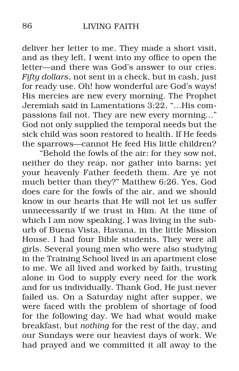deliver her letter to me. They made a short visit, and as they left, I went into my office to open the letter—and there was God's answer to our cries. *Fifty dollars*, not sent in a check, but in cash, just for ready use. Oh! how wonderful are God's ways! His mercies are new every morning. The Prophet Jeremiah said in Lamentations 3:22, "…His compassions fail not. They are new every morning…" God not only supplied the temporal needs but the sick child was soon restored to health. If He feeds the sparrows—cannot He feed His little children?

"Behold the fowls of the air: for they sow not, neither do they reap, nor gather into barns; yet your heavenly Father feedeth them. Are ye not much better than they?" Matthew 6:26. Yes, God does care for the fowls of the air, and we should know in our hearts that He will not let us suffer unnecessarily if we trust in Him. At the time of which I am now speaking, I was living in the suburb of Buena Vista, Havana, in the little Mission House. I had four Bible students. They were all girls. Several young men who were also studying in the Training School lived in an apartment close to me. We all lived and worked by faith, trusting alone in God to supply every need for the work and for us individually. Thank God, He just never failed us. On a Saturday night after supper, we were faced with the problem of shortage of food for the following day. We had what would make breakfast, but *nothing* for the rest of the day, and our Sundays were our heaviest days of work. We had prayed and we committed it all away to the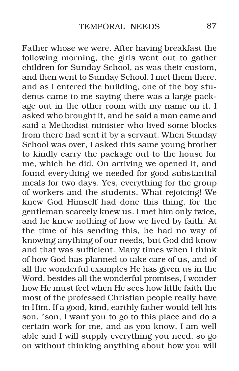<span id="page-86-0"></span>Father whose we were. After having breakfast the following morning, the girls went out to gather children for Sunday School, as was their custom, and then went to Sunday School. I met them there, and as I entered the building, one of the boy students came to me saying there was a large package out in the other room with my name on it. I asked who brought it, and he said a man came and said a Methodist minister who lived some blocks from there had sent it by a servant. When Sunday School was over, I asked this same young brother to kindly carry the package out to the house for me, which he did. On arriving we opened it, and found everything we needed for good substantial meals for two days. Yes, everything for the group of workers and the students. What rejoicing! We knew God Himself had done this thing, for the gentleman scarcely knew us. I met him only twice, and he knew nothing of how we lived by faith. At the time of his sending this, he had no way of knowing anything of our needs, but God did know and that was sufficient. Many times when I think of how God has planned to take care of us, and of all the wonderful examples He has given us in the Word, besides all the wonderful promises, I wonder how He must feel when He sees how little faith the most of the professed Christian people really have in Him. If a good, kind, earthly father would tell his son, "son, I want you to go to this place and do a certain work for me, and as you know, I am well able and I will supply everything you need, so go on without thinking anything about how you will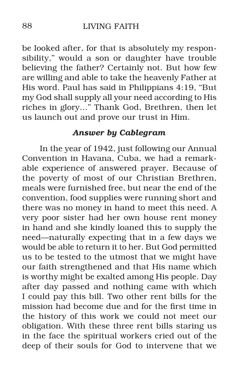#### 88 LIVING FAITH

be looked after, for that is absolutely my responsibility," would a son or daughter have trouble believing the father? Certainly not. But how few are willing and able to take the heavenly Father at His word. Paul has said in Philippians 4:19, "But my God shall supply all your need according to His riches in glory…" Thank God, Brethren, then let us launch out and prove our trust in Him.

#### *Answer by Cablegram*

In the year of 1942, just following our Annual Convention in Havana, Cuba, we had a remarkable experience of answered prayer. Because of the poverty of most of our Christian Brethren, meals were furnished free, but near the end of the convention, food supplies were running short and there was no money in hand to meet this need. A very poor sister had her own house rent money in hand and she kindly loaned this to supply the need—naturally expecting that in a few days we would be able to return it to her. But God permitted us to be tested to the utmost that we might have our faith strengthened and that His name which is worthy might be exalted among His people. Day after day passed and nothing came with which I could pay this bill. Two other rent bills for the mission had become due and for the first time in the history of this work we could not meet our obligation. With these three rent bills staring us in the face the spiritual workers cried out of the deep of their souls for God to intervene that we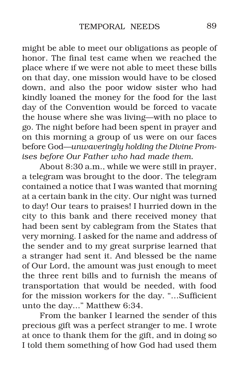<span id="page-88-0"></span>might be able to meet our obligations as people of honor. The final test came when we reached the place where if we were not able to meet these bills on that day, one mission would have to be closed down, and also the poor widow sister who had kindly loaned the money for the food for the last day of the Convention would be forced to vacate the house where she was living—with no place to go. The night before had been spent in prayer and on this morning a group of us were on our faces before God—*unwaveringly holding the Divine Promises before Our Father who had made them.*

About 8:30 a.m., while we were still in prayer, a telegram was brought to the door. The telegram contained a notice that I was wanted that morning at a certain bank in the city. Our night was turned to day! Our tears to praises! I hurried down in the city to this bank and there received money that had been sent by cablegram from the States that very morning. I asked for the name and address of the sender and to my great surprise learned that a stranger had sent it. And blessed be the name of Our Lord, the amount was just enough to meet the three rent bills and to furnish the means of transportation that would be needed, with food for the mission workers for the day. "…Sufficient unto the day..." Matthew 6:34.

From the banker I learned the sender of this precious gift was a perfect stranger to me. I wrote at once to thank them for the gift, and in doing so I told them something of how God had used them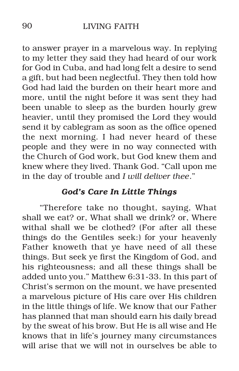#### 90 LIVING FAITH

to answer prayer in a marvelous way. In replying to my letter they said they had heard of our work for God in Cuba, and had long felt a desire to send a gift, but had been neglectful. They then told how God had laid the burden on their heart more and more, until the night before it was sent they had been unable to sleep as the burden hourly grew heavier, until they promised the Lord they would send it by cablegram as soon as the office opened the next morning. I had never heard of these people and they were in no way connected with the Church of God work, but God knew them and knew where they lived. Thank God. "Call upon me in the day of trouble and *I will deliver thee*."

### *God's Care In Little Things*

"Therefore take no thought, saying, What shall we eat? or, What shall we drink? or, Where withal shall we be clothed? (For after all these things do the Gentiles seek:) for your heavenly Father knoweth that ye have need of all these things. But seek ye first the Kingdom of God, and his righteousness; and all these things shall be added unto you." Matthew 6:31-33. In this part of Christ's sermon on the mount, we have presented a marvelous picture of His care over His children in the little things of life. We know that our Father has planned that man should earn his daily bread by the sweat of his brow. But He is all wise and He knows that in life's journey many circumstances will arise that we will not in ourselves be able to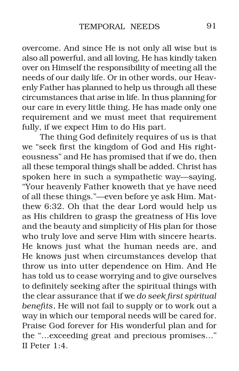<span id="page-90-0"></span>overcome. And since He is not only all wise but is also all powerful, and all loving, He has kindly taken over on Himself the responsibility of meeting all the needs of our daily life. Or in other words, our Heavenly Father has planned to help us through all these circumstances that arise in life. In thus planning for our care in every little thing, He has made only one requirement and we must meet that requirement fully, if we expect Him to do His part.

The thing God definitely requires of us is that we "seek first the kingdom of God and His righteousness" and He has promised that if we do, then all these temporal things shall be added. Christ has spoken here in such a sympathetic way—saying, "Your heavenly Father knoweth that ye have need of all these things."—even before ye ask Him. Matthew 6:32. Oh that the dear Lord would help us as His children to grasp the greatness of His love and the beauty and simplicity of His plan for those who truly love and serve Him with sincere hearts. He knows just what the human needs are, and He knows just when circumstances develop that throw us into utter dependence on Him. And He has told us to cease worrying and to give ourselves to definitely seeking after the spiritual things with the clear assurance that if we *do seek first spiritual benefits*, He will not fail to supply or to work out a way in which our temporal needs will be cared for. Praise God forever for His wonderful plan and for the "…exceeding great and precious promises…" II Peter 1:4.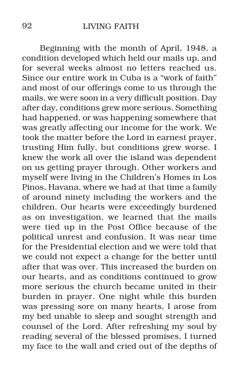Beginning with the month of April, 1948, a condition developed which held our mails up, and for several weeks almost no letters reached us. Since our entire work in Cuba is a "work of faith" and most of our offerings come to us through the mails, we were soon in a very difficult position. Day after day, conditions grew more serious. Something had happened, or was happening somewhere that was greatly affecting our income for the work. We took the matter before the Lord in earnest prayer, trusting Him fully, but conditions grew worse. I knew the work all over the island was dependent on us getting prayer through. Other workers and myself were living in the Children's Homes in Los Pinos, Havana, where we had at that time a family of around ninety including the workers and the children. Our hearts were exceedingly burdened as on investigation, we learned that the mails were tied up in the Post Office because of the political unrest and confusion. It was near time for the Presidential election and we were told that we could not expect a change for the better until after that was over. This increased the burden on our hearts, and as conditions continued to grow more serious the church became united in their burden in prayer. One night while this burden was pressing sore on many hearts, I arose from my bed unable to sleep and sought strength and counsel of the Lord. After refreshing my soul by reading several of the blessed promises, I turned my face to the wall and cried out of the depths of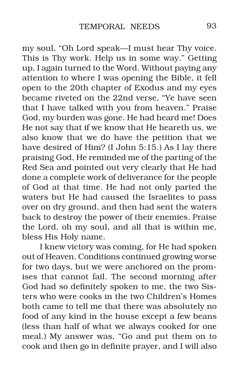<span id="page-92-0"></span>my soul, "Oh Lord speak—I must hear Thy voice. This is Thy work. Help us in some way." Getting up, I again turned to the Word. Without paying any attention to where I was opening the Bible, it fell open to the 20th chapter of Exodus and my eyes became riveted on the 22nd verse, "Ye have seen that I have talked with you from heaven." Praise God, my burden was gone. He had heard me! Does He not say that if we know that He heareth us, we also know that we do have the petition that we have desired of Him? (I John 5:15.) As I lay there praising God, He reminded me of the parting of the Red Sea and pointed out very clearly that He had done a complete work of deliverance for the people of God at that time. He had not only parted the waters but He had caused the Israelites to pass over on dry ground, and then had sent the waters back to destroy the power of their enemies. Praise the Lord, oh my soul, and all that is within me, bless His Holy name.

I knew victory was coming, for He had spoken out of Heaven. Conditions continued growing worse for two days, but we were anchored on the promises that cannot fail. The second morning after God had so definitely spoken to me, the two Sisters who were cooks in the two Children's Homes both came to tell me that there was absolutely no food of any kind in the house except a few beans (less than half of what we always cooked for one meal.) My answer was, "Go and put them on to cook and then go in definite prayer, and I will also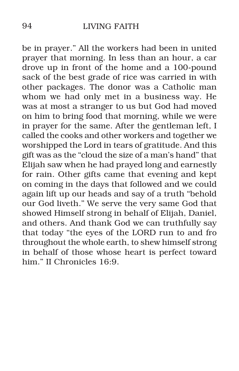be in prayer." All the workers had been in united prayer that morning. In less than an hour, a car drove up in front of the home and a 100-pound sack of the best grade of rice was carried in with other packages. The donor was a Catholic man whom we had only met in a business way. He was at most a stranger to us but God had moved on him to bring food that morning, while we were in prayer for the same. After the gentleman left, I called the cooks and other workers and together we worshipped the Lord in tears of gratitude. And this gift was as the "cloud the size of a man's hand" that Elijah saw when he had prayed long and earnestly for rain. Other gifts came that evening and kept on coming in the days that followed and we could again lift up our heads and say of a truth "behold our God liveth." We serve the very same God that showed Himself strong in behalf of Elijah, Daniel, and others. And thank God we can truthfully say that today "the eyes of the LORD run to and fro throughout the whole earth, to shew himself strong in behalf of those whose heart is perfect toward him." II Chronicles 16:9.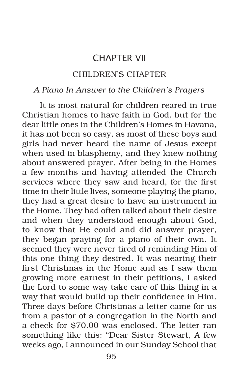## CHAPTER VII

#### CHILDREN'S CHAPTER

#### *A Piano In Answer to the Children's Prayers*

It is most natural for children reared in true Christian homes to have faith in God, but for the dear little ones in the Children's Homes in Havana, it has not been so easy, as most of these boys and girls had never heard the name of Jesus except when used in blasphemy, and they knew nothing about answered prayer. After being in the Homes a few months and having attended the Church services where they saw and heard, for the first time in their little lives, someone playing the piano, they had a great desire to have an instrument in the Home. They had often talked about their desire and when they understood enough about God, to know that He could and did answer prayer, they began praying for a piano of their own. It seemed they were never tired of reminding Him of this one thing they desired. It was nearing their first Christmas in the Home and as I saw them growing more earnest in their petitions, I asked the Lord to some way take care of this thing in a way that would build up their confidence in Him. Three days before Christmas a letter came for us from a pastor of a congregation in the North and a check for \$70.00 was enclosed. The letter ran something like this: "Dear Sister Stewart, A few weeks ago, I announced in our Sunday School that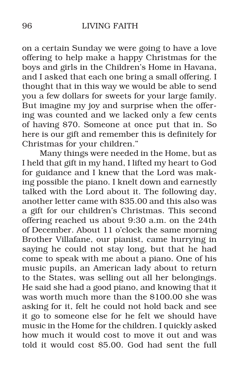on a certain Sunday we were going to have a love offering to help make a happy Christmas for the boys and girls in the Children's Home in Havana, and I asked that each one bring a small offering. I thought that in this way we would be able to send you a few dollars for sweets for your large family. But imagine my joy and surprise when the offering was counted and we lacked only a few cents of having \$70. Someone at once put that in. So here is our gift and remember this is definitely for Christmas for your children."

Many things were needed in the Home, but as I held that gift in my hand, I lifted my heart to God for guidance and I knew that the Lord was making possible the piano. I knelt down and earnestly talked with the Lord about it. The following day, another letter came with \$35.00 and this also was a gift for our children's Christmas. This second offering reached us about 9:30 a.m. on the 24th of December. About 11 o'clock the same morning Brother Villafane, our pianist, came hurrying in saying he could not stay long, but that he had come to speak with me about a piano. One of his music pupils, an American lady about to return to the States, was selling out all her belongings. He said she had a good piano, and knowing that it was worth much more than the \$100.00 she was asking for it, felt he could not hold back and see it go to someone else for he felt we should have music in the Home for the children. I quickly asked how much it would cost to move it out and was told it would cost \$5.00. God had sent the full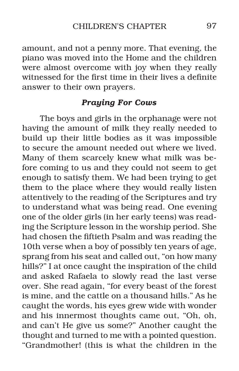<span id="page-96-0"></span>amount, and not a penny more. That evening, the piano was moved into the Home and the children were almost overcome with joy when they really witnessed for the first time in their lives a definite answer to their own prayers.

#### *Praying For Cows*

The boys and girls in the orphanage were not having the amount of milk they really needed to build up their little bodies as it was impossible to secure the amount needed out where we lived. Many of them scarcely knew what milk was before coming to us and they could not seem to get enough to satisfy them. We had been trying to get them to the place where they would really listen attentively to the reading of the Scriptures and try to understand what was being read. One evening one of the older girls (in her early teens) was reading the Scripture lesson in the worship period. She had chosen the fiftieth Psalm and was reading the 10th verse when a boy of possibly ten years of age, sprang from his seat and called out, "on how many hills?" I at once caught the inspiration of the child and asked Rafaela to slowly read the last verse over. She read again, "for every beast of the forest is mine, and the cattle on a thousand hills." As he caught the words, his eyes grew wide with wonder and his innermost thoughts came out, "Oh, oh, and can't He give us some?" Another caught the thought and turned to me with a pointed question. "Grandmother! (this is what the children in the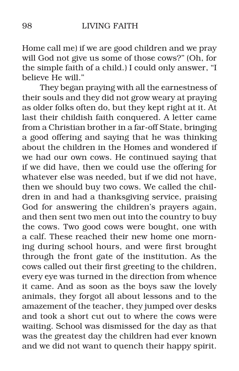Home call me) if we are good children and we pray will God not give us some of those cows?" (Oh, for the simple faith of a child.) I could only answer, "I believe He will."

They began praying with all the earnestness of their souls and they did not grow weary at praying as older folks often do, but they kept right at it. At last their childish faith conquered. A letter came from a Christian brother in a far-off State, bringing a good offering and saying that he was thinking about the children in the Homes and wondered if we had our own cows. He continued saying that if we did have, then we could use the offering for whatever else was needed, but if we did not have, then we should buy two cows. We called the children in and had a thanksgiving service, praising God for answering the children's prayers again, and then sent two men out into the country to buy the cows. Two good cows were bought, one with a calf. These reached their new home one morning during school hours, and were first brought through the front gate of the institution. As the cows called out their first greeting to the children, every eye was turned in the direction from whence it came. And as soon as the boys saw the lovely animals, they forgot all about lessons and to the amazement of the teacher, they jumped over desks and took a short cut out to where the cows were waiting. School was dismissed for the day as that was the greatest day the children had ever known and we did not want to quench their happy spirit.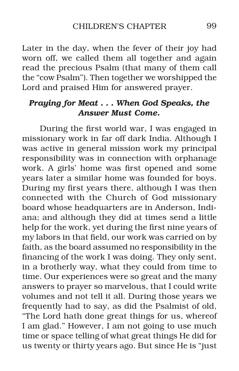<span id="page-98-0"></span>Later in the day, when the fever of their joy had worn off, we called them all together and again read the precious Psalm (that many of them call the "cow Psalm"). Then together we worshipped the Lord and praised Him for answered prayer.

## *Praying for Meat . . . When God Speaks, the Answer Must Come.*

During the first world war, I was engaged in missionary work in far off dark India. Although I was active in general mission work my principal responsibility was in connection with orphanage work. A girls' home was first opened and some years later a similar home was founded for boys. During my first years there, although I was then connected with the Church of God missionary board whose headquarters are in Anderson, Indiana; and although they did at times send a little help for the work, yet during the first nine years of my labors in that field, our work was carried on by faith, as the board assumed no responsibility in the financing of the work I was doing. They only sent, in a brotherly way, what they could from time to time. Our experiences were so great and the many answers to prayer so marvelous, that I could write volumes and not tell it all. During those years we frequently had to say, as did the Psalmist of old, "The Lord hath done great things for us, whereof I am glad." However, I am not going to use much time or space telling of what great things He did for us twenty or thirty years ago. But since He is "just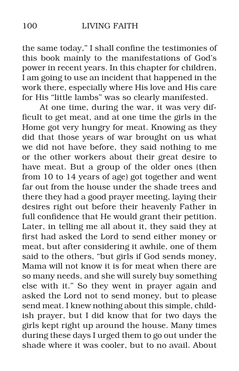the same today," I shall confine the testimonies of this book mainly to the manifestations of God's power in recent years. In this chapter for children, I am going to use an incident that happened in the work there, especially where His love and His care for His "little lambs" was so clearly manifested.

At one time, during the war, it was very difficult to get meat, and at one time the girls in the Home got very hungry for meat. Knowing as they did that those years of war brought on us what we did not have before, they said nothing to me or the other workers about their great desire to have meat. But a group of the older ones (then from 10 to 14 years of age) got together and went far out from the house under the shade trees and there they had a good prayer meeting, laying their desires right out before their heavenly Father in full confidence that He would grant their petition. Later, in telling me all about it, they said they at first had asked the Lord to send either money or meat, but after considering it awhile, one of them said to the others, "but girls if God sends money, Mama will not know it is for meat when there are so many needs, and she will surely buy something else with it." So they went in prayer again and asked the Lord not to send money, but to please send meat. I knew nothing about this simple, childish prayer, but I did know that for two days the girls kept right up around the house. Many times during these days I urged them to go out under the shade where it was cooler, but to no avail. About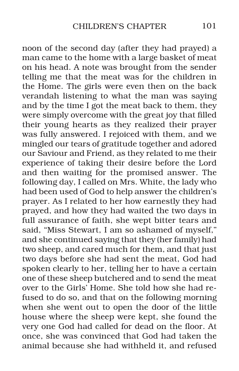<span id="page-100-0"></span>noon of the second day (after they had prayed) a man came to the home with a large basket of meat on his head. A note was brought from the sender telling me that the meat was for the children in the Home. The girls were even then on the back verandah listening to what the man was saying and by the time I got the meat back to them, they were simply overcome with the great joy that filled their young hearts as they realized their prayer was fully answered. I rejoiced with them, and we mingled our tears of gratitude together and adored our Saviour and Friend, as they related to me their experience of taking their desire before the Lord and then waiting for the promised answer. The following day, I called on Mrs. White, the lady who had been used of God to help answer the children's prayer. As I related to her how earnestly they had prayed, and how they had waited the two days in full assurance of faith, she wept bitter tears and said, "Miss Stewart, I am so ashamed of myself," and she continued saying that they (her family) had two sheep, and cared much for them, and that just two days before she had sent the meat, God had spoken clearly to her, telling her to have a certain one of these sheep butchered and to send the meat over to the Girls' Home. She told how she had refused to do so, and that on the following morning when she went out to open the door of the little house where the sheep were kept, she found the very one God had called for dead on the floor. At once, she was convinced that God had taken the animal because she had withheld it, and refused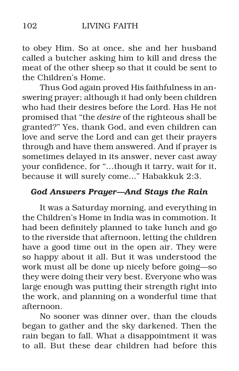to obey Him. So at once, she and her husband called a butcher asking him to kill and dress the meat of the other sheep so that it could be sent to the Children's Home.

Thus God again proved His faithfulness in answering prayer; although it had only been children who had their desires before the Lord. Has He not promised that "the *desire* of the righteous shall be granted?" Yes, thank God, and even children can love and serve the Lord and can get their prayers through and have them answered. And if prayer is sometimes delayed in its answer, never cast away your confidence, for "…though it tarry, wait for it, because it will surely come..." Habakkuk 2:3.

# *God Answers Prayer—And Stays the Rain*

It was a Saturday morning, and everything in the Children's Home in India was in commotion. It had been definitely planned to take lunch and go to the riverside that afternoon, letting the children have a good time out in the open air. They were so happy about it all. But it was understood the work must all be done up nicely before going—so they were doing their very best. Everyone who was large enough was putting their strength right into the work, and planning on a wonderful time that afternoon.

No sooner was dinner over, than the clouds began to gather and the sky darkened. Then the rain began to fall. What a disappointment it was to all. But these dear children had before this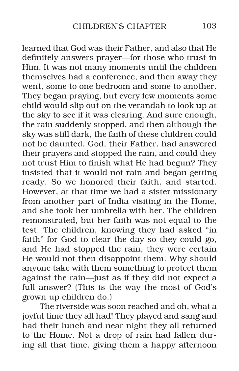<span id="page-102-0"></span>learned that God was their Father, and also that He definitely answers prayer—for those who trust in Him. It was not many moments until the children themselves had a conference, and then away they went, some to one bedroom and some to another. They began praying, but every few moments some child would slip out on the verandah to look up at the sky to see if it was clearing. And sure enough, the rain suddenly stopped, and then although the sky was still dark, the faith of these children could not be daunted. God, their Father, had answered their prayers and stopped the rain, and could they not trust Him to finish what He had begun? They insisted that it would not rain and began getting ready. So we honored their faith, and started. However, at that time we had a sister missionary from another part of India visiting in the Home, and she took her umbrella with her. The children remonstrated, but her faith was not equal to the test. The children, knowing they had asked "in faith" for God to clear the day so they could go, and He had stopped the rain, they were certain He would not then disappoint them. Why should anyone take with them something to protect them against the rain—just as if they did not expect a full answer? (This is the way the most of God's grown up children do.)

The riverside was soon reached and oh, what a joyful time they all had! They played and sang and had their lunch and near night they all returned to the Home. Not a drop of rain had fallen during all that time, giving them a happy afternoon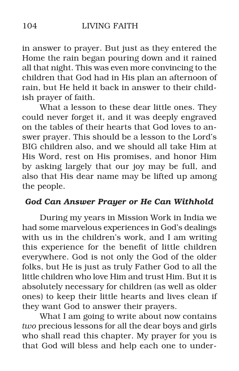in answer to prayer. But just as they entered the Home the rain began pouring down and it rained all that night. This was even more convincing to the children that God had in His plan an afternoon of rain, but He held it back in answer to their childish prayer of faith.

What a lesson to these dear little ones. They could never forget it, and it was deeply engraved on the tables of their hearts that God loves to answer prayer. This should be a lesson to the Lord's BIG children also, and we should all take Him at His Word, rest on His promises, and honor Him by asking largely that our joy may be full, and also that His dear name may be lifted up among the people.

## *God Can Answer Prayer or He Can Withhold*

During my years in Mission Work in India we had some marvelous experiences in God's dealings with us in the children's work, and I am writing this experience for the benefit of little children everywhere. God is not only the God of the older folks, but He is just as truly Father God to all the little children who love Him and trust Him. But it is absolutely necessary for children (as well as older ones) to keep their little hearts and lives clean if they want God to answer their prayers.

What I am going to write about now contains *two* precious lessons for all the dear boys and girls who shall read this chapter. My prayer for you is that God will bless and help each one to under-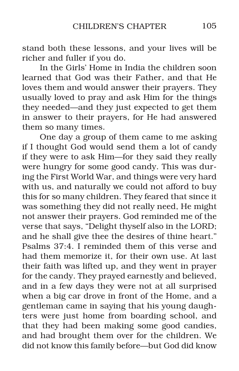<span id="page-104-0"></span>stand both these lessons, and your lives will be richer and fuller if you do.

In the Girls' Home in India the children soon learned that God was their Father, and that He loves them and would answer their prayers. They usually loved to pray and ask Him for the things they needed—and they just expected to get them in answer to their prayers, for He had answered them so many times.

One day a group of them came to me asking if I thought God would send them a lot of candy if they were to ask Him—for they said they really were hungry for some good candy. This was during the First World War, and things were very hard with us, and naturally we could not afford to buy this for so many children. They feared that since it was something they did not really need, He might not answer their prayers. God reminded me of the verse that says, "Delight thyself also in the LORD; and he shall give thee the desires of thine heart." Psalms 37:4. I reminded them of this verse and had them memorize it, for their own use. At last their faith was lifted up, and they went in prayer for the candy. They prayed earnestly and believed, and in a few days they were not at all surprised when a big car drove in front of the Home, and a gentleman came in saying that his young daughters were just home from boarding school, and that they had been making some good candies, and had brought them over for the children. We did not know this family before—but God did know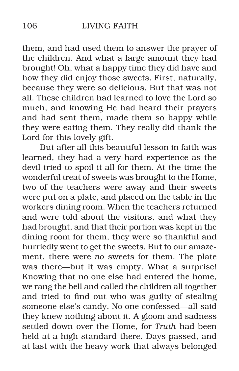them, and had used them to answer the prayer of the children. And what a large amount they had brought! Oh, what a happy time they did have and how they did enjoy those sweets. First, naturally, because they were so delicious. But that was not all. These children had learned to love the Lord so much, and knowing He had heard their prayers and had sent them, made them so happy while they were eating them. They really did thank the Lord for this lovely gift.

But after all this beautiful lesson in faith was learned, they had a very hard experience as the devil tried to spoil it all for them. At the time the wonderful treat of sweets was brought to the Home, two of the teachers were away and their sweets were put on a plate, and placed on the table in the workers dining room. When the teachers returned and were told about the visitors, and what they had brought, and that their portion was kept in the dining room for them, they were so thankful and hurriedly went to get the sweets. But to our amazement, there were *no* sweets for them. The plate was there—but it was empty. What a surprise! Knowing that no one else had entered the home, we rang the bell and called the children all together and tried to find out who was guilty of stealing someone else's candy. No one confessed—all said they knew nothing about it. A gloom and sadness settled down over the Home, for *Truth* had been held at a high standard there. Days passed, and at last with the heavy work that always belonged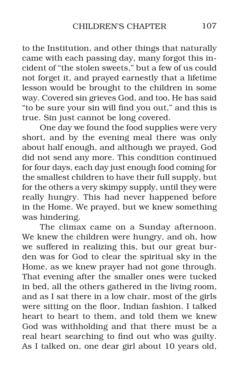<span id="page-106-0"></span>to the Institution, and other things that naturally came with each passing day, many forgot this incident of "the stolen sweets," but a few of us could not forget it, and prayed earnestly that a lifetime lesson would be brought to the children in some way. Covered sin grieves God, and too, He has said "to be sure your sin will find you out," and this is true. Sin just cannot be long covered.

One day we found the food supplies were very short, and by the evening meal there was only about half enough, and although we prayed, God did not send any more. This condition continued for four days, each day just enough food coming for the smallest children to have their full supply, but for the others a very skimpy supply, until they were really hungry. This had never happened before in the Home. We prayed, but we knew something was hindering.

The climax came on a Sunday afternoon. We knew the children were hungry, and oh, how we suffered in realizing this, but our great burden was for God to clear the spiritual sky in the Home, as we knew prayer had not gone through. That evening after the smaller ones were tucked in bed, all the others gathered in the living room, and as I sat there in a low chair, most of the girls were sitting on the floor, Indian fashion. I talked heart to heart to them, and told them we knew God was withholding and that there must be a real heart searching to find out who was guilty. As I talked on, one dear girl about 10 years old,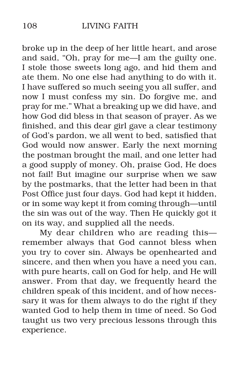broke up in the deep of her little heart, and arose and said, "Oh, pray for me—I am the guilty one. I stole those sweets long ago, and hid them and ate them. No one else had anything to do with it. I have suffered so much seeing you all suffer, and now I must confess my sin. Do forgive me, and pray for me." What a breaking up we did have, and how God did bless in that season of prayer. As we finished, and this dear girl gave a clear testimony of God's pardon, we all went to bed, satisfied that God would now answer. Early the next morning the postman brought the mail, and one letter had a good supply of money. Oh, praise God, He does not fail! But imagine our surprise when we saw by the postmarks, that the letter had been in that Post Office just four days. God had kept it hidden, or in some way kept it from coming through—until the sin was out of the way. Then He quickly got it on its way, and supplied all the needs.

My dear children who are reading this remember always that God cannot bless when you try to cover sin. Always be openhearted and sincere, and then when you have a need you can, with pure hearts, call on God for help, and He will answer. From that day, we frequently heard the children speak of this incident, and of how necessary it was for them always to do the right if they wanted God to help them in time of need. So God taught us two very precious lessons through this experience.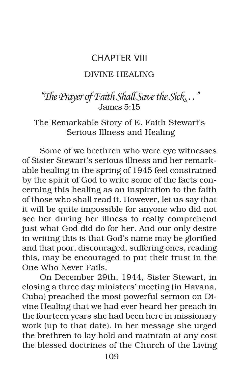# CHAPTER VIII

### DIVINE HEALING

# "The Prayer of Faith Shall Save the Sick…" James 5:15

The Remarkable Story of E. Faith Stewart's Serious Illness and Healing

Some of we brethren who were eye witnesses of Sister Stewart's serious illness and her remarkable healing in the spring of 1945 feel constrained by the spirit of God to write some of the facts concerning this healing as an inspiration to the faith of those who shall read it. However, let us say that it will be quite impossible for anyone who did not see her during her illness to really comprehend just what God did do for her. And our only desire in writing this is that God's name may be glorified and that poor, discouraged, suffering ones, reading this, may be encouraged to put their trust in the One Who Never Fails.

On December 29th, 1944, Sister Stewart, in closing a three day ministers' meeting (in Havana, Cuba) preached the most powerful sermon on Divine Healing that we had ever heard her preach in the fourteen years she had been here in missionary work (up to that date). In her message she urged the brethren to lay hold and maintain at any cost the blessed doctrines of the Church of the Living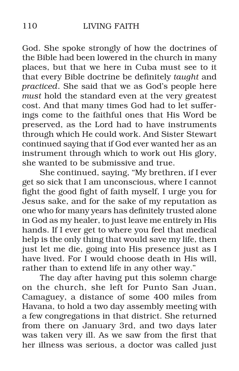God. She spoke strongly of how the doctrines of the Bible had been lowered in the church in many places, but that we here in Cuba must see to it that every Bible doctrine be definitely *taught* and *practiced*. She said that we as God's people here *must* hold the standard even at the very greatest cost. And that many times God had to let sufferings come to the faithful ones that His Word be preserved, as the Lord had to have instruments through which He could work. And Sister Stewart continued saying that if God ever wanted her as an instrument through which to work out His glory, she wanted to be submissive and true.

She continued, saying, "My brethren, if I ever get so sick that I am unconscious, where I cannot fight the good fight of faith myself, I urge you for Jesus sake, and for the sake of my reputation as one who for many years has definitely trusted alone in God as my healer, to just leave me entirely in His hands. If I ever get to where you feel that medical help is the only thing that would save my life, then just let me die, going into His presence just as I have lived. For I would choose death in His will, rather than to extend life in any other way."

The day after having put this solemn charge on the church, she left for Punto San Juan, Camaguey, a distance of some 400 miles from Havana, to hold a two day assembly meeting with a few congregations in that district. She returned from there on January 3rd, and two days later was taken very ill. As we saw from the first that her illness was serious, a doctor was called just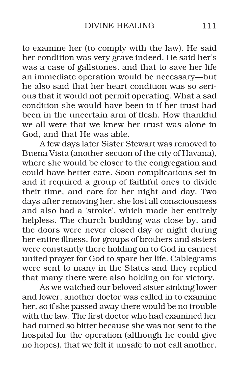<span id="page-110-0"></span>to examine her (to comply with the law). He said her condition was very grave indeed. He said her's was a case of gallstones, and that to save her life an immediate operation would be necessary—but he also said that her heart condition was so serious that it would not permit operating. What a sad condition she would have been in if her trust had been in the uncertain arm of flesh. How thankful we all were that we knew her trust was alone in God, and that He was able.

A few days later Sister Stewart was removed to Buena Vista (another section of the city of Havana), where she would be closer to the congregation and could have better care. Soon complications set in and it required a group of faithful ones to divide their time, and care for her night and day. Two days after removing her, she lost all consciousness and also had a 'stroke', which made her entirely helpless. The church building was close by, and the doors were never closed day or night during her entire illness, for groups of brothers and sisters were constantly there holding on to God in earnest united prayer for God to spare her life. Cablegrams were sent to many in the States and they replied that many there were also holding on for victory.

As we watched our beloved sister sinking lower and lower, another doctor was called in to examine her, so if she passed away there would be no trouble with the law. The first doctor who had examined her had turned so bitter because she was not sent to the hospital for the operation (although he could give no hopes), that we felt it unsafe to not call another.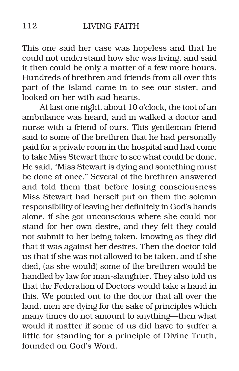This one said her case was hopeless and that he could not understand how she was living, and said it then could be only a matter of a few more hours. Hundreds of brethren and friends from all over this part of the Island came in to see our sister, and looked on her with sad hearts.

At last one night, about 10 o'clock, the toot of an ambulance was heard, and in walked a doctor and nurse with a friend of ours. This gentleman friend said to some of the brethren that he had personally paid for a private room in the hospital and had come to take Miss Stewart there to see what could be done. He said, "Miss Stewart is dying and something must be done at once." Several of the brethren answered and told them that before losing consciousness Miss Stewart had herself put on them the solemn responsibility of leaving her definitely in God's hands alone, if she got unconscious where she could not stand for her own desire, and they felt they could not submit to her being taken, knowing as they did that it was against her desires. Then the doctor told us that if she was not allowed to be taken, and if she died, (as she would) some of the brethren would be handled by law for man-slaughter. They also told us that the Federation of Doctors would take a hand in this. We pointed out to the doctor that all over the land, men are dying for the sake of principles which many times do not amount to anything—then what would it matter if some of us did have to suffer a little for standing for a principle of Divine Truth, founded on God's Word.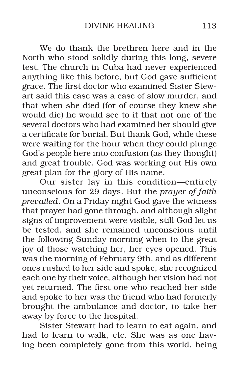<span id="page-112-0"></span>We do thank the brethren here and in the North who stood solidly during this long, severe test. The church in Cuba had never experienced anything like this before, but God gave sufficient grace. The first doctor who examined Sister Stewart said this case was a case of slow murder, and that when she died (for of course they knew she would die) he would see to it that not one of the several doctors who had examined her should give a certificate for burial. But thank God, while these were waiting for the hour when they could plunge God's people here into confusion (as they thought) and great trouble, God was working out His own great plan for the glory of His name.

Our sister lay in this condition—entirely unconscious for 29 days. But the *prayer of faith prevailed*. On a Friday night God gave the witness that prayer had gone through, and although slight signs of improvement were visible, still God let us be tested, and she remained unconscious until the following Sunday morning when to the great joy of those watching her, her eyes opened. This was the morning of February 9th, and as different ones rushed to her side and spoke, she recognized each one by their voice, although her vision had not yet returned. The first one who reached her side and spoke to her was the friend who had formerly brought the ambulance and doctor, to take her away by force to the hospital.

Sister Stewart had to learn to eat again, and had to learn to walk, etc. She was as one having been completely gone from this world, being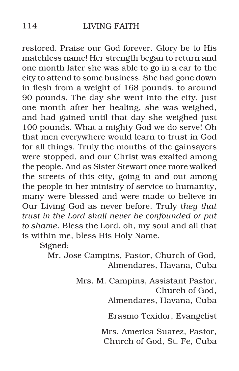restored. Praise our God forever. Glory be to His matchless name! Her strength began to return and one month later she was able to go in a car to the city to attend to some business. She had gone down in flesh from a weight of 168 pounds, to around 90 pounds. The day she went into the city, just one month after her healing, she was weighed, and had gained until that day she weighed just 100 pounds. What a mighty God we do serve! Oh that men everywhere would learn to trust in God for all things. Truly the mouths of the gainsayers were stopped, and our Christ was exalted among the people. And as Sister Stewart once more walked the streets of this city, going in and out among the people in her ministry of service to humanity, many were blessed and were made to believe in Our Living God as never before. Truly t*hey that trust in the Lord shall never be confounded or put to shame.* Bless the Lord, oh, my soul and all that is within me, bless His Holy Name.

Signed:

 Mr. Jose Campins, Pastor, Church of God, Almendares, Havana, Cuba

> Mrs. M. Campins, Assistant Pastor, Church of God,

Almendares, Havana, Cuba

Erasmo Texidor, Evangelist

Mrs. America Suarez, Pastor, Church of God, St. Fe, Cuba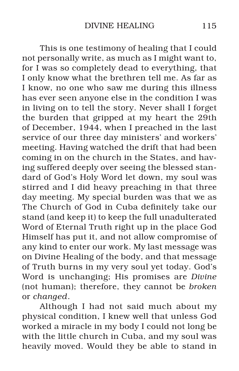<span id="page-114-0"></span>This is one testimony of healing that I could not personally write, as much as I might want to, for I was so completely dead to everything, that I only know what the brethren tell me. As far as I know, no one who saw me during this illness has ever seen anyone else in the condition I was in living on to tell the story. Never shall I forget the burden that gripped at my heart the 29th of December, 1944, when I preached in the last service of our three day ministers' and workers' meeting. Having watched the drift that had been coming in on the church in the States, and having suffered deeply over seeing the blessed standard of God's Holy Word let down, my soul was stirred and I did heavy preaching in that three day meeting. My special burden was that we as The Church of God in Cuba definitely take our stand (and keep it) to keep the full unadulterated Word of Eternal Truth right up in the place God Himself has put it, and not allow compromise of any kind to enter our work. My last message was on Divine Healing of the body, and that message of Truth burns in my very soul yet today. God's Word is unchanging; His promises are *Divine* (not human); therefore, they cannot be *broken* or *changed*.

Although I had not said much about my physical condition, I knew well that unless God worked a miracle in my body I could not long be with the little church in Cuba, and my soul was heavily moved. Would they be able to stand in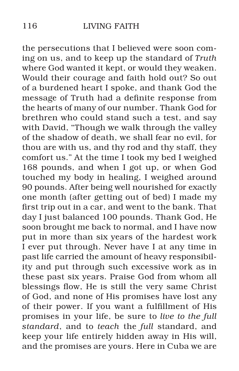the persecutions that I believed were soon coming on us, and to keep up the standard of *Truth*  where God wanted it kept, or would they weaken. Would their courage and faith hold out? So out of a burdened heart I spoke, and thank God the message of Truth had a definite response from the hearts of many of our number. Thank God for brethren who could stand such a test, and say with David, "Though we walk through the valley of the shadow of death, we shall fear no evil, for thou are with us, and thy rod and thy staff, they comfort us." At the time I took my bed I weighed 168 pounds, and when I got up, or when God touched my body in healing, I weighed around 90 pounds. After being well nourished for exactly one month (after getting out of bed) I made my first trip out in a car, and went to the bank. That day I just balanced 100 pounds. Thank God, He soon brought me back to normal, and I have now put in more than six years of the hardest work I ever put through. Never have I at any time in past life carried the amount of heavy responsibility and put through such excessive work as in these past six years. Praise God from whom all blessings flow, He is still the very same Christ of God, and none of His promises have lost any of their power. If you want a fulfillment of His promises in your life, be sure to *live to the full standard*, and to *teach* the *full* standard, and keep your life entirely hidden away in His will, and the promises are yours. Here in Cuba we are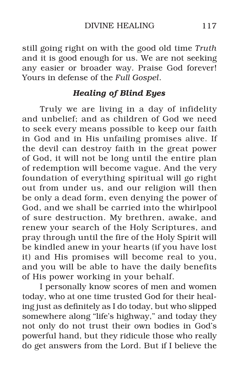[DIVINE HEALING](#page-116-0) [117](#page-116-0)

<span id="page-116-0"></span>still going right on with the good old time *Truth* and it is good enough for us. We are not seeking any easier or broader way. Praise God forever! Yours in defense of the *Full Gospel*.

## *Healing of Blind Eyes*

Truly we are living in a day of infidelity and unbelief; and as children of God we need to seek every means possible to keep our faith in God and in His unfailing promises alive. If the devil can destroy faith in the great power of God, it will not be long until the entire plan of redemption will become vague. And the very foundation of everything spiritual will go right out from under us, and our religion will then be only a dead form, even denying the power of God, and we shall be carried into the whirlpool of sure destruction. My brethren, awake, and renew your search of the Holy Scriptures, and pray through until the fire of the Holy Spirit will be kindled anew in your hearts (if you have lost it) and His promises will become real to you, and you will be able to have the daily benefits of His power working in your behalf.

I personally know scores of men and women today, who at one time trusted God for their healing just as definitely as I do today, but who slipped somewhere along "life's highway," and today they not only do not trust their own bodies in God's powerful hand, but they ridicule those who really do get answers from the Lord. But if I believe the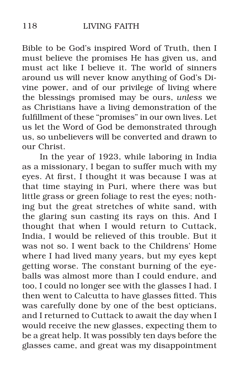Bible to be God's inspired Word of Truth, then I must believe the promises He has given us, and must act like I believe it. The world of sinners around us will never know anything of God's Divine power, and of our privilege of living where the blessings promised may be ours, *unless* we as Christians have a living demonstration of the fulfillment of these "promises" in our own lives. Let us let the Word of God be demonstrated through us, so unbelievers will be converted and drawn to our Christ.

In the year of 1923, while laboring in India as a missionary, I began to suffer much with my eyes. At first, I thought it was because I was at that time staying in Puri, where there was but little grass or green foliage to rest the eyes; nothing but the great stretches of white sand, with the glaring sun casting its rays on this. And I thought that when I would return to Cuttack, India, I would be relieved of this trouble. But it was not so. I went back to the Childrens' Home where I had lived many years, but my eyes kept getting worse. The constant burning of the eyeballs was almost more than I could endure, and too, I could no longer see with the glasses I had. I then went to Calcutta to have glasses fitted. This was carefully done by one of the best opticians, and I returned to Cuttack to await the day when I would receive the new glasses, expecting them to be a great help. It was possibly ten days before the glasses came, and great was my disappointment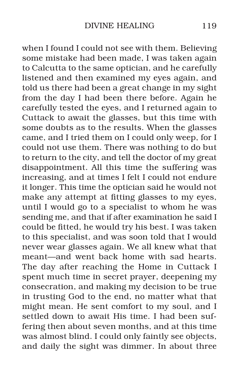<span id="page-118-0"></span>when I found I could not see with them. Believing some mistake had been made, I was taken again to Calcutta to the same optician, and he carefully listened and then examined my eyes again, and told us there had been a great change in my sight from the day I had been there before. Again he carefully tested the eyes, and I returned again to Cuttack to await the glasses, but this time with some doubts as to the results. When the glasses came, and I tried them on I could only weep, for I could not use them. There was nothing to do but to return to the city, and tell the doctor of my great disappointment. All this time the suffering was increasing, and at times I felt I could not endure it longer. This time the optician said he would not make any attempt at fitting glasses to my eyes, until I would go to a specialist to whom he was sending me, and that if after examination he said I could be fitted, he would try his best. I was taken to this specialist, and was soon told that I would never wear glasses again. We all knew what that meant—and went back home with sad hearts. The day after reaching the Home in Cuttack I spent much time in secret prayer, deepening my consecration, and making my decision to be true in trusting God to the end, no matter what that might mean. He sent comfort to my soul, and I settled down to await His time. I had been suffering then about seven months, and at this time was almost blind. I could only faintly see objects, and daily the sight was dimmer. In about three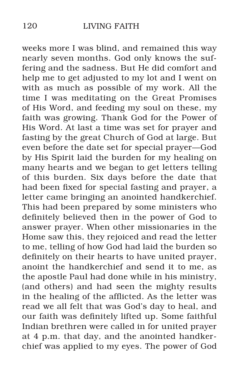weeks more I was blind, and remained this way nearly seven months. God only knows the suffering and the sadness. But He did comfort and help me to get adjusted to my lot and I went on with as much as possible of my work. All the time I was meditating on the Great Promises of His Word, and feeding my soul on these, my faith was growing. Thank God for the Power of His Word. At last a time was set for prayer and fasting by the great Church of God at large. But even before the date set for special prayer—God by His Spirit laid the burden for my healing on many hearts and we began to get letters telling of this burden. Six days before the date that had been fixed for special fasting and prayer, a letter came bringing an anointed handkerchief. This had been prepared by some ministers who definitely believed then in the power of God to answer prayer. When other missionaries in the Home saw this, they rejoiced and read the letter to me, telling of how God had laid the burden so definitely on their hearts to have united prayer, anoint the handkerchief and send it to me, as the apostle Paul had done while in his ministry, (and others) and had seen the mighty results in the healing of the afflicted. As the letter was read we all felt that was God's day to heal, and our faith was definitely lifted up. Some faithful Indian brethren were called in for united prayer at 4 p.m. that day, and the anointed handkerchief was applied to my eyes. The power of God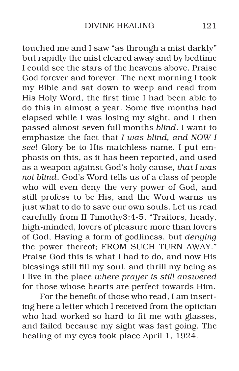<span id="page-120-0"></span>touched me and I saw "as through a mist darkly" but rapidly the mist cleared away and by bedtime I could see the stars of the heavens above. Praise God forever and forever. The next morning I took my Bible and sat down to weep and read from His Holy Word, the first time I had been able to do this in almost a year. Some five months had elapsed while I was losing my sight, and I then passed almost seven full months *blind*. I want to emphasize the fact that *I was blind, and NOW I see*! Glory be to His matchless name. I put emphasis on this, as it has been reported, and used as a weapon against God's holy cause, *that I was not blind*. God's Word tells us of a class of people who will even deny the very power of God, and still profess to be His, and the Word warns us just what to do to save our own souls. Let us read carefully from II Timothy3:4-5, "Traitors, heady, high-minded, lovers of pleasure more than lovers of God, Having a form of godliness, but *denying* the power thereof; FROM SUCH TURN AWAY." Praise God this is what I had to do, and now His blessings still fill my soul, and thrill my being as I live in the place *where prayer is still answered* for those whose hearts are perfect towards Him.

For the benefit of those who read, I am inserting here a letter which I received from the optician who had worked so hard to fit me with glasses, and failed because my sight was fast going. The healing of my eyes took place April 1, 1924.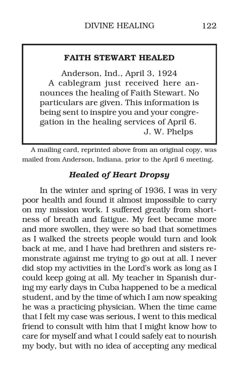### **FAITH STEWART HEALED**

Anderson, Ind., April 3, 1924 A cablegram just received here announces the healing of Faith Stewart. No particulars are given. This information is being sent to inspire you and your congregation in the healing services of April 6. J. W. Phelps

A mailing card, reprinted above from an original copy, was mailed from Anderson, Indiana, prior to the April 6 meeting.

### *Healed of Heart Dropsy*

In the winter and spring of 1936, I was in very poor health and found it almost impossible to carry on my mission work. I suffered greatly from shortness of breath and fatigue. My feet became more and more swollen, they were so bad that sometimes as I walked the streets people would turn and look back at me, and I have had brethren and sisters remonstrate against me trying to go out at all. I never did stop my activities in the Lord's work as long as I could keep going at all. My teacher in Spanish during my early days in Cuba happened to be a medical student, and by the time of which I am now speaking he was a practicing physician. When the time came that I felt my case was serious, I went to this medical friend to consult with him that I might know how to care for myself and what I could safely eat to nourish my body, but with no idea of accepting any medical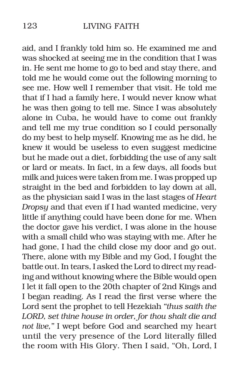<span id="page-122-0"></span>aid, and I frankly told him so. He examined me and was shocked at seeing me in the condition that I was in. He sent me home to go to bed and stay there, and told me he would come out the following morning to see me. How well I remember that visit. He told me that if I had a family here, I would never know what he was then going to tell me. Since I was absolutely alone in Cuba, he would have to come out frankly and tell me my true condition so I could personally do my best to help myself. Knowing me as he did, he knew it would be useless to even suggest medicine but he made out a diet, forbidding the use of any salt or lard or meats. In fact, in a few days, all foods but milk and juices were taken from me. I was propped up straight in the bed and forbidden to lay down at all, as the physician said I was in the last stages of *Heart Dropsy* and that even if I had wanted medicine, very little if anything could have been done for me. When the doctor gave his verdict, I was alone in the house with a small child who was staying with me. After he had gone, I had the child close my door and go out. There, alone with my Bible and my God, I fought the battle out. In tears, I asked the Lord to direct my reading and without knowing where the Bible would open I let it fall open to the 20th chapter of 2nd Kings and I began reading. As I read the first verse where the Lord sent the prophet to tell Hezekiah *"thus saith the LORD, set thine house in order, for thou shalt die and not live,"* I wept before God and searched my heart until the very presence of the Lord literally filled the room with His Glory. Then I said, "Oh, Lord, I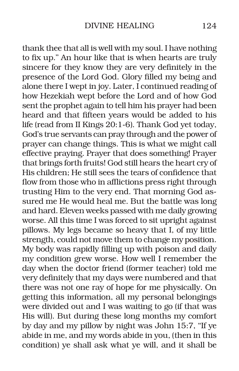thank thee that all is well with my soul. I have nothing to fix up." An hour like that is when hearts are truly sincere for they know they are very definitely in the presence of the Lord God. Glory filled my being and alone there I wept in joy. Later, I continued reading of how Hezekiah wept before the Lord and of how God sent the prophet again to tell him his prayer had been heard and that fifteen years would be added to his life (read from II Kings 20:1-6). Thank God yet today, God's true servants can pray through and the power of prayer can change things. This is what we might call effective praying. Prayer that does something! Prayer that brings forth fruits! God still hears the heart cry of His children; He still sees the tears of confidence that flow from those who in afflictions press right through trusting Him to the very end. That morning God assured me He would heal me. But the battle was long and hard. Eleven weeks passed with me daily growing worse. All this time I was forced to sit upright against pillows. My legs became so heavy that I, of my little strength, could not move them to change my position. My body was rapidly filling up with poison and daily my condition grew worse. How well I remember the day when the doctor friend (former teacher) told me very definitely that my days were numbered and that there was not one ray of hope for me physically. On getting this information, all my personal belongings were divided out and I was waiting to go (if that was His will). But during these long months my comfort by day and my pillow by night was John 15:7, "If ye abide in me, and my words abide in you, (then in this condition) ye shall ask what ye will, and it shall be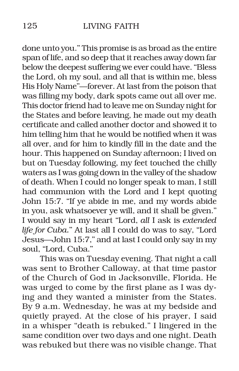<span id="page-124-0"></span>done unto you." This promise is as broad as the entire span of life, and so deep that it reaches away down far below the deepest suffering we ever could have. "Bless the Lord, oh my soul, and all that is within me, bless His Holy Name"—forever. At last from the poison that was filling my body, dark spots came out all over me. This doctor friend had to leave me on Sunday night for the States and before leaving, he made out my death certificate and called another doctor and showed it to him telling him that he would be notified when it was all over, and for him to kindly fill in the date and the hour. This happened on Sunday afternoon; I lived on but on Tuesday following, my feet touched the chilly waters as I was going down in the valley of the shadow of death. When I could no longer speak to man, I still had communion with the Lord and I kept quoting John 15:7. "If ye abide in me, and my words abide in you, ask whatsoever ye will, and it shall be given." I would say in my heart "Lord, *all* I ask is *extended life for Cuba.*" At last all I could do was to say, "Lord Jesus—John 15:7," and at last I could only say in my soul, "Lord, Cuba."

This was on Tuesday evening. That night a call was sent to Brother Calloway, at that time pastor of the Church of God in Jacksonville, Florida. He was urged to come by the first plane as I was dying and they wanted a minister from the States. By 9 a.m. Wednesday, he was at my bedside and quietly prayed. At the close of his prayer, I said in a whisper "death is rebuked." I lingered in the same condition over two days and one night. Death was rebuked but there was no visible change. That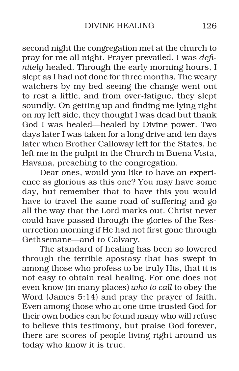second night the congregation met at the church to pray for me all night. Prayer prevailed. I was *definitely* healed. Through the early morning hours, I slept as I had not done for three months. The weary watchers by my bed seeing the change went out to rest a little, and from over-fatigue, they slept soundly. On getting up and finding me lying right on my left side, they thought I was dead but thank God I was healed—healed by Divine power. Two days later I was taken for a long drive and ten days later when Brother Calloway left for the States, he left me in the pulpit in the Church in Buena Vista, Havana, preaching to the congregation.

Dear ones, would you like to have an experience as glorious as this one? You may have some day, but remember that to have this you would have to travel the same road of suffering and go all the way that the Lord marks out. Christ never could have passed through the glories of the Resurrection morning if He had not first gone through Gethsemane—and to Calvary.

The standard of healing has been so lowered through the terrible apostasy that has swept in among those who profess to be truly His, that it is not easy to obtain real healing. For one does not even know (in many places) *who to call* to obey the Word (James 5:14) and pray the prayer of faith. Even among those who at one time trusted God for their own bodies can be found many who will refuse to believe this testimony, but praise God forever, there are scores of people living right around us today who know it is true.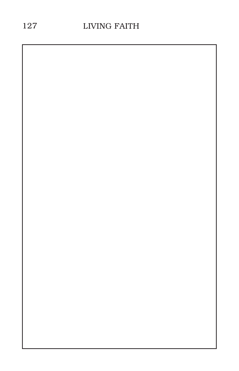<span id="page-126-0"></span>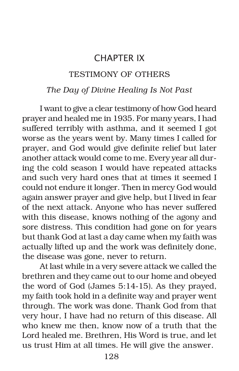# CHAPTER IX

#### TESTIMONY OF OTHERS

### *The Day of Divine Healing Is Not Past*

I want to give a clear testimony of how God heard prayer and healed me in 1935. For many years, I had suffered terribly with asthma, and it seemed I got worse as the years went by. Many times I called for prayer, and God would give definite relief but later another attack would come to me. Every year all during the cold season I would have repeated attacks and such very hard ones that at times it seemed I could not endure it longer. Then in mercy God would again answer prayer and give help, but I lived in fear of the next attack. Anyone who has never suffered with this disease, knows nothing of the agony and sore distress. This condition had gone on for years but thank God at last a day came when my faith was actually lifted up and the work was definitely done, the disease was gone, never to return.

At last while in a very severe attack we called the brethren and they came out to our home and obeyed the word of God (James 5:14-15). As they prayed, my faith took hold in a definite way and prayer went through. The work was done. Thank God from that very hour, I have had no return of this disease. All who knew me then, know now of a truth that the Lord healed me. Brethren, His Word is true, and let us trust Him at all times. He will give the answer.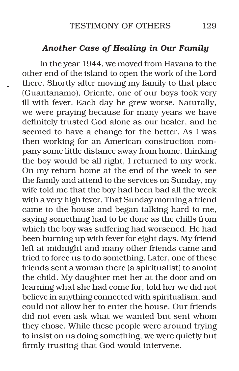#### <span id="page-128-0"></span> *Another Case of Healing in Our Family*

In the year 1944, we moved from Havana to the other end of the island to open the work of the Lord there. Shortly after moving my family to that place (Guantanamo), Oriente, one of our boys took very ill with fever. Each day he grew worse. Naturally, we were praying because for many years we have definitely trusted God alone as our healer, and he seemed to have a change for the better. As I was then working for an American construction company some little distance away from home, thinking the boy would be all right, I returned to my work. On my return home at the end of the week to see the family and attend to the services on Sunday, my wife told me that the boy had been bad all the week with a very high fever. That Sunday morning a friend came to the house and began talking hard to me, saying something had to be done as the chills from which the boy was suffering had worsened. He had been burning up with fever for eight days. My friend left at midnight and many other friends came and tried to force us to do something. Later, one of these friends sent a woman there (a spiritualist) to anoint the child. My daughter met her at the door and on learning what she had come for, told her we did not believe in anything connected with spiritualism, and could not allow her to enter the house. Our friends did not even ask what we wanted but sent whom they chose. While these people were around trying to insist on us doing something, we were quietly but firmly trusting that God would intervene.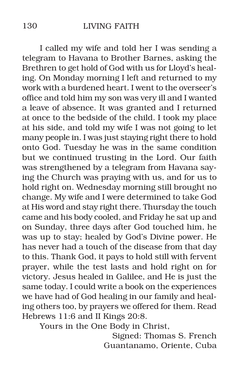I called my wife and told her I was sending a telegram to Havana to Brother Barnes, asking the Brethren to get hold of God with us for Lloyd's healing. On Monday morning I left and returned to my work with a burdened heart. I went to the overseer's office and told him my son was very ill and I wanted a leave of absence. It was granted and I returned at once to the bedside of the child. I took my place at his side, and told my wife I was not going to let many people in. I was just staying right there to hold onto God. Tuesday he was in the same condition but we continued trusting in the Lord. Our faith was strengthened by a telegram from Havana saying the Church was praying with us, and for us to hold right on. Wednesday morning still brought no change. My wife and I were determined to take God at His word and stay right there. Thursday the touch came and his body cooled, and Friday he sat up and on Sunday, three days after God touched him, he was up to stay; healed by God's Divine power. He has never had a touch of the disease from that day to this. Thank God, it pays to hold still with fervent prayer, while the test lasts and hold right on for victory. Jesus healed in Galilee, and He is just the same today. I could write a book on the experiences we have had of God healing in our family and healing others too, by prayers we offered for them. Read Hebrews 11:6 and II Kings 20:8.

Yours in the One Body in Christ,

Signed: Thomas S. French Guantanamo, Oriente, Cuba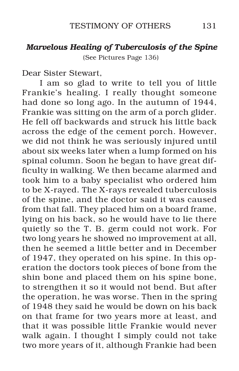## <span id="page-130-0"></span>*Marvelous Healing of Tuberculosis of the Spine*

(See Pictures Page 136)

Dear Sister Stewart,

I am so glad to write to tell you of little Frankie's healing. I really thought someone had done so long ago. In the autumn of 1944, Frankie was sitting on the arm of a porch glider. He fell off backwards and struck his little back across the edge of the cement porch. However, we did not think he was seriously injured until about six weeks later when a lump formed on his spinal column. Soon he began to have great difficulty in walking. We then became alarmed and took him to a baby specialist who ordered him to be X-rayed. The X-rays revealed tuberculosis of the spine, and the doctor said it was caused from that fall. They placed him on a board frame, lying on his back, so he would have to lie there quietly so the T. B. germ could not work. For two long years he showed no improvement at all, then he seemed a little better and in December of 1947, they operated on his spine. In this operation the doctors took pieces of bone from the shin bone and placed them on his spine bone, to strengthen it so it would not bend. But after the operation, he was worse. Then in the spring of 1948 they said he would be down on his back on that frame for two years more at least, and that it was possible little Frankie would never walk again. I thought I simply could not take two more years of it, although Frankie had been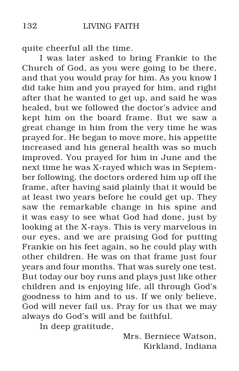quite cheerful all the time.

I was later asked to bring Frankie to the Church of God, as you were going to be there, and that you would pray for him. As you know I did take him and you prayed for him, and right after that he wanted to get up, and said he was healed, but we followed the doctor's advice and kept him on the board frame. But we saw a great change in him from the very time he was prayed for. He began to move more, his appetite increased and his general health was so much improved. You prayed for him in June and the next time he was X-rayed which was in September following, the doctors ordered him up off the frame, after having said plainly that it would be at least two years before he could get up. They saw the remarkable change in his spine and it was easy to see what God had done, just by looking at the X-rays. This is very marvelous in our eyes, and we are praising God for putting Frankie on his feet again, so he could play with other children. He was on that frame just four years and four months. That was surely one test. But today our boy runs and plays just like other children and is enjoying life, all through God's goodness to him and to us. If we only believe, God will never fail us. Pray for us that we may always do God's will and be faithful.

In deep gratitude,

Mrs. Berniece Watson, Kirkland, Indiana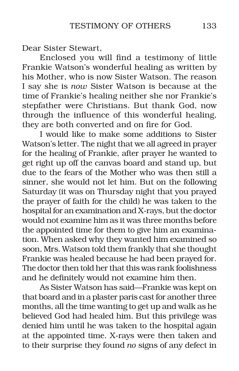<span id="page-132-0"></span>Dear Sister Stewart,

Enclosed you will find a testimony of little Frankie Watson's wonderful healing as written by his Mother, who is now Sister Watson. The reason I say she is *now* Sister Watson is because at the time of Frankie's healing neither she nor Frankie's stepfather were Christians. But thank God, now through the influence of this wonderful healing, they are both converted and on fire for God.

I would like to make some additions to Sister Watson's letter. The night that we all agreed in prayer for the healing of Frankie, after prayer he wanted to get right up off the canvas board and stand up, but due to the fears of the Mother who was then still a sinner, she would not let him. But on the following Saturday (it was on Thursday night that you prayed the prayer of faith for the child) he was taken to the hospital for an examination and X-rays, but the doctor would not examine him as it was three months before the appointed time for them to give him an examination. When asked why they wanted him examined so soon, Mrs. Watson told them frankly that she thought Frankie was healed because he had been prayed for. The doctor then told her that this was rank foolishness and he definitely would not examine him then.

As Sister Watson has said—Frankie was kept on that board and in a plaster paris cast for another three months, all the time wanting to get up and walk as he believed God had healed him. But this privilege was denied him until he was taken to the hospital again at the appointed time. X-rays were then taken and to their surprise they found *no* signs of any defect in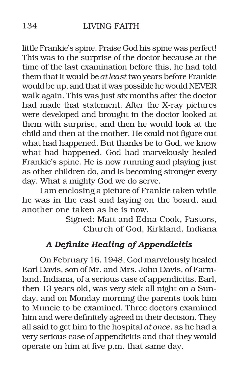little Frankie's spine. Praise God his spine was perfect! This was to the surprise of the doctor because at the time of the last examination before this, he had told them that it would be *at least* two years before Frankie would be up, and that it was possible he would NEVER walk again. This was just six months after the doctor had made that statement. After the X-ray pictures were developed and brought in the doctor looked at them with surprise, and then he would look at the child and then at the mother. He could not figure out what had happened. But thanks be to God, we know what had happened. God had marvelously healed Frankie's spine. He is now running and playing just as other children do, and is becoming stronger every day. What a mighty God we do serve.

I am enclosing a picture of Frankie taken while he was in the cast and laying on the board, and another one taken as he is now.

> Signed: Matt and Edna Cook, Pastors, Church of God, Kirkland, Indiana

# *A Definite Healing of Appendicitis*

On February 16, 1948, God marvelously healed Earl Davis, son of Mr. and Mrs. John Davis, of Farmland, Indiana, of a serious case of appendicitis. Earl, then 13 years old, was very sick all night on a Sunday, and on Monday morning the parents took him to Muncie to be examined. Three doctors examined him and were definitely agreed in their decision. They all said to get him to the hospital *at once*, as he had a very serious case of appendicitis and that they would operate on him at five p.m. that same day.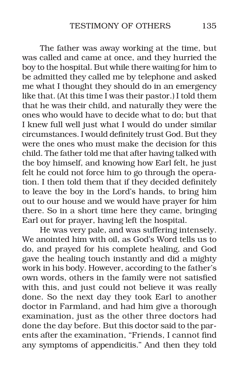<span id="page-134-0"></span>The father was away working at the time, but was called and came at once, and they hurried the boy to the hospital. But while there waiting for him to be admitted they called me by telephone and asked me what I thought they should do in an emergency like that. (At this time I was their pastor.) I told them that he was their child, and naturally they were the ones who would have to decide what to do; but that I knew full well just what I would do under similar circumstances. I would definitely trust God. But they were the ones who must make the decision for this child. The father told me that after having talked with the boy himself, and knowing how Earl felt, he just felt he could not force him to go through the operation. I then told them that if they decided definitely to leave the boy in the Lord's hands, to bring him out to our house and we would have prayer for him there. So in a short time here they came, bringing Earl out for prayer, having left the hospital.

He was very pale, and was suffering intensely. We anointed him with oil, as God's Word tells us to do, and prayed for his complete healing, and God gave the healing touch instantly and did a mighty work in his body. However, according to the father's own words, others in the family were not satisfied with this, and just could not believe it was really done. So the next day they took Earl to another doctor in Farmland, and had him give a thorough examination, just as the other three doctors had done the day before. But this doctor said to the parents after the examination, "Friends, I cannot find any symptoms of appendicitis." And then they told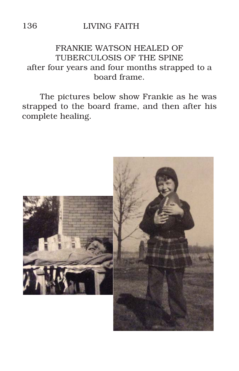### 136 LIVING FAITH

# FRANKIE WATSON HEALED OF TUBERCULOSIS OF THE SPINE after four years and four months strapped to a board frame.

The pictures below show Frankie as he was strapped to the board frame, and then after his complete healing.

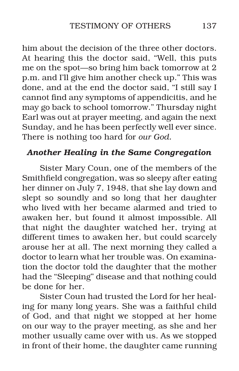<span id="page-136-0"></span>him about the decision of the three other doctors. At hearing this the doctor said, "Well, this puts [me on the spot—so bring him back tomorrow at 2](#page-1-0) p.m. and I'll give him another check up." This was done, and at the end the doctor said, "I still say I cannot find any symptoms of appendicitis, and he may go back to school tomorrow." Thursday night Earl was out at prayer meeting, and again the next Sunday, and he has been perfectly well ever since. There is nothing too hard for *our God.*

# *Another Healing in the Same Congregation*

Sister Mary Coun, one of the members of the Smithfield congregation, was so sleepy after eating her dinner on July 7, 1948, that she lay down and slept so soundly and so long that her daughter who lived with her became alarmed and tried to awaken her, but found it almost impossible. All that night the daughter watched her, trying at different times to awaken her, but could scarcely arouse her at all. The next morning they called a doctor to learn what her trouble was. On examination the doctor told the daughter that the mother had the "Sleeping" disease and that nothing could be done for her.

Sister Coun had trusted the Lord for her healing for many long years. She was a faithful child of God, and that night we stopped at her home on our way to the prayer meeting, as she and her mother usually came over with us. As we stopped in front of their home, the daughter came running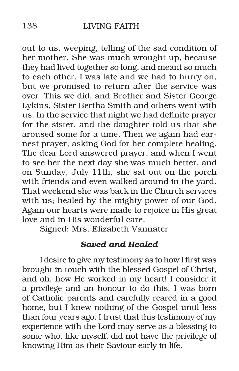out to us, weeping, telling of the sad condition of her mother. She was much wrought up, because they had lived together so long, and meant so much to each other. I was late and we had to hurry on, but we promised to return after the service was over. This we did, and Brother and Sister George Lykins, Sister Bertha Smith and others went with us. In the service that night we had definite prayer for the sister, and the daughter told us that she aroused some for a time. Then we again had earnest prayer, asking God for her complete healing. The dear Lord answered prayer, and when I went to see her the next day she was much better, and on Sunday, July 11th, she sat out on the porch with friends and even walked around in the yard. That weekend she was back in the Church services with us; healed by the mighty power of our God. Again our hearts were made to rejoice in His great love and in His wonderful care.

Signed: Mrs. Elizabeth Vannater

### *Saved and Healed*

I desire to give my testimony as to how I first was brought in touch with the blessed Gospel of Christ, and oh, how He worked in my heart! I consider it a privilege and an honour to do this. I was born of Catholic parents and carefully reared in a good home, but I knew nothing of the Gospel until less than four years ago. I trust that this testimony of my experience with the Lord may serve as a blessing to some who, like myself, did not have the privilege of knowing Him as their Saviour early in life.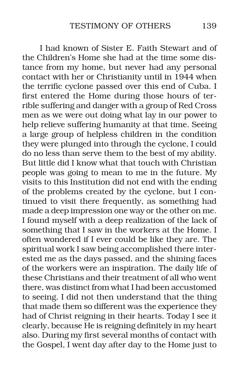<span id="page-138-0"></span>I had known of Sister E. Faith Stewart and of the Children's Home she had at the time some distance from my home, but never had any personal contact with her or Christianity until in 1944 when the terrific cyclone passed over this end of Cuba. I first entered the Home during those hours of terrible suffering and danger with a group of Red Cross men as we were out doing what lay in our power to help relieve suffering humanity at that time. Seeing a large group of helpless children in the condition they were plunged into through the cyclone, I could do no less than serve them to the best of my ability. But little did I know what that touch with Christian people was going to mean to me in the future. My visits to this Institution did not end with the ending of the problems created by the cyclone, but I continued to visit there frequently, as something had made a deep impression one way or the other on me. I found myself with a deep realization of the lack of something that I saw in the workers at the Home. I often wondered if I ever could be like they are. The spiritual work I saw being accomplished there interested me as the days passed, and the shining faces of the workers were an inspiration. The daily life of these Christians and their treatment of all who went there, was distinct from what I had been accustomed to seeing. I did not then understand that the thing that made them so different was the experience they had of Christ reigning in their hearts. Today I see it clearly, because He is reigning definitely in my heart also. During my first several months of contact with the Gospel, I went day after day to the Home just to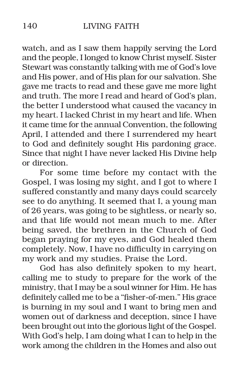watch, and as I saw them happily serving the Lord and the people, I longed to know Christ myself. Sister Stewart was constantly talking with me of God's love and His power, and of His plan for our salvation. She gave me tracts to read and these gave me more light and truth. The more I read and heard of God's plan, the better I understood what caused the vacancy in my heart. I lacked Christ in my heart and life. When it came time for the annual Convention, the following April, I attended and there I surrendered my heart to God and definitely sought His pardoning grace. Since that night I have never lacked His Divine help or direction.

For some time before my contact with the Gospel, I was losing my sight, and I got to where I suffered constantly and many days could scarcely see to do anything. It seemed that I, a young man of 26 years, was going to be sightless, or nearly so, and that life would not mean much to me. After being saved, the brethren in the Church of God began praying for my eyes, and God healed them completely. Now, I have no difficulty in carrying on my work and my studies. Praise the Lord.

God has also definitely spoken to my heart, calling me to study to prepare for the work of the ministry, that I may be a soul winner for Him. He has definitely called me to be a "fisher-of-men." His grace is burning in my soul and I want to bring men and women out of darkness and deception, since I have been brought out into the glorious light of the Gospel. With God's help, I am doing what I can to help in the work among the children in the Homes and also out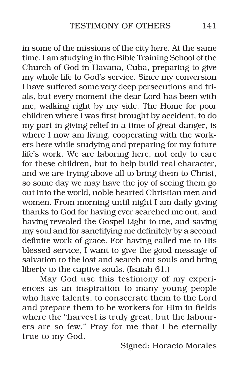<span id="page-140-0"></span>in some of the missions of the city here. At the same time, I am studying in the Bible Training School of the Church of God in Havana, Cuba, preparing to give my whole life to God's service. Since my conversion I have suffered some very deep persecutions and trials, but every moment the dear Lord has been with me, walking right by my side. The Home for poor children where I was first brought by accident, to do my part in giving relief in a time of great danger, is where I now am living, cooperating with the workers here while studying and preparing for my future life's work. We are laboring here, not only to care for these children, but to help build real character, and we are trying above all to bring them to Christ, so some day we may have the joy of seeing them go out into the world, noble hearted Christian men and women. From morning until night I am daily giving thanks to God for having ever searched me out, and having revealed the Gospel Light to me, and saving my soul and for sanctifying me definitely by a second definite work of grace. For having called me to His blessed service, I want to give the good message of salvation to the lost and search out souls and bring liberty to the captive souls. (Isaiah 61.)

May God use this testimony of my experiences as an inspiration to many young people who have talents, to consecrate them to the Lord and prepare them to be workers for Him in fields where the "harvest is truly great, but the labourers are so few." Pray for me that I be eternally true to my God.

Signed: Horacio Morales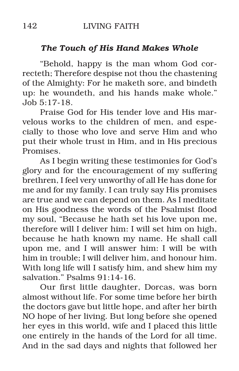## *The Touch of His Hand Makes Whole*

"Behold, happy is the man whom God correcteth; Therefore despise not thou the chastening of the Almighty: For he maketh sore, and bindeth up: he woundeth, and his hands make whole." Job 5:17-18.

Praise God for His tender love and His marvelous works to the children of men, and especially to those who love and serve Him and who put their whole trust in Him, and in His precious Promises.

As I begin writing these testimonies for God's glory and for the encouragement of my suffering brethren, I feel very unworthy of all He has done for me and for my family. I can truly say His promises are true and we can depend on them. As I meditate on His goodness the words of the Psalmist flood my soul, "Because he hath set his love upon me, therefore will I deliver him: I will set him on high, because he hath known my name. He shall call upon me, and I will answer him: I will be with him in trouble; I will deliver him, and honour him. With long life will I satisfy him, and shew him my salvation." Psalms 91:14-16.

Our first little daughter, Dorcas, was born almost without life. For some time before her birth the doctors gave but little hope, and after her birth NO hope of her living. But long before she opened her eyes in this world, wife and I placed this little one entirely in the hands of the Lord for all time. And in the sad days and nights that followed her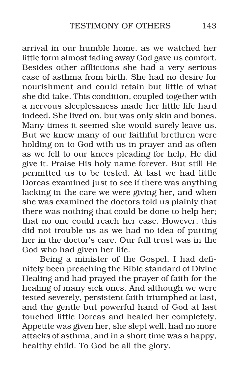<span id="page-142-0"></span>arrival in our humble home, as we watched her little form almost fading away God gave us comfort. Besides other afflictions she had a very serious case of asthma from birth. She had no desire for nourishment and could retain but little of what she did take. This condition, coupled together with a nervous sleeplessness made her little life hard indeed. She lived on, but was only skin and bones. Many times it seemed she would surely leave us. But we knew many of our faithful brethren were holding on to God with us in prayer and as often as we fell to our knees pleading for help, He did give it. Praise His holy name forever. But still He permitted us to be tested. At last we had little Dorcas examined just to see if there was anything lacking in the care we were giving her, and when she was examined the doctors told us plainly that there was nothing that could be done to help her; that no one could reach her case. However, this did not trouble us as we had no idea of putting her in the doctor's care. Our full trust was in the God who had given her life.

Being a minister of the Gospel, I had definitely been preaching the Bible standard of Divine Healing and had prayed the prayer of faith for the healing of many sick ones. And although we were tested severely, persistent faith triumphed at last, and the gentle but powerful hand of God at last touched little Dorcas and healed her completely. Appetite was given her, she slept well, had no more attacks of asthma, and in a short time was a happy, healthy child. To God be all the glory.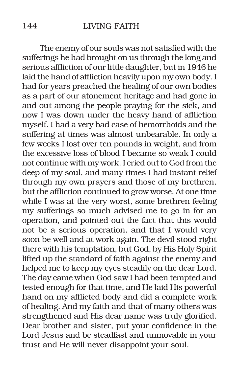The enemy of our souls was not satisfied with the sufferings he had brought on us through the long and serious affliction of our little daughter, but in 1946 he laid the hand of affliction heavily upon my own body. I had for years preached the healing of our own bodies as a part of our atonement heritage and had gone in and out among the people praying for the sick, and now I was down under the heavy hand of affliction myself. I had a very bad case of hemorrhoids and the suffering at times was almost unbearable. In only a few weeks I lost over ten pounds in weight, and from the excessive loss of blood I became so weak I could not continue with my work. I cried out to God from the deep of my soul, and many times I had instant relief through my own prayers and those of my brethren, but the affliction continued to grow worse. At one time while I was at the very worst, some brethren feeling my sufferings so much advised me to go in for an operation, and pointed out the fact that this would not be a serious operation, and that I would very soon be well and at work again. The devil stood right there with his temptation, but God, by His Holy Spirit lifted up the standard of faith against the enemy and helped me to keep my eyes steadily on the dear Lord. The day came when God saw I had been tempted and tested enough for that time, and He laid His powerful hand on my afflicted body and did a complete work of healing. And my faith and that of many others was strengthened and His dear name was truly glorified. Dear brother and sister, put your confidence in the Lord Jesus and be steadfast and unmovable in your trust and He will never disappoint your soul.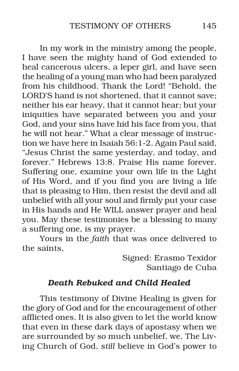<span id="page-144-0"></span>In my work in the ministry among the people, I have seen the mighty hand of God extended to heal cancerous ulcers, a leper girl, and have seen the healing of a young man who had been paralyzed from his childhood. Thank the Lord! "Behold, the LORD'S hand is not shortened, that it cannot save; neither his ear heavy, that it cannot hear; but your iniquities have separated between you and your God, and your sins have hid his face from you, that he will not hear." What a clear message of instruction we have here in Isaiah 56:1-2. Again Paul said, "Jesus Christ the same yesterday, and today, and forever." Hebrews 13:8. Praise His name forever. Suffering one, examine your own life in the Light of His Word, and if you find you are living a life that is pleasing to Him, then resist the devil and all unbelief with all your soul and firmly put your case in His hands and He WILL answer prayer and heal you. May these testimonies be a blessing to many a suffering one, is my prayer.

Yours in the *faith* that was once delivered to the saints,

> Signed: Erasmo Texidor Santiago de Cuba

#### *Death Rebuked and Child Healed*

This testimony of Divine Healing is given for the glory of God and for the encouragement of other afflicted ones. It is also given to let the world know that even in these dark days of apostasy when we are surrounded by so much unbelief, we, The Living Church of God, *still* believe in God's power to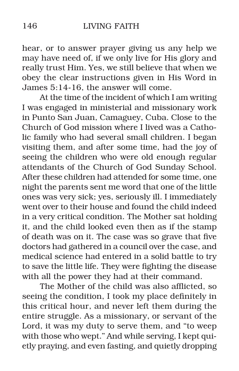hear, or to answer prayer giving us any help we may have need of, if we only live for His glory and really trust Him. Yes, we still believe that when we obey the clear instructions given in His Word in James 5:14-16, the answer will come.

At the time of the incident of which I am writing I was engaged in ministerial and missionary work in Punto San Juan, Camaguey, Cuba. Close to the Church of God mission where I lived was a Catholic family who had several small children. I began visiting them, and after some time, had the joy of seeing the children who were old enough regular attendants of the Church of God Sunday School. After these children had attended for some time, one night the parents sent me word that one of the little ones was very sick; yes, seriously ill. I immediately went over to their house and found the child indeed in a very critical condition. The Mother sat holding it, and the child looked even then as if the stamp of death was on it. The case was so grave that five doctors had gathered in a council over the case, and medical science had entered in a solid battle to try to save the little life. They were fighting the disease with all the power they had at their command.

The Mother of the child was also afflicted, so seeing the condition, I took my place definitely in this critical hour, and never left them during the entire struggle. As a missionary, or servant of the Lord, it was my duty to serve them, and "to weep with those who wept." And while serving, I kept quietly praying, and even fasting, and quietly dropping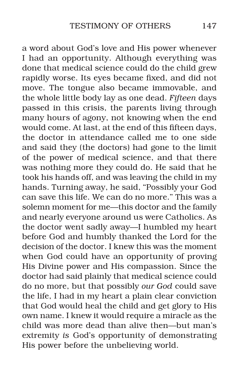<span id="page-146-0"></span>a word about God's love and His power whenever I had an opportunity. Although everything was done that medical science could do the child grew rapidly worse. Its eyes became fixed, and did not move. The tongue also became immovable, and the whole little body lay as one dead. *Fifteen* days passed in this crisis, the parents living through many hours of agony, not knowing when the end would come. At last, at the end of this fifteen days, the doctor in attendance called me to one side and said they (the doctors) had gone to the limit of the power of medical science, and that there was nothing more they could do. He said that he took his hands off, and was leaving the child in my hands. Turning away, he said, "Possibly your God can save this life. We can do no more." This was a solemn moment for me—this doctor and the family and nearly everyone around us were Catholics. As the doctor went sadly away—I humbled my heart before God and humbly thanked the Lord for the decision of the doctor. I knew this was the moment when God could have an opportunity of proving His Divine power and His compassion. Since the doctor had said plainly that medical science could do no more, but that possibly *our God* could save the life, I had in my heart a plain clear conviction that God would heal the child and get glory to His own name. I knew it would require a miracle as the child was more dead than alive then—but man's extremity *is* God's opportunity of demonstrating His power before the unbelieving world.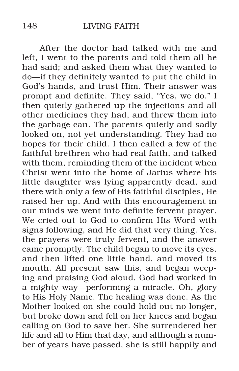After the doctor had talked with me and left, I went to the parents and told them all he had said; and asked them what they wanted to do—if they definitely wanted to put the child in God's hands, and trust Him. Their answer was prompt and definite. They said, "Yes, we do." I then quietly gathered up the injections and all other medicines they had, and threw them into the garbage can. The parents quietly and sadly looked on, not yet understanding. They had no hopes for their child. I then called a few of the faithful brethren who had real faith, and talked with them, reminding them of the incident when Christ went into the home of Jarius where his little daughter was lying apparently dead, and there with only a few of His faithful disciples, He raised her up. And with this encouragement in our minds we went into definite fervent prayer. We cried out to God to confirm His Word with signs following, and He did that very thing. Yes, the prayers were truly fervent, and the answer came promptly. The child began to move its eyes, and then lifted one little hand, and moved its mouth. All present saw this, and began weeping and praising God aloud. God had worked in a mighty way—performing a miracle. Oh, glory to His Holy Name. The healing was done. As the Mother looked on she could hold out no longer, but broke down and fell on her knees and began calling on God to save her. She surrendered her life and all to Him that day, and although a number of years have passed, she is still happily and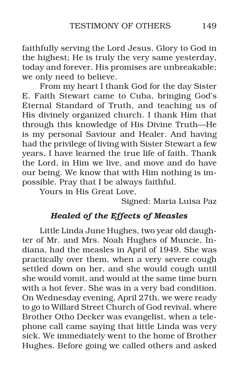<span id="page-148-0"></span>faithfully serving the Lord Jesus. Glory to God in the highest; He is truly the very same yesterday, today and forever. His promises are unbreakable; we only need to believe.

From my heart I thank God for the day Sister E. Faith Stewart came to Cuba, bringing God's Eternal Standard of Truth, and teaching us of His divinely organized church. I thank Him that through this knowledge of His Divine Truth—He is my personal Saviour and Healer. And having had the privilege of living with Sister Stewart a few years, I have learned the true life of faith. Thank the Lord, in Him we live, and move and do have our being. We know that with Him nothing is impossible. Pray that I be always faithful.

Yours in His Great Love,

Signed: Maria Luisa Paz

# *Healed of the Effects of Measles*

Little Linda June Hughes, two year old daughter of Mr. and Mrs. Noah Hughes of Muncie, Indiana, had the measles in April of 1949. She was practically over them, when a very severe cough settled down on her, and she would cough until she would vomit, and would at the same time burn with a hot fever. She was in a very bad condition. On Wednesday evening, April 27th, we were ready to go to Willard Street Church of God revival, where Brother Otho Decker was evangelist, when a telephone call came saying that little Linda was very sick. We immediately went to the home of Brother Hughes. Before going we called others and asked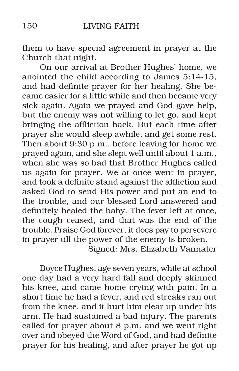them to have special agreement in prayer at the Church that night.

On our arrival at Brother Hughes' home, we anointed the child according to James 5:14-15, and had definite prayer for her healing. She became easier for a little while and then became very sick again. Again we prayed and God gave help, but the enemy was not willing to let go, and kept bringing the affliction back. But each time after prayer she would sleep awhile, and get some rest. Then about 9:30 p.m., before leaving for home we prayed again, and she slept well until about 1 a.m., when she was so bad that Brother Hughes called us again for prayer. We at once went in prayer, and took a definite stand against the affliction and asked God to send His power and put an end to the trouble, and our blessed Lord answered and definitely healed the baby. The fever left at once, the cough ceased, and that was the end of the trouble. Praise God forever, it does pay to persevere in prayer till the power of the enemy is broken.

Signed: Mrs. Elizabeth Vannater

Boyce Hughes, age seven years, while at school one day had a very hard fall and deeply skinned his knee, and came home crying with pain. In a short time he had a fever, and red streaks ran out from the knee, and it hurt him clear up under his arm. He had sustained a bad injury. The parents called for prayer about 8 p.m. and we went right over and obeyed the Word of God, and had definite prayer for his healing, and after prayer he got up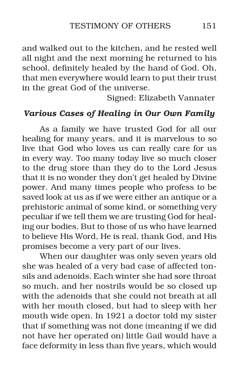<span id="page-150-0"></span>and walked out to the kitchen, and he rested well all night and the next morning he returned to his school, definitely healed by the hand of God. Oh, that men everywhere would learn to put their trust in the great God of the universe.

Signed: Elizabeth Vannater

#### *Various Cases of Healing in Our Own Family*

As a family we have trusted God for all our healing for many years, and it is marvelous to so live that God who loves us can really care for us in every way. Too many today live so much closer to the drug store than they do to the Lord Jesus that it is no wonder they don't get healed by Divine power. And many times people who profess to be saved look at us as if we were either an antique or a prehistoric animal of some kind, or something very peculiar if we tell them we are trusting God for healing our bodies. But to those of us who have learned to believe His Word, He is real, thank God, and His promises become a very part of our lives.

When our daughter was only seven years old she was healed of a very bad case of affected tonsils and adenoids. Each winter she had sore throat so much, and her nostrils would be so closed up with the adenoids that she could not breath at all with her mouth closed, but had to sleep with her mouth wide open. In 1921 a doctor told my sister that if something was not done (meaning if we did not have her operated on) little Gail would have a face deformity in less than five years, which would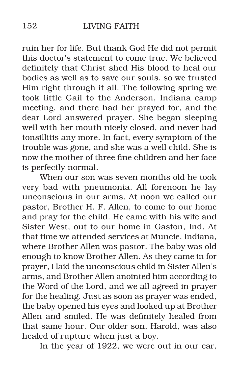ruin her for life. But thank God He did not permit this doctor's statement to come true. We believed definitely that Christ shed His blood to heal our bodies as well as to save our souls, so we trusted Him right through it all. The following spring we took little Gail to the Anderson, Indiana camp meeting, and there had her prayed for, and the dear Lord answered prayer. She began sleeping well with her mouth nicely closed, and never had tonsillitis any more. In fact, every symptom of the trouble was gone, and she was a well child. She is now the mother of three fine children and her face is perfectly normal.

When our son was seven months old he took very bad with pneumonia. All forenoon he lay unconscious in our arms. At noon we called our pastor, Brother H. F. Allen, to come to our home and pray for the child. He came with his wife and Sister West, out to our home in Gaston, Ind. At that time we attended services at Muncie, Indiana, where Brother Allen was pastor. The baby was old enough to know Brother Allen. As they came in for prayer, I laid the unconscious child in Sister Allen's arms, and Brother Allen anointed him according to the Word of the Lord, and we all agreed in prayer for the healing. Just as soon as prayer was ended, the baby opened his eyes and looked up at Brother Allen and smiled. He was definitely healed from that same hour. Our older son, Harold, was also healed of rupture when just a boy.

In the year of 1922, we were out in our car,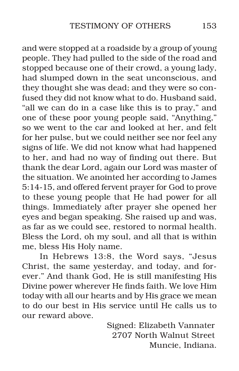<span id="page-152-0"></span>and were stopped at a roadside by a group of young people. They had pulled to the side of the road and stopped because one of their crowd, a young lady, had slumped down in the seat unconscious, and they thought she was dead; and they were so confused they did not know what to do. Husband said, "all we can do in a case like this is to pray," and one of these poor young people said, "Anything," so we went to the car and looked at her, and felt for her pulse, but we could neither see nor feel any signs of life. We did not know what had happened to her, and had no way of finding out there. But thank the dear Lord, again our Lord was master of the situation. We anointed her according to James 5:14-15, and offered fervent prayer for God to prove to these young people that He had power for all things. Immediately after prayer she opened her eyes and began speaking. She raised up and was, as far as we could see, restored to normal health. Bless the Lord, oh my soul, and all that is within me, bless His Holy name.

In Hebrews 13:8, the Word says, "Jesus Christ, the same yesterday, and today, and forever." And thank God, He is still manifesting His Divine power wherever He finds faith. We love Him today with all our hearts and by His grace we mean to do our best in His service until He calls us to our reward above.

> Signed: Elizabeth Vannater 2707 North Walnut Street Muncie, Indiana.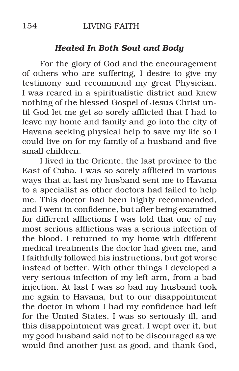#### 154 LIVING FAITH

#### *Healed In Both Soul and Body*

For the glory of God and the encouragement of others who are suffering, I desire to give my testimony and recommend my great Physician. I was reared in a spiritualistic district and knew nothing of the blessed Gospel of Jesus Christ until God let me get so sorely afflicted that I had to leave my home and family and go into the city of Havana seeking physical help to save my life so I could live on for my family of a husband and five small children.

I lived in the Oriente, the last province to the East of Cuba. I was so sorely afflicted in various ways that at last my husband sent me to Havana to a specialist as other doctors had failed to help me. This doctor had been highly recommended, and I went in confidence, but after being examined for different afflictions I was told that one of my most serious afflictions was a serious infection of the blood. I returned to my home with different medical treatments the doctor had given me, and I faithfully followed his instructions, but got worse instead of better. With other things I developed a very serious infection of my left arm, from a bad injection. At last I was so bad my husband took me again to Havana, but to our disappointment the doctor in whom I had my confidence had left for the United States. I was so seriously ill, and this disappointment was great. I wept over it, but my good husband said not to be discouraged as we would find another just as good, and thank God,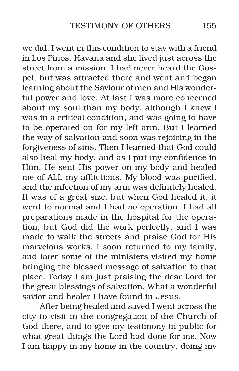<span id="page-154-0"></span>we did. I went in this condition to stay with a friend in Los Pinos, Havana and she lived just across the street from a mission. I had never heard the Gospel, but was attracted there and went and began learning about the Saviour of men and His wonderful power and love. At last I was more concerned about my soul than my body, although I knew I was in a critical condition, and was going to have to be operated on for my left arm. But I learned the way of salvation and soon was rejoicing in the forgiveness of sins. Then I learned that God could also heal my body, and as I put my confidence in Him, He sent His power on my body and healed me of ALL my afflictions. My blood was purified, and the infection of my arm was definitely healed. It was of a great size, but when God healed it, it went to normal and I had *no* operation. I had all preparations made in the hospital for the operation, but God did the work perfectly, and I was made to walk the streets and praise God for His marvelous works. I soon returned to my family, and later some of the ministers visited my home bringing the blessed message of salvation to that place. Today I am just praising the dear Lord for the great blessings of salvation. What a wonderful savior and healer I have found in Jesus.

After being healed and saved I went across the city to visit in the congregation of the Church of God there, and to give my testimony in public for what great things the Lord had done for me. Now I am happy in my home in the country, doing my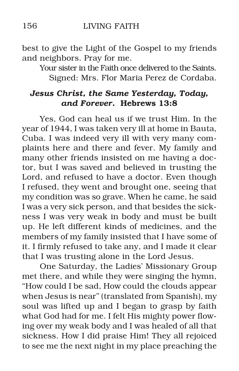best to give the Light of the Gospel to my friends and neighbors. Pray for me.

Your sister in the Faith once delivered to the Saints. Signed: Mrs. Flor Maria Perez de Cordaba.

### *Jesus Christ, the Same Yesterday, Today, and Forever.* **Hebrews 13:8**

Yes, God can heal us if we trust Him. In the year of 1944, I was taken very ill at home in Bauta, Cuba. I was indeed very ill with very many complaints here and there and fever. My family and many other friends insisted on me having a doctor, but I was saved and believed in trusting the Lord, and refused to have a doctor. Even though I refused, they went and brought one, seeing that my condition was so grave. When he came, he said I was a very sick person, and that besides the sickness I was very weak in body and must be built up. He left different kinds of medicines, and the members of my family insisted that I have some of it. I firmly refused to take any, and I made it clear that I was trusting alone in the Lord Jesus.

One Saturday, the Ladies' Missionary Group met there, and while they were singing the hymn, "How could I be sad, How could the clouds appear when Jesus is near" (translated from Spanish), my soul was lifted up and I began to grasp by faith what God had for me. I felt His mighty power flowing over my weak body and I was healed of all that sickness. How I did praise Him! They all rejoiced to see me the next night in my place preaching the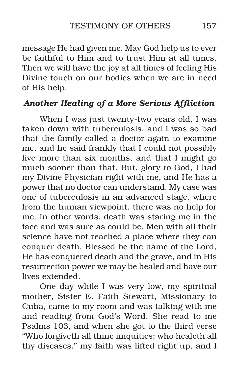<span id="page-156-0"></span>message He had given me. May God help us to ever be faithful to Him and to trust Him at all times. Then we will have the joy at all times of feeling His Divine touch on our bodies when we are in need of His help.

### *Another Healing of a More Serious Affliction*

When I was just twenty-two years old, I was taken down with tuberculosis, and I was so bad that the family called a doctor again to examine me, and he said frankly that I could not possibly live more than six months, and that I might go much sooner than that. But, glory to God, I had my Divine Physician right with me, and He has a power that no doctor can understand. My case was one of tuberculosis in an advanced stage, where from the human viewpoint, there was no help for me. In other words, death was staring me in the face and was sure as could be. Men with all their science have not reached a place where they can conquer death. Blessed be the name of the Lord, He has conquered death and the grave, and in His resurrection power we may be healed and have our lives extended.

One day while I was very low, my spiritual mother, Sister E. Faith Stewart, Missionary to Cuba, came to my room and was talking with me and reading from God's Word. She read to me Psalms 103, and when she got to the third verse "Who forgiveth all thine iniquities; who healeth all thy diseases," my faith was lifted right up, and I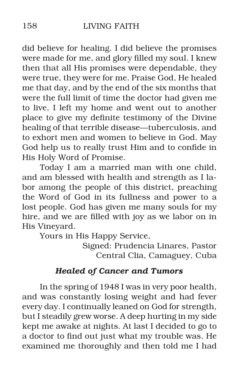did believe for healing. I did believe the promises were made for me, and glory filled my soul. I knew then that all His promises were dependable, they were true, they were for me. Praise God, He healed me that day, and by the end of the six months that were the full limit of time the doctor had given me to live, I left my home and went out to another place to give my definite testimony of the Divine healing of that terrible disease—tuberculosis, and to exhort men and women to believe in God. May God help us to really trust Him and to confide in His Holy Word of Promise.

Today I am a married man with one child, and am blessed with health and strength as I labor among the people of this district, preaching the Word of God in its fullness and power to a lost people. God has given me many souls for my hire, and we are filled with joy as we labor on in His Vineyard.

Yours in His Happy Service,

Signed: Prudencia Linares, Pastor Central Clia, Camaguey, Cuba

# *Healed of Cancer and Tumors*

In the spring of 1948 I was in very poor health, and was constantly losing weight and had fever every day. I continually leaned on God for strength, but I steadily grew worse. A deep hurting in my side kept me awake at nights. At last I decided to go to a doctor to find out just what my trouble was. He examined me thoroughly and then told me I had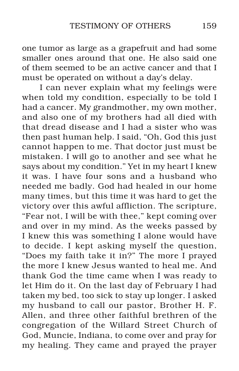<span id="page-158-0"></span>one tumor as large as a grapefruit and had some smaller ones around that one. He also said one of them seemed to be an active cancer and that I must be operated on without a day's delay.

I can never explain what my feelings were when told my condition, especially to be told I had a cancer. My grandmother, my own mother, and also one of my brothers had all died with that dread disease and I had a sister who was then past human help. I said, "Oh, God this just cannot happen to me. That doctor just must be mistaken. I will go to another and see what he says about my condition." Yet in my heart I knew it was. I have four sons and a husband who needed me badly. God had healed in our home many times, but this time it was hard to get the victory over this awful affliction. The scripture, "Fear not, I will be with thee," kept coming over and over in my mind. As the weeks passed by I knew this was something I alone would have to decide. I kept asking myself the question, "Does my faith take it in?" The more I prayed the more I knew Jesus wanted to heal me. And thank God the time came when I was ready to let Him do it. On the last day of February I had taken my bed, too sick to stay up longer. I asked my husband to call our pastor, Brother H. F. Allen, and three other faithful brethren of the congregation of the Willard Street Church of God, Muncie, Indiana, to come over and pray for my healing. They came and prayed the prayer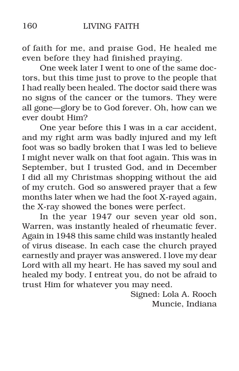of faith for me, and praise God, He healed me even before they had finished praying.

One week later I went to one of the same doctors, but this time just to prove to the people that I had really been healed. The doctor said there was no signs of the cancer or the tumors. They were all gone—glory be to God forever. Oh, how can we ever doubt Him?

One year before this I was in a car accident, and my right arm was badly injured and my left foot was so badly broken that I was led to believe I might never walk on that foot again. This was in September, but I trusted God, and in December I did all my Christmas shopping without the aid of my crutch. God so answered prayer that a few months later when we had the foot X-rayed again, the X-ray showed the bones were perfect.

In the year 1947 our seven year old son, Warren, was instantly healed of rheumatic fever. Again in 1948 this same child was instantly healed of virus disease. In each case the church prayed earnestly and prayer was answered. I love my dear Lord with all my heart. He has saved my soul and healed my body. I entreat you, do not be afraid to trust Him for whatever you may need.

> Signed: Lola A. Rooch Muncie, Indiana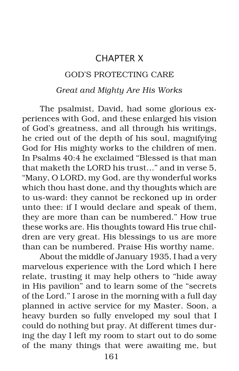# CHAPTER X

#### GOD'6 PROTECTING CARE

#### *Great and Mighty Are His Works*

The psalmist, David, had some glorious experiences with God, and these enlarged his vision of God's greatness, and all through his writings, he cried out of the depth of his soul, magnifying God for His mighty works to the children of men. In Psalms 40:4 he exclaimed "Blessed is that man that maketh the LORD his trust…" and in verse 5, "Many, O LORD, my God, are thy wonderful works which thou hast done, and thy thoughts which are to us-ward: they cannot be reckoned up in order unto thee: if I would declare and speak of them, they are more than can be numbered." How true these works are. His thoughts toward His true children are very great. His blessings to us are more than can be numbered. Praise His worthy name.

About the middle of January 1935, I had a very marvelous experience with the Lord which I here relate, trusting it may help others to "hide away in His pavilion" and to learn some of the "secrets of the Lord." I arose in the morning with a full day planned in active service for my Master. Soon, a heavy burden so fully enveloped my soul that I could do nothing but pray. At different times during the day I left my room to start out to do some of the many things that were awaiting me, but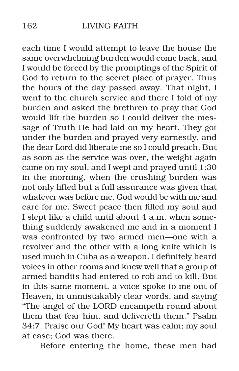each time I would attempt to leave the house the same overwhelming burden would come back, and I would be forced by the promptings of the Spirit of God to return to the secret place of prayer. Thus the hours of the day passed away. That night, I went to the church service and there I told of my burden and asked the brethren to pray that God would lift the burden so I could deliver the message of Truth He had laid on my heart. They got under the burden and prayed very earnestly, and the dear Lord did liberate me so I could preach. But as soon as the service was over, the weight again came on my soul, and I wept and prayed until 1:30 in the morning, when the crushing burden was not only lifted but a full assurance was given that whatever was before me, God would be with me and care for me. Sweet peace then filled my soul and I slept like a child until about 4 a.m. when something suddenly awakened me and in a moment I was confronted by two armed men—one with a revolver and the other with a long knife which is used much in Cuba as a weapon. I definitely heard voices in other rooms and knew well that a group of armed bandits had entered to rob and to kill. But in this same moment, a voice spoke to me out of Heaven, in unmistakably clear words, and saying "The angel of the LORD encampeth round about them that fear him, and delivereth them." Psalm 34:7. Praise our God! My heart was calm; my soul at ease; God was there.

Before entering the home, these men had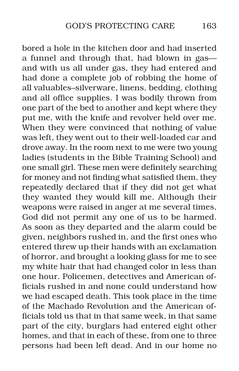<span id="page-162-0"></span>bored a hole in the kitchen door and had inserted a funnel and through that, had blown in gas and with us all under gas, they had entered and had done a complete job of robbing the home of all valuables–silverware, linens, bedding, clothing and all office supplies. I was bodily thrown from one part of the bed to another and kept where they put me, with the knife and revolver held over me. When they were convinced that nothing of value was left, they went out to their well-loaded car and drove away. In the room next to me were two young ladies (students in the Bible Training School) and one small girl. These men were definitely searching for money and not finding what satisfied them, they repeatedly declared that if they did not get what they wanted they would kill me. Although their weapons were raised in anger at me several times, God did not permit any one of us to be harmed. As soon as they departed and the alarm could be given, neighbors rushed in, and the first ones who entered threw up their hands with an exclamation of horror, and brought a looking glass for me to see my white hair that had changed color in less than one hour. Policemen, detectives and American officials rushed in and none could understand how we had escaped death. This took place in the time of the Machado Revolution and the American officials told us that in that same week, in that same part of the city, burglars had entered eight other homes, and that in each of these, from one to three persons had been left dead. And in our home no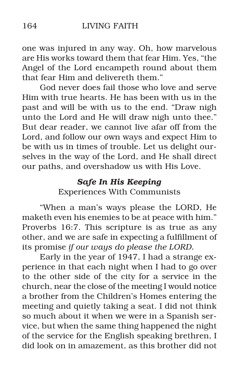one was injured in any way. Oh, how marvelous are His works toward them that fear Him. Yes, "the Angel of the Lord encampeth round about them that fear Him and delivereth them."

God never does fail those who love and serve Him with true hearts. He has been with us in the past and will be with us to the end. "Draw nigh unto the Lord and He will draw nigh unto thee." But dear reader, we cannot live afar off from the Lord, and follow our own ways and expect Him to be with us in times of trouble. Let us delight ourselves in the way of the Lord, and He shall direct our paths, and overshadow us with His Love.

# *Safe In His Keeping*

Experiences With Communists

"When a man's ways please the LORD, He maketh even his enemies to be at peace with him." Proverbs 16:7. This scripture is as true as any other, and we are safe in expecting a fulfillment of its promise *if our ways do please the LORD.* 

Early in the year of 1947, I had a strange experience in that each night when I had to go over to the other side of the city for a service in the church, near the close of the meeting I would notice a brother from the Children's Homes entering the meeting and quietly taking a seat. I did not think so much about it when we were in a Spanish service, but when the same thing happened the night of the service for the English speaking brethren, I did look on in amazement, as this brother did not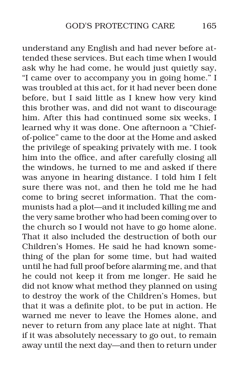<span id="page-164-0"></span>understand any English and had never before attended these services. But each time when I would ask why he had come, he would just quietly say, "I came over to accompany you in going home." I was troubled at this act, for it had never been done before, but I said little as I knew how very kind this brother was, and did not want to discourage him. After this had continued some six weeks, I learned why it was done. One afternoon a "Chiefof-police" came to the door at the Home and asked the privilege of speaking privately with me. I took him into the office, and after carefully closing all the windows, he turned to me and asked if there was anyone in hearing distance. I told him I felt sure there was not, and then he told me he had come to bring secret information. That the communists had a plot—and it included killing me and the very same brother who had been coming over to the church so I would not have to go home alone. That it also included the destruction of both our Children's Homes. He said he had known something of the plan for some time, but had waited until he had full proof before alarming me, and that he could not keep it from me longer. He said he did not know what method they planned on using to destroy the work of the Children's Homes, but that it was a definite plot, to be put in action. He warned me never to leave the Homes alone, and never to return from any place late at night. That if it was absolutely necessary to go out, to remain away until the next day—and then to return under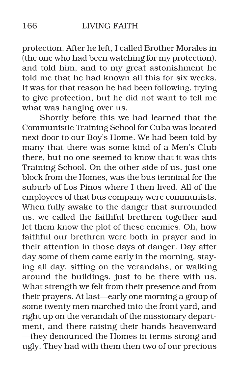protection. After he left, I called Brother Morales in (the one who had been watching for my protection), and told him, and to my great astonishment he told me that he had known all this for six weeks. It was for that reason he had been following, trying to give protection, but he did not want to tell me what was hanging over us.

Shortly before this we had learned that the Communistic Training School for Cuba was located next door to our Boy's Home. We had been told by many that there was some kind of a Men's Club there, but no one seemed to know that it was this Training School. On the other side of us, just one block from the Homes, was the bus terminal for the suburb of Los Pinos where I then lived. All of the employees of that bus company were communists. When fully awake to the danger that surrounded us, we called the faithful brethren together and let them know the plot of these enemies. Oh, how faithful our brethren were both in prayer and in their attention in those days of danger. Day after day some of them came early in the morning, staying all day, sitting on the verandahs, or walking around the buildings, just to be there with us. What strength we felt from their presence and from their prayers. At last—early one morning a group of some twenty men marched into the front yard, and right up on the verandah of the missionary department, and there raising their hands heavenward —they denounced the Homes in terms strong and ugly. They had with them then two of our precious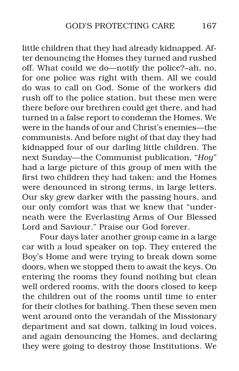<span id="page-166-0"></span>little children that they had already kidnapped. After denouncing the Homes they turned and rushed off. What could we do—notify the police?–ah, no, for one police was right with them. All we could do was to call on God. Some of the workers did rush off to the police station, but these men were there before our brethren could get there, and had turned in a false report to condemn the Homes. We were in the hands of our and Christ's enemies—the communists. And before night of that day they had kidnapped four of our darling little children. The next Sunday—the Communist publication, "*Hoy*" had a large picture of this group of men with the first two children they had taken; and the Homes were denounced in strong terms, in large letters. Our sky grew darker with the passing hours, and our only comfort was that we knew that "underneath were the Everlasting Arms of Our Blessed Lord and Saviour." Praise our God forever.

Four days later another group came in a large car with a loud speaker on top. They entered the Boy's Home and were trying to break down some doors, when we stopped them to await the keys. On entering the rooms they found nothing but clean well ordered rooms, with the doors closed to keep the children out of the rooms until time to enter for their clothes for bathing. Then these seven men went around onto the verandah of the Missionary department and sat down, talking in loud voices, and again denouncing the Homes, and declaring they were going to destroy those Institutions. We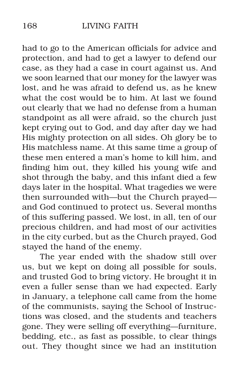had to go to the American officials for advice and protection, and had to get a lawyer to defend our case, as they had a case in court against us. And we soon learned that our money for the lawyer was lost, and he was afraid to defend us, as he knew what the cost would be to him. At last we found out clearly that we had no defense from a human standpoint as all were afraid, so the church just kept crying out to God, and day after day we had His mighty protection on all sides. Oh glory be to His matchless name. At this same time a group of these men entered a man's home to kill him, and finding him out, they killed his young wife and shot through the baby, and this infant died a few days later in the hospital. What tragedies we were then surrounded with—but the Church prayed and God continued to protect us. Several months of this suffering passed. We lost, in all, ten of our precious children, and had most of our activities in the city curbed, but as the Church prayed, God stayed the hand of the enemy.

The year ended with the shadow still over us, but we kept on doing all possible for souls, and trusted God to bring victory. He brought it in even a fuller sense than we had expected. Early in January, a telephone call came from the home of the communists, saying the School of Instructions was closed, and the students and teachers gone. They were selling off everything—furniture, bedding, etc., as fast as possible, to clear things out. They thought since we had an institution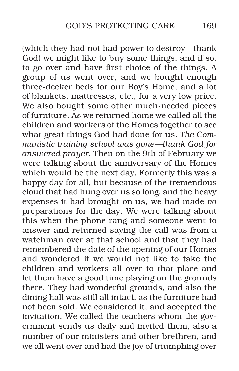<span id="page-168-0"></span>(which they had not had power to destroy—thank God) we might like to buy some things, and if so, to go over and have first choice of the things. A group of us went over, and we bought enough three-decker beds for our Boy's Home, and a lot of blankets, mattresses, etc., for a very low price. We also bought some other much-needed pieces of furniture. As we returned home we called all the children and workers of the Homes together to see what great things God had done for us. *The Communistic training school was gone—thank God for answered prayer.* Then on the 9th of February we were talking about the anniversary of the Homes which would be the next day. Formerly this was a happy day for all, but because of the tremendous cloud that had hung over us so long, and the heavy expenses it had brought on us, we had made *no*  preparations for the day. We were talking about this when the phone rang and someone went to answer and returned saying the call was from a watchman over at that school and that they had remembered the date of the opening of our Homes and wondered if we would not like to take the children and workers all over to that place and let them have a good time playing on the grounds there. They had wonderful grounds, and also the dining hall was still all intact, as the furniture had not been sold. We considered it, and accepted the invitation. We called the teachers whom the government sends us daily and invited them, also a number of our ministers and other brethren, and we all went over and had the joy of triumphing over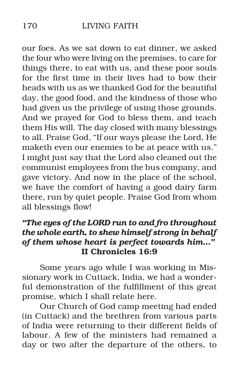our foes. As we sat down to eat dinner, we asked the four who were living on the premises, to care for things there, to eat with us, and these poor souls for the first time in their lives had to bow their heads with us as we thanked God for the beautiful day, the good food, and the kindness of those who had given us the privilege of using those grounds. And we prayed for God to bless them, and teach them His will. The day closed with many blessings to all. Praise God, "If our ways please the Lord, He maketh even our enemies to be at peace with us." I might just say that the Lord also cleaned out the communist employees from the bus company, and gave victory. And now in the place of the school, we have the comfort of having a good dairy farm there, run by quiet people. Praise God from whom all blessings flow!

### *"The eyes of the LORD run to and fro throughout the whole earth, to shew himself strong in behalf of them whose heart is perfect towards him..."* **II Chronicles 16:9**

Some years ago while I was working in Missionary work in Cuttack, India, we had a wonderful demonstration of the fulfillment of this great promise, which I shall relate here.

Our Church of God camp meeting had ended (in Cuttack) and the brethren from various parts of India were returning to their different fields of labour. A few of the ministers had remained a day or two after the departure of the others, to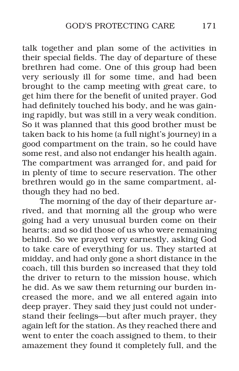<span id="page-170-0"></span>talk together and plan some of the activities in their special fields. The day of departure of these brethren had come. One of this group had been very seriously ill for some time, and had been brought to the camp meeting with great care, to get him there for the benefit of united prayer. God had definitely touched his body, and he was gaining rapidly, but was still in a very weak condition. So it was planned that this good brother must be taken back to his home (a full night's journey) in a good compartment on the train, so he could have some rest, and also not endanger his health again. The compartment was arranged for, and paid for in plenty of time to secure reservation. The other brethren would go in the same compartment, although they had no bed.

The morning of the day of their departure arrived, and that morning all the group who were going had a very unusual burden come on their hearts; and so did those of us who were remaining behind. So we prayed very earnestly, asking God to take care of everything for us. They started at midday, and had only gone a short distance in the coach, till this burden so increased that they told the driver to return to the mission house, which he did. As we saw them returning our burden increased the more, and we all entered again into deep prayer. They said they just could not understand their feelings—but after much prayer, they again left for the station. As they reached there and went to enter the coach assigned to them, to their amazement they found it completely full, and the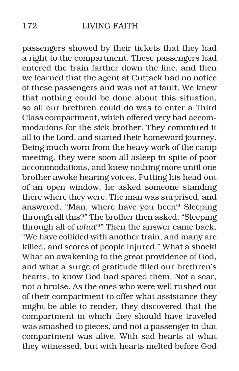passengers showed by their tickets that they had a right to the compartment. These passengers had entered the train farther down the line, and then we learned that the agent at Cuttack had no notice of these passengers and was not at fault. We knew that nothing could be done about this situation, so all our brethren could do was to enter a Third Class compartment, which offered very bad accommodations for the sick brother. They committed it all to the Lord, and started their homeward journey. Being much worn from the heavy work of the camp meeting, they were soon all asleep in spite of poor accommodations, and knew nothing more until one brother awoke hearing voices. Putting his head out of an open window, he asked someone standing there where they were. The man was surprised, and answered, "Man, where have you been? Sleeping through all this?" The brother then asked, "Sleeping through all of *what*?" Then the answer came back, "We have collided with another train, and many are killed, and scores of people injured." What a shock! What an awakening to the great providence of God, and what a surge of gratitude filled our brethren's hearts, to know God had spared them. Not a scar, not a bruise. As the ones who were well rushed out of their compartment to offer what assistance they might be able to render, they discovered that the compartment in which they should have traveled was smashed to pieces, and not a passenger in that compartment was alive. With sad hearts at what they witnessed, but with hearts melted before God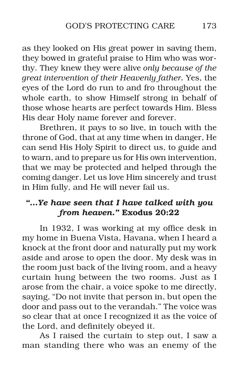<span id="page-172-0"></span>as they looked on His great power in saving them, they bowed in grateful praise to Him who was worthy. They knew they were alive *only because of the great intervention of their Heavenly father.* Yes, the eyes of the Lord do run to and fro throughout the whole earth, to show Himself strong in behalf of those whose hearts are perfect towards Him. Bless His dear Holy name forever and forever.

Brethren, it pays to so live, in touch with the throne of God, that at any time when in danger, He can send His Holy Spirit to direct us, to guide and to warn, and to prepare us for His own intervention, that we may be protected and helped through the coming danger. Let us love Him sincerely and trust in Him fully, and He will never fail us.

# *"…Ye have seen that I have talked with you from heaven."* **Exodus 20:22**

In 1932, I was working at my office desk in my home in Buena Vista, Havana, when I heard a knock at the front door and naturally put my work aside and arose to open the door. My desk was in the room just back of the living room, and a heavy curtain hung between the two rooms. Just as I arose from the chair, a voice spoke to me directly, saying, "Do not invite that person in, but open the door and pass out to the verandah." The voice was so clear that at once I recognized it as the voice of the Lord, and definitely obeyed it.

As I raised the curtain to step out, I saw a man standing there who was an enemy of the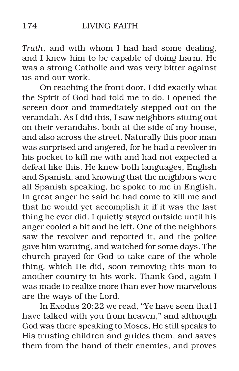*Truth*, and with whom I had had some dealing, and I knew him to be capable of doing harm. He was a strong Catholic and was very bitter against us and our work.

On reaching the front door, I did exactly what the Spirit of God had told me to do. I opened the screen door and immediately stepped out on the verandah. As I did this, I saw neighbors sitting out on their verandahs, both at the side of my house, and also across the street. Naturally this poor man was surprised and angered, for he had a revolver in his pocket to kill me with and had not expected a defeat like this. He knew both languages, English and Spanish, and knowing that the neighbors were all Spanish speaking, he spoke to me in English. In great anger he said he had come to kill me and that he would yet accomplish it if it was the last thing he ever did. I quietly stayed outside until his anger cooled a bit and he left. One of the neighbors saw the revolver and reported it, and the police gave him warning, and watched for some days. The church prayed for God to take care of the whole thing, which He did, soon removing this man to another country in his work. Thank God, again I was made to realize more than ever how marvelous are the ways of the Lord.

In Exodus 20:22 we read, "Ye have seen that I have talked with you from heaven," and although God was there speaking to Moses, He still speaks to His trusting children and guides them, and saves them from the hand of their enemies, and proves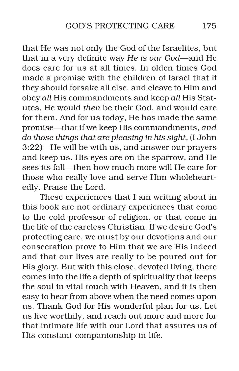<span id="page-174-0"></span>that He was not only the God of the Israelites, but that in a very definite way *He is our God*—and He does care for us at all times. In olden times God made a promise with the children of Israel that if they should forsake all else, and cleave to Him and obey *all* His commandments and keep *all* His Statutes, He would *then* be their God, and would care for them. And for us today, He has made the same promise—that if we keep His commandments, *and do those things that are pleasing in his sight*, (I John 3:22)—He will be with us, and answer our prayers and keep us. His eyes are on the sparrow, and He sees its fall—then how much more will He care for those who really love and serve Him wholeheartedly. Praise the Lord.

These experiences that I am writing about in this book are not ordinary experiences that come to the cold professor of religion, or that come in the life of the careless Christian. If we desire God's protecting care, we must by our devotions and our consecration prove to Him that we are His indeed and that our lives are really to be poured out for His glory. But with this close, devoted living, there comes into the life a depth of spirituality that keeps the soul in vital touch with Heaven, and it is then easy to hear from above when the need comes upon us. Thank God for His wonderful plan for us. Let us live worthily, and reach out more and more for that intimate life with our Lord that assures us of His constant companionship in life.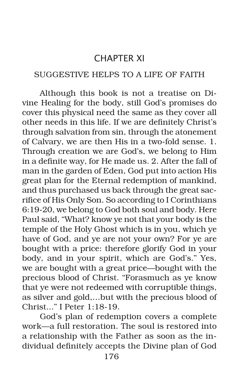# CHAPTER XI

#### SUGGESTIVE HELPS TO A LIFE OF FAITH

Although this book is not a treatise on Divine Healing for the body, still God's promises do cover this physical need the same as they cover all other needs in this life. If we are definitely Christ's through salvation from sin, through the atonement of Calvary, we are then His in a two-fold sense. 1. Through creation we are God's, we belong to Him in a definite way, for He made us. 2. After the fall of man in the garden of Eden, God put into action His great plan for the Eternal redemption of mankind, and thus purchased us back through the great sacrifice of His Only Son. So according to I Corinthians 6:19-20, we belong to God both soul and body. Here Paul said, "What? know ye not that your body is the temple of the Holy Ghost which is in you, which ye have of God, and ye are not your own? For ye are bought with a price: therefore glorify God in your body, and in your spirit, which are God's." Yes, we are bought with a great price—bought with the precious blood of Christ. "Forasmuch as ye know that ye were not redeemed with corruptible things, as silver and gold,…but with the precious blood of Christ..." I Peter 1:18-19.

God's plan of redemption covers a complete work—a full restoration. The soul is restored into a relationship with the Father as soon as the individual definitely accepts the Divine plan of God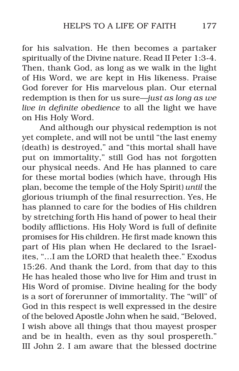<span id="page-176-0"></span>for his salvation. He then becomes a partaker spiritually of the Divine nature. Read II Peter 1:3-4. Then, thank God, as long as we walk in the light of His Word, we are kept in His likeness. Praise God forever for His marvelous plan. Our eternal redemption is then for us sure—*just as long as we live in definite obedience* to all the light we have on His Holy Word.

And although our physical redemption is not yet complete, and will not be until "the last enemy (death) is destroyed," and "this mortal shall have put on immortality," still God has not forgotten our physical needs. And He has planned to care for these mortal bodies (which have, through His plan, become the temple of the Holy Spirit) *until* the glorious triumph of the final resurrection. Yes, He has planned to care for the bodies of His children by stretching forth His hand of power to heal their bodily afflictions. His Holy Word is full of definite promises for His children. He first made known this part of His plan when He declared to the Israelites, "…I am the LORD that healeth thee." Exodus 15:26. And thank the Lord, from that day to this He has healed those who live for Him and trust in His Word of promise. Divine healing for the body is a sort of forerunner of immortality. The "will" of God in this respect is well expressed in the desire of the beloved Apostle John when he said, "Beloved, I wish above all things that thou mayest prosper and be in health, even as thy soul prospereth." III John 2. I am aware that the blessed doctrine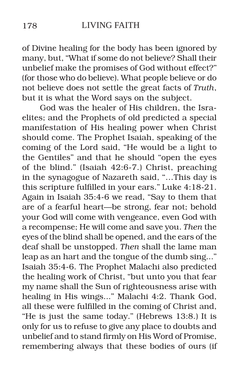of Divine healing for the body has been ignored by many, but, "What if some do not believe? Shall their unbelief make the promises of God without effect?" (for those who do believe). What people believe or do not believe does not settle the great facts of *Truth*, but it is what the Word says on the subject.

God was the healer of His children, the Israelites; and the Prophets of old predicted a special manifestation of His healing power when Christ should come. The Prophet Isaiah, speaking of the coming of the Lord said, "He would be a light to the Gentiles" and that he should "open the eyes of the blind." (Isaiah 42:6-7.) Christ, preaching in the synagogue of Nazareth said, "…This day is this scripture fulfilled in your ears." Luke 4:18-21. Again in Isaiah 35:4-6 we read, "Say to them that are of a fearful heart—be strong, fear not; behold your God will come with vengeance, even God with a recompense; He will come and save you. *Then* the eyes of the blind shall be opened, and the ears of the deaf shall be unstopped. *Then* shall the lame man leap as an hart and the tongue of the dumb sing..." Isaiah 35:4-6. The Prophet Malachi also predicted the healing work of Christ, "but unto you that fear my name shall the Sun of righteousness arise with healing in His wings..." Malachi 4:2. Thank God, all these were fulfilled in the coming of Christ and, "He is just the same today." (Hebrews 13:8.) It is only for us to refuse to give any place to doubts and unbelief and to stand firmly on His Word of Promise, remembering always that these bodies of ours (if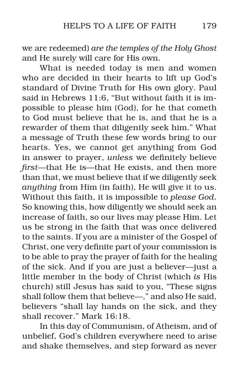<span id="page-178-0"></span>we are redeemed) *are the temples of the Holy Ghost* and He surely will care for His own.

What is needed today is men and women who are decided in their hearts to lift up God's standard of Divine Truth for His own glory. Paul said in Hebrews 11:6, "But without faith it is impossible to please him (God), for he that cometh to God must believe that he is, and that he is a rewarder of them that diligently seek him." What a message of Truth these few words bring to our hearts. Yes, we cannot get anything from God in answer to prayer, *unless* we definitely believe *first*—that He is—that He exists, and then more than that, we must believe that if we diligently seek *anything* from Him (in faith), He will give it to us. Without this faith, it is impossible to *please God.*  So knowing this, how diligently we should seek an increase of faith, so our lives may please Him. Let us be strong in the faith that was once delivered to the saints. If you are a minister of the Gospel of Christ, one very definite part of your commission is to be able to pray the prayer of faith for the healing of the sick. And if you are just a believer—just a little member in the body of Christ (which *is* His church) still Jesus has said to you, "These signs shall follow them that believe—," and also He said, believers "shall lay hands on the sick, and they shall recover." Mark 16:18.

In this day of Communism, of Atheism, and of unbelief, God's children everywhere need to arise and shake themselves, and step forward as never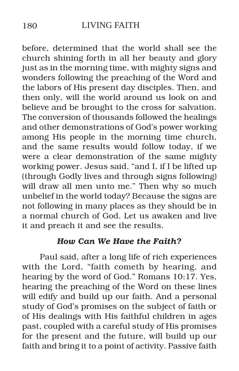before, determined that the world shall see the church shining forth in all her beauty and glory just as in the morning time, with mighty signs and wonders following the preaching of the Word and the labors of His present day disciples. Then, and then only, will the world around us look on and believe and be brought to the cross for salvation. The conversion of thousands followed the healings and other demonstrations of God's power working among His people in the morning time church, and the same results would follow today, if we were a clear demonstration of the same mighty working power. Jesus said, "and I, if I be lifted up (through Godly lives and through signs following) will draw all men unto me." Then why so much unbelief in the world today? Because the signs are not following in many places as they should be in a normal church of God. Let us awaken and live it and preach it and see the results.

## *How Can We Have the Faith?*

Paul said, after a long life of rich experiences with the Lord, "faith cometh by hearing, and hearing by the word of God." Romans 10:17. Yes, hearing the preaching of the Word on these lines will edify and build up our faith. And a personal study of God's promises on the subject of faith or of His dealings with His faithful children in ages past, coupled with a careful study of His promises for the present and the future, will build up our faith and bring it to a point of activity. Passive faith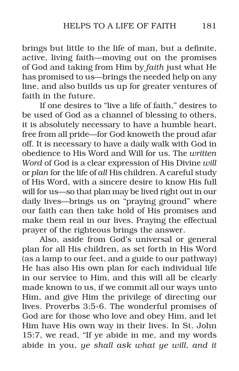<span id="page-180-0"></span>brings but little to the life of man, but a definite, active, living faith—moving out on the promises of God and taking from Him by *faith* just what He has promised to us—brings the needed help on any line, and also builds us up for greater ventures of faith in the future.

If one desires to "live a life of faith," desires to be used of God as a channel of blessing to others, it is absolutely necessary to have a humble heart, free from all pride—for God knoweth the proud afar off. It is necessary to have a daily walk with God in obedience to His Word and Will for us. The *written Word* of God is a clear expression of His Divine *will* or *plan* for the life of *all* His children. A careful study of His Word, with a sincere desire to know His full will for us—so that plan may be lived right out in our daily lives—brings us on "praying ground" where our faith can then take hold of His promises and make them real in our lives. Praying the effectual prayer of the righteous brings the answer.

Also, aside from God's universal or general plan for all His children, as set forth in His Word (as a lamp to our feet, and a guide to our pathway) He has also His own plan for each individual life in our service to Him, and this will all be clearly made known to us, if we commit all our ways unto Him, and give Him the privilege of directing our lives. Proverbs 3:5-6. The wonderful promises of God are for those who love and obey Him, and let Him have His own way in their lives. In St. John 15:7, we read, "If ye abide in me, and my words abide in you, *ye shall ask what ye will, and it*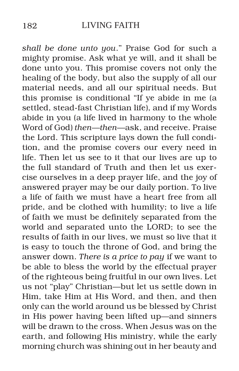### 182 LIVING FAITH

*shall be done unto you*." Praise God for such a mighty promise. Ask what ye will, and it shall be done unto you. This promise covers not only the healing of the body, but also the supply of all our material needs, and all our spiritual needs. But this promise is conditional "If ye abide in me (a settled, stead-fast Christian life), and if my Words abide in you (a life lived in harmony to the whole Word of God) *then—then*—ask, and receive. Praise the Lord. This scripture lays down the full condition, and the promise covers our every need in life. Then let us see to it that our lives are up to the full standard of Truth and then let us exercise ourselves in a deep prayer life, and the joy of answered prayer may be our daily portion. To live a life of faith we must have a heart free from all pride, and be clothed with humility; to live a life of faith we must be definitely separated from the world and separated unto the LORD; to see the results of faith in our lives, we must so live that it is easy to touch the throne of God, and bring the answer down. *There is a price to pay* if we want to be able to bless the world by the effectual prayer of the righteous being fruitful in our own lives. Let us not "play" Christian—but let us settle down in Him, take Him at His Word, and then, and then only can the world around us be blessed by Christ in His power having been lifted up—and sinners will be drawn to the cross. When Jesus was on the earth, and following His ministry, while the early morning church was shining out in her beauty and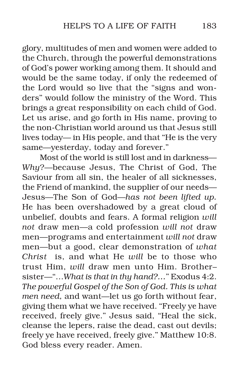<span id="page-182-0"></span>glory, multitudes of men and women were added to the Church, through the powerful demonstrations of God's power working among them. It should and would be the same today, if only the redeemed of the Lord would so live that the "signs and wonders" would follow the ministry of the Word. This brings a great responsibility on each child of God. Let us arise, and go forth in His name, proving to the non-Christian world around us that Jesus still lives today— in His people, and that "He is the very same—yesterday, today and forever."

Most of the world is still lost and in darkness— *Why*?—because Jesus, The Christ of God, The Saviour from all sin, the healer of all sicknesses, the Friend of mankind, the supplier of our needs— Jesus—The Son of God—*has not been lifted up.*  He has been overshadowed by a great cloud of unbelief, doubts and fears. A formal religion *will not* draw men—a cold profession *will not* draw men—programs and entertainment *will not* draw men—but a good, clear demonstration of *what Christ* is, and what He *will* be to those who trust Him, *will* draw men unto Him. Brother– sister—"…*What is that in thy hand?…*" Exodus 4:2. *The powerful Gospel of the Son of God. This is what men need,* and want—let us go forth without fear, giving them what we have received. "Freely ye have received, freely give." Jesus said, "Heal the sick, cleanse the lepers, raise the dead, cast out devils; freely ye have received, freely give." Matthew 10:8. God bless every reader. Amen.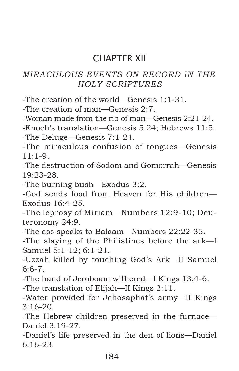# CHAPTER XII

# *MIRACULOUS EVENTS ON RECORD IN THE HOLY SCRIPTURES*

-The creation of the world—Genesis 1:1-31.

-The creation of man—Genesis 2:7.

-Woman made from the rib of man—Genesis 2:21-24.

-Enoch's translation—Genesis 5:24; Hebrews 11:5. -The Deluge—Genesis 7:1-24.

-The miraculous confusion of tongues—Genesis  $11:1-9.$ 

-The destruction of Sodom and Gomorrah—Genesis 19:23-28.

-The burning bush—Exodus 3:2.

-God sends food from Heaven for His children— Exodus 16:4-25.

-The leprosy of Miriam—Numbers 12:9-10; Deuteronomy 24:9.

-The ass speaks to Balaam—Numbers 22:22-35.

-The slaying of the Philistines before the ark—I Samuel 5:1-12; 6:1-21.

-Uzzah killed by touching God's Ark—II Samuel 6:6-7.

-The hand of Jeroboam withered—I Kings 13:4-6.

-The translation of Elijah—II Kings 2:11.

-Water provided for Jehosaphat's army—II Kings 3:16-20.

-The Hebrew children preserved in the furnace— Daniel 3:19-27.

-Daniel's life preserved in the den of lions—Daniel 6:16-23.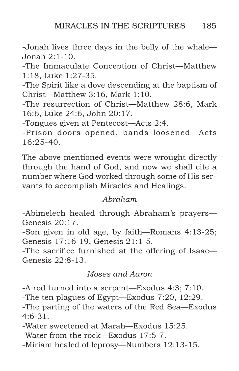<span id="page-184-0"></span>-Jonah lives three days in the belly of the whale— Jonah 2:1-10.

-The Immaculate Conception of Christ—Matthew 1:18, Luke 1:27-35.

-The Spirit like a dove descending at the baptism of Christ—Matthew 3:16, Mark 1:10.

-The resurrection of Christ—Matthew 28:6, Mark 16:6, Luke 24:6, John 20:17.

-Tongues given at Pentecost—Acts 2:4.

-Prison doors opened, bands loosened—Acts 16:25-40.

The above mentioned events were wrought directly through the hand of God, and now we shall cite a number where God worked through some of His servants to accomplish Miracles and Healings.

### *Abraham*

-Abimelech healed through Abraham's prayers— Genesis 20:17.

-Son given in old age, by faith—Romans 4:13-25; Genesis 17:16-19, Genesis 21:1-5.

-The sacrifice furnished at the offering of Isaac— Genesis 22:8-13.

### *Moses and Aaron*

-A rod turned into a serpent—Exodus 4:3; 7:10.

-The ten plagues of Egypt—Exodus 7:20, 12:29.

-The parting of the waters of the Red Sea—Exodus 4:6-31.

-Water sweetened at Marah—Exodus 15:25.

-Water from the rock—Exodus 17:5-7.

-Miriam healed of leprosy—Numbers 12:13-15.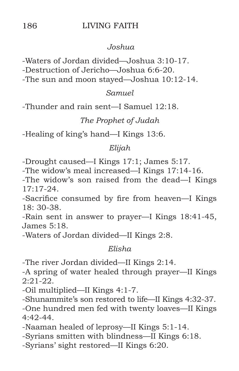### 186 LIVING FAITH

### *Joshua*

-Waters of Jordan divided—Joshua 3:10-17. -Destruction of Jericho—Joshua 6:6-20. -The sun and moon stayed—Joshua 10:12-14.

### *Samuel*

-Thunder and rain sent—I Samuel 12:18.

# *The Prophet of Judah*

-Healing of king's hand—I Kings 13:6.

# *Elijah*

-Drought caused—I Kings 17:1; James 5:17.

-The widow's meal increased—I Kings 17:14-16.

-The widow's son raised from the dead—I Kings 17:17-24.

-Sacrifice consumed by fire from heaven—I Kings  $18: 30-38$ 

-Rain sent in answer to prayer—I Kings 18:41-45, James 5:18.

-Waters of Jordan divided—II Kings 2:8.

# *Elisha*

-The river Jordan divided—II Kings 2:14.

-A spring of water healed through prayer—II Kings 2:21-22.

-Oil multiplied—II Kings 4:1-7.

-Shunammite's son restored to life—II Kings 4:32-37. -One hundred men fed with twenty loaves—II Kings 4:42-44.

-Naaman healed of leprosy—II Kings 5:1-14.

-Syrians smitten with blindness—II Kings 6:18.

-Syrians' sight restored—II Kings 6:20.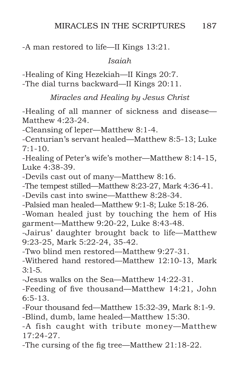<span id="page-186-0"></span>-A man restored to life—II Kings 13:21.

*Isaiah*

-Healing of King Hezekiah—II Kings 20:7. -The dial turns backward—II Kings 20:11.

# *Miracles and Healing by Jesus Christ*

-Healing of all manner of sickness and disease— Matthew 4:23-24.

-Cleansing of leper—Matthew 8:1-4.

-Centurian's servant healed—Matthew 8:5-13; Luke  $7:1 - 10$ .

-Healing of Peter's wife's mother—Matthew 8:14-15, Luke 4:38-39.

-Devils cast out of many—Matthew 8:16.

-The tempest stilled—Matthew 8:23-27, Mark 4:36-41.

-Devils cast into swine—Matthew 8:28-34.

-Palsied man healed—Matthew 9:1-8; Luke 5:18-26.

-Woman healed just by touching the hem of His garment—Matthew 9:20-22, Luke 8:43-48.

-Jairus' daughter brought back to life—Matthew 9:23-25, Mark 5:22-24, 35-42.

-Two blind men restored—Matthew 9:27-31.

-Withered hand restored—Matthew 12:10-13, Mark  $3:1 - 5$ .

-Jesus walks on the Sea—Matthew 14:22-31.

-Feeding of five thousand—Matthew 14:21, John 6:5-13.

-Four thousand fed—Matthew 15:32-39, Mark 8:1-9. -Blind, dumb, lame healed—Matthew 15:30.

-A fish caught with tribute money—Matthew 17:24-27.

-The cursing of the fig tree—Matthew 21:18-22.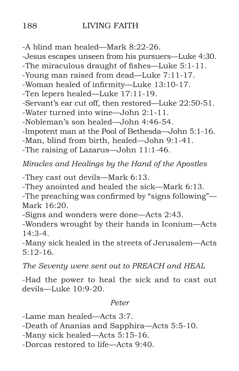-A blind man healed—Mark 8:22-26. -Jesus escapes unseen from his pursuers—Luke 4:30. -The miraculous draught of fishes—Luke 5:1-11. -Young man raised from dead—Luke 7:11-17. -Woman healed of infirmity—Luke 13:10-17. -Ten lepers healed—Luke 17:11-19. -Servant's ear cut off, then restored—Luke 22:50-51. -Water turned into wine—John 2:1-11. -Nobleman's son healed—John 4:46-54. -Impotent man at the Pool of Bethesda—John 5:1-16. -Man, blind from birth, healed—John 9:1-41. -The raising of Lazarus—John 11:1-46.

# *Miracles and Healings by the Hand of the Apostles*

-They cast out devils—Mark 6:13.

-They anointed and healed the sick—Mark 6:13.

-The preaching was confirmed by "signs following"— Mark 16:20.

-Signs and wonders were done—Acts 2:43.

-Wonders wrought by their hands in Iconium—Acts 14:3-4.

-Many sick healed in the streets of Jerusalem—Acts  $5:12-16$ 

*The Seventy were sent out to PREACH and HEAL*

-Had the power to heal the sick and to cast out devils—Luke 10:9-20.

*Peter*

-Lame man healed—Acts 3:7.

-Death of Ananias and Sapphira—Acts 5:5-10.

-Many sick healed—Acts 5:15-16.

-Dorcas restored to life—Acts 9:40.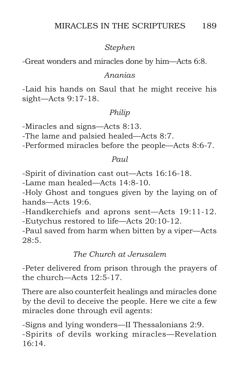### *Stephen*

<span id="page-188-0"></span>-Great wonders and miracles done by him—Acts 6:8.

#### *Ananias*

-Laid his hands on Saul that he might receive his sight—Acts 9:17-18.

# *Philip*

-Miracles and signs—Acts 8:13.

-The lame and palsied healed—Acts 8:7.

-Performed miracles before the people—Acts 8:6-7.

### *Paul*

-Spirit of divination cast out—Acts 16:16-18.

-Lame man healed—Acts 14:8-10.

-Holy Ghost and tongues given by the laying on of hands—Acts 19:6.

-Handkerchiefs and aprons sent—Acts 19:11-12. -Eutychus restored to life—Acts 20:10-12.

-Paul saved from harm when bitten by a viper—Acts  $28:5.$ 

*The Church at Jerusalem*

-Peter delivered from prison through the prayers of the church—Acts 12:5-17.

There are also counterfeit healings and miracles done by the devil to deceive the people. Here we cite a few miracles done through evil agents:

-Signs and lying wonders—II Thessalonians 2:9. -Spirits of devils working miracles—Revelation 16:14.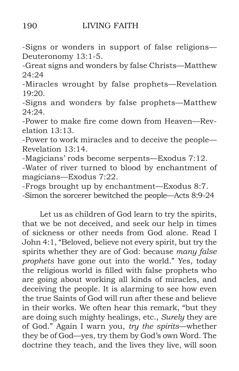-Signs or wonders in support of false religions— Deuteronomy 13:1-5.

-Great signs and wonders by false Christs—Matthew  $24.24$ 

-Miracles wrought by false prophets—Revelation 19:20.

-Signs and wonders by false prophets—Matthew 24:24.

-Power to make fire come down from Heaven—Revelation 13:13.

-Power to work miracles and to deceive the people— Revelation 13:14.

-Magicians' rods become serpents—Exodus 7:12. -Water of river turned to blood by enchantment of magicians—Exodus 7:22.

-Frogs brought up by enchantment—Exodus 8:7. -Simon the sorcerer bewitched the people—Acts 8:9-24

Let us as children of God learn to try the spirits, that we be not deceived, and seek our help in times of sickness or other needs from God alone. Read I John 4:1, "Beloved, believe not every spirit, but try the spirits whether they are of God: because *many false prophets* have gone out into the world." Yes, today the religious world is filled with false prophets who are going about working all kinds of miracles, and deceiving the people. It is alarming to see how even the true Saints of God will run after these and believe in their works. We often hear this remark, "but they are doing such mighty healings, etc., *Surely* they are of God." Again I warn you, *try the spirits*—whether they be of God—yes, try them by God's own Word. The doctrine they teach, and the lives they live, will soon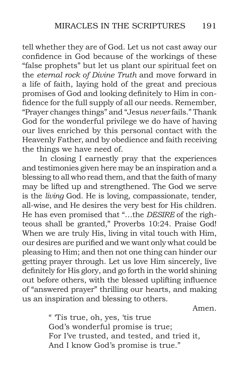<span id="page-190-0"></span>tell whether they are of God. Let us not cast away our confidence in God because of the workings of these "false prophets" but let us plant our spiritual feet on the *eternal rock of Divine Truth* and move forward in a life of faith, laying hold of the great and precious promises of God and looking definitely to Him in confidence for the full supply of all our needs. Remember, "Prayer changes things" and "Jesus *never* fails." Thank God for the wonderful privilege we do have of having our lives enriched by this personal contact with the Heavenly Father, and by obedience and faith receiving the things we have need of.

In closing I earnestly pray that the experiences and testimonies given here may be an inspiration and a blessing to all who read them, and that the faith of many may be lifted up and strengthened. The God we serve is the *living* God. He is loving, compassionate, tender, all-wise, and He desires the very best for His children. He has even promised that "…the *DESIRE* of the righteous shall be granted," Proverbs 10:24. Praise God! When we are truly His, living in vital touch with Him, our desires are purified and we want only what could be pleasing to Him; and then not one thing can hinder our getting prayer through. Let us love Him sincerely, live definitely for His glory, and go forth in the world shining out before others, with the blessed uplifting influence of "answered prayer" thrilling our hearts, and making us an inspiration and blessing to others.

Amen.

" 'Tis true, oh, yes, 'tis true God's wonderful promise is true; For I've trusted, and tested, and tried it, And I know God's promise is true."